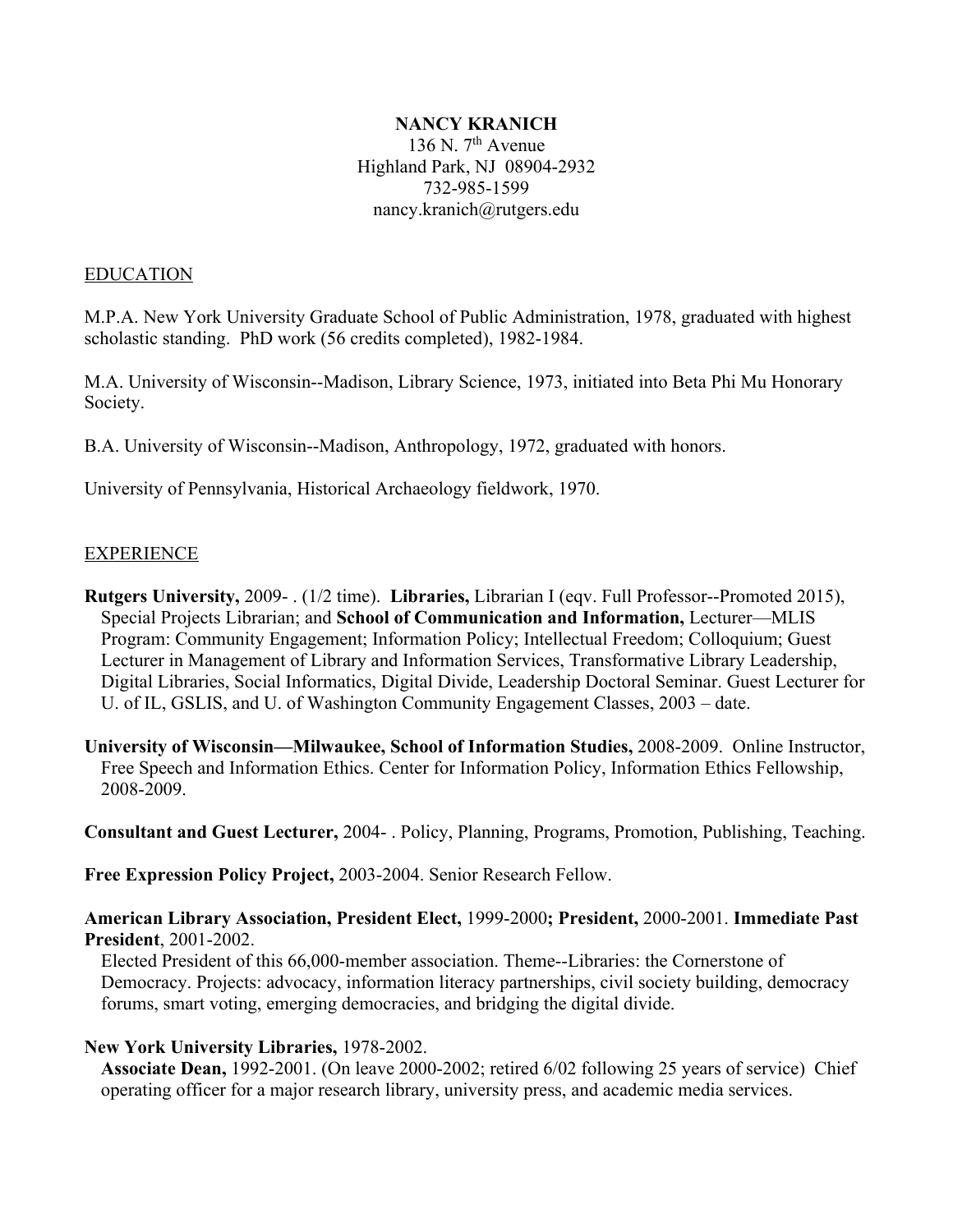#### **NANCY KRANICH**

136 N.  $7<sup>th</sup>$  Avenue Highland Park, NJ 08904-2932 732-985-1599 nancy.kranich@rutgers.edu

#### EDUCATION

M.P.A. New York University Graduate School of Public Administration, 1978, graduated with highest scholastic standing. PhD work (56 credits completed), 1982-1984.

M.A. University of Wisconsin--Madison, Library Science, 1973, initiated into Beta Phi Mu Honorary Society.

B.A. University of Wisconsin--Madison, Anthropology, 1972, graduated with honors.

University of Pennsylvania, Historical Archaeology fieldwork, 1970.

#### EXPERIENCE

**Rutgers University,** 2009- . (1/2 time). **Libraries,** Librarian I (eqv. Full Professor--Promoted 2015), Special Projects Librarian; and **School of Communication and Information,** Lecturer—MLIS Program: Community Engagement; Information Policy; Intellectual Freedom; Colloquium; Guest Lecturer in Management of Library and Information Services, Transformative Library Leadership, Digital Libraries, Social Informatics, Digital Divide, Leadership Doctoral Seminar. Guest Lecturer for U. of IL, GSLIS, and U. of Washington Community Engagement Classes, 2003 – date.

**University of Wisconsin—Milwaukee, School of Information Studies,** 2008-2009. Online Instructor, Free Speech and Information Ethics. Center for Information Policy, Information Ethics Fellowship, 2008-2009.

**Consultant and Guest Lecturer,** 2004- . Policy, Planning, Programs, Promotion, Publishing, Teaching.

**Free Expression Policy Project,** 2003-2004. Senior Research Fellow.

**American Library Association, President Elect,** 1999-2000**; President,** 2000-2001. **Immediate Past President**, 2001-2002.

Elected President of this 66,000-member association. Theme--Libraries: the Cornerstone of Democracy. Projects: advocacy, information literacy partnerships, civil society building, democracy forums, smart voting, emerging democracies, and bridging the digital divide.

#### **New York University Libraries,** 1978-2002.

**Associate Dean,** 1992-2001. (On leave 2000-2002; retired 6/02 following 25 years of service) Chief operating officer for a major research library, university press, and academic media services.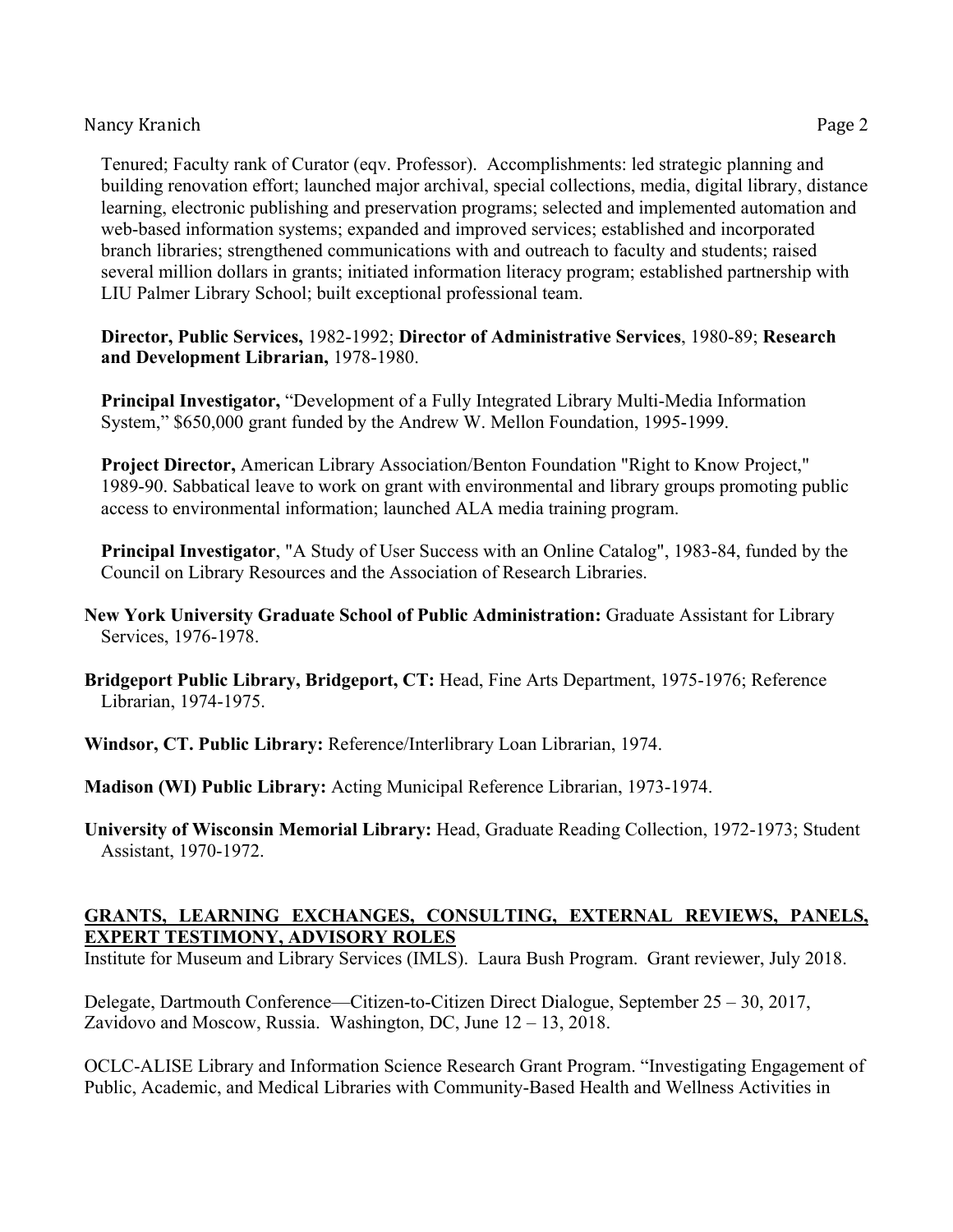Tenured; Faculty rank of Curator (eqv. Professor). Accomplishments: led strategic planning and building renovation effort; launched major archival, special collections, media, digital library, distance learning, electronic publishing and preservation programs; selected and implemented automation and web-based information systems; expanded and improved services; established and incorporated branch libraries; strengthened communications with and outreach to faculty and students; raised several million dollars in grants; initiated information literacy program; established partnership with LIU Palmer Library School; built exceptional professional team.

**Director, Public Services,** 1982-1992; **Director of Administrative Services**, 1980-89; **Research and Development Librarian,** 1978-1980.

**Principal Investigator,** "Development of a Fully Integrated Library Multi-Media Information System," \$650,000 grant funded by the Andrew W. Mellon Foundation, 1995-1999.

**Project Director,** American Library Association/Benton Foundation "Right to Know Project," 1989-90. Sabbatical leave to work on grant with environmental and library groups promoting public access to environmental information; launched ALA media training program.

**Principal Investigator**, "A Study of User Success with an Online Catalog", 1983-84, funded by the Council on Library Resources and the Association of Research Libraries.

**New York University Graduate School of Public Administration:** Graduate Assistant for Library Services, 1976-1978.

**Bridgeport Public Library, Bridgeport, CT:** Head, Fine Arts Department, 1975-1976; Reference Librarian, 1974-1975.

**Windsor, CT. Public Library:** Reference/Interlibrary Loan Librarian, 1974.

**Madison (WI) Public Library:** Acting Municipal Reference Librarian, 1973-1974.

**University of Wisconsin Memorial Library:** Head, Graduate Reading Collection, 1972-1973; Student Assistant, 1970-1972.

# **GRANTS, LEARNING EXCHANGES, CONSULTING, EXTERNAL REVIEWS, PANELS, EXPERT TESTIMONY, ADVISORY ROLES**

Institute for Museum and Library Services (IMLS). Laura Bush Program. Grant reviewer, July 2018.

Delegate, Dartmouth Conference—Citizen-to-Citizen Direct Dialogue, September 25 – 30, 2017, Zavidovo and Moscow, Russia. Washington, DC, June 12 – 13, 2018.

OCLC-ALISE Library and Information Science Research Grant Program. "Investigating Engagement of Public, Academic, and Medical Libraries with Community-Based Health and Wellness Activities in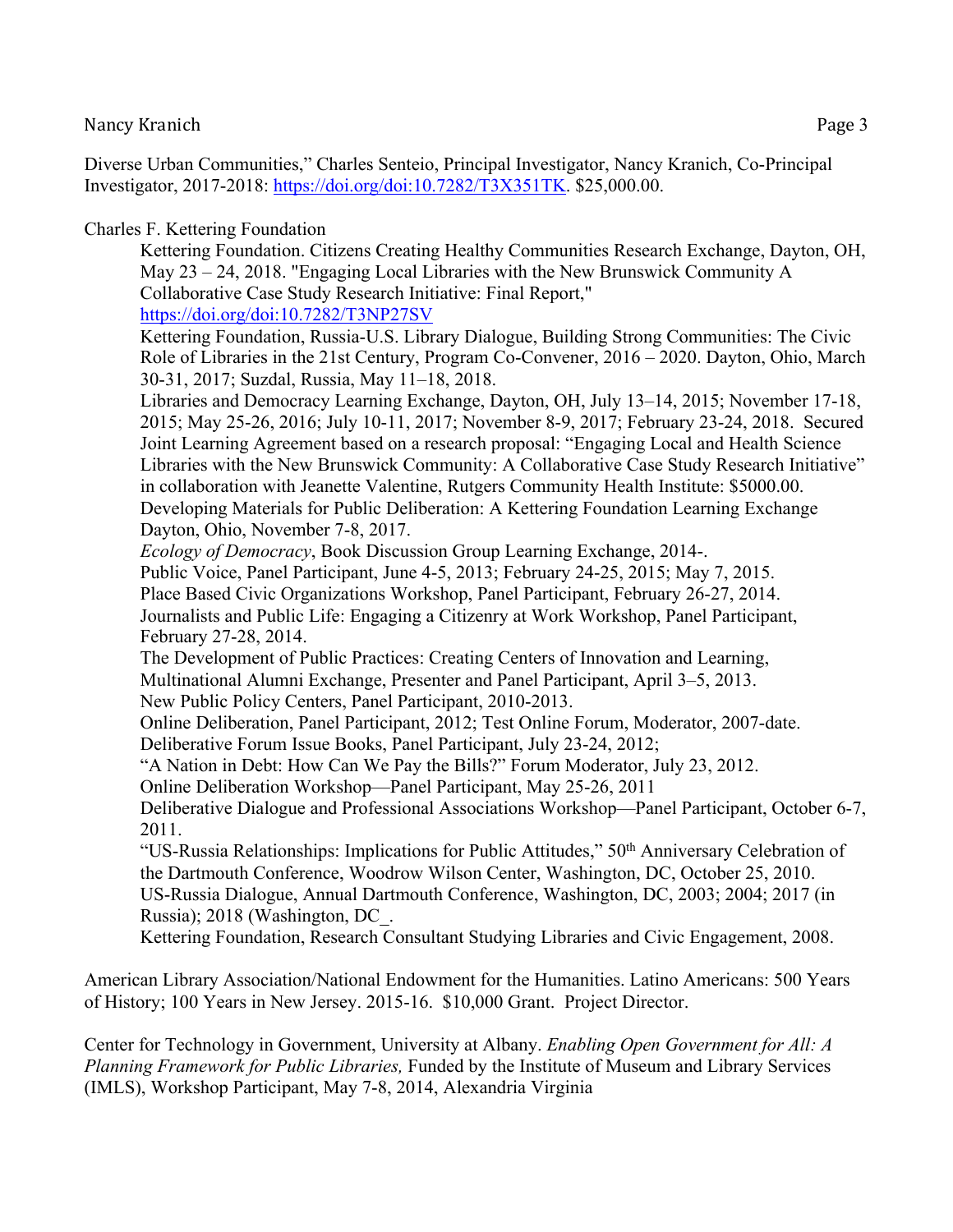Diverse Urban Communities," Charles Senteio, Principal Investigator, Nancy Kranich, Co-Principal Investigator, 2017-2018: https://doi.org/doi:10.7282/T3X351TK. \$25,000.00.

# Charles F. Kettering Foundation

Kettering Foundation. Citizens Creating Healthy Communities Research Exchange, Dayton, OH, May 23 – 24, 2018. "Engaging Local Libraries with the New Brunswick Community A Collaborative Case Study Research Initiative: Final Report," https://doi.org/doi:10.7282/T3NP27SV

Kettering Foundation, Russia-U.S. Library Dialogue, Building Strong Communities: The Civic Role of Libraries in the 21st Century, Program Co-Convener, 2016 – 2020. Dayton, Ohio, March

30-31, 2017; Suzdal, Russia, May 11–18, 2018.

Libraries and Democracy Learning Exchange, Dayton, OH, July 13–14, 2015; November 17-18, 2015; May 25-26, 2016; July 10-11, 2017; November 8-9, 2017; February 23-24, 2018. Secured Joint Learning Agreement based on a research proposal: "Engaging Local and Health Science Libraries with the New Brunswick Community: A Collaborative Case Study Research Initiative" in collaboration with Jeanette Valentine, Rutgers Community Health Institute: \$5000.00. Developing Materials for Public Deliberation: A Kettering Foundation Learning Exchange Dayton, Ohio, November 7-8, 2017.

*Ecology of Democracy*, Book Discussion Group Learning Exchange, 2014-.

Public Voice, Panel Participant, June 4-5, 2013; February 24-25, 2015; May 7, 2015. Place Based Civic Organizations Workshop, Panel Participant, February 26-27, 2014. Journalists and Public Life: Engaging a Citizenry at Work Workshop, Panel Participant, February 27-28, 2014.

The Development of Public Practices: Creating Centers of Innovation and Learning, Multinational Alumni Exchange, Presenter and Panel Participant, April 3–5, 2013. New Public Policy Centers, Panel Participant, 2010-2013.

Online Deliberation, Panel Participant, 2012; Test Online Forum, Moderator, 2007-date. Deliberative Forum Issue Books, Panel Participant, July 23-24, 2012;

"A Nation in Debt: How Can We Pay the Bills?" Forum Moderator, July 23, 2012.

Online Deliberation Workshop—Panel Participant, May 25-26, 2011

Deliberative Dialogue and Professional Associations Workshop—Panel Participant, October 6-7, 2011.

"US-Russia Relationships: Implications for Public Attitudes," 50<sup>th</sup> Anniversary Celebration of the Dartmouth Conference, Woodrow Wilson Center, Washington, DC, October 25, 2010. US-Russia Dialogue, Annual Dartmouth Conference, Washington, DC, 2003; 2004; 2017 (in Russia); 2018 (Washington, DC\_.

Kettering Foundation, Research Consultant Studying Libraries and Civic Engagement, 2008.

American Library Association/National Endowment for the Humanities. Latino Americans: 500 Years of History; 100 Years in New Jersey. 2015-16. \$10,000 Grant. Project Director.

Center for Technology in Government, University at Albany. *Enabling Open Government for All: A Planning Framework for Public Libraries,* Funded by the Institute of Museum and Library Services (IMLS), Workshop Participant, May 7-8, 2014, Alexandria Virginia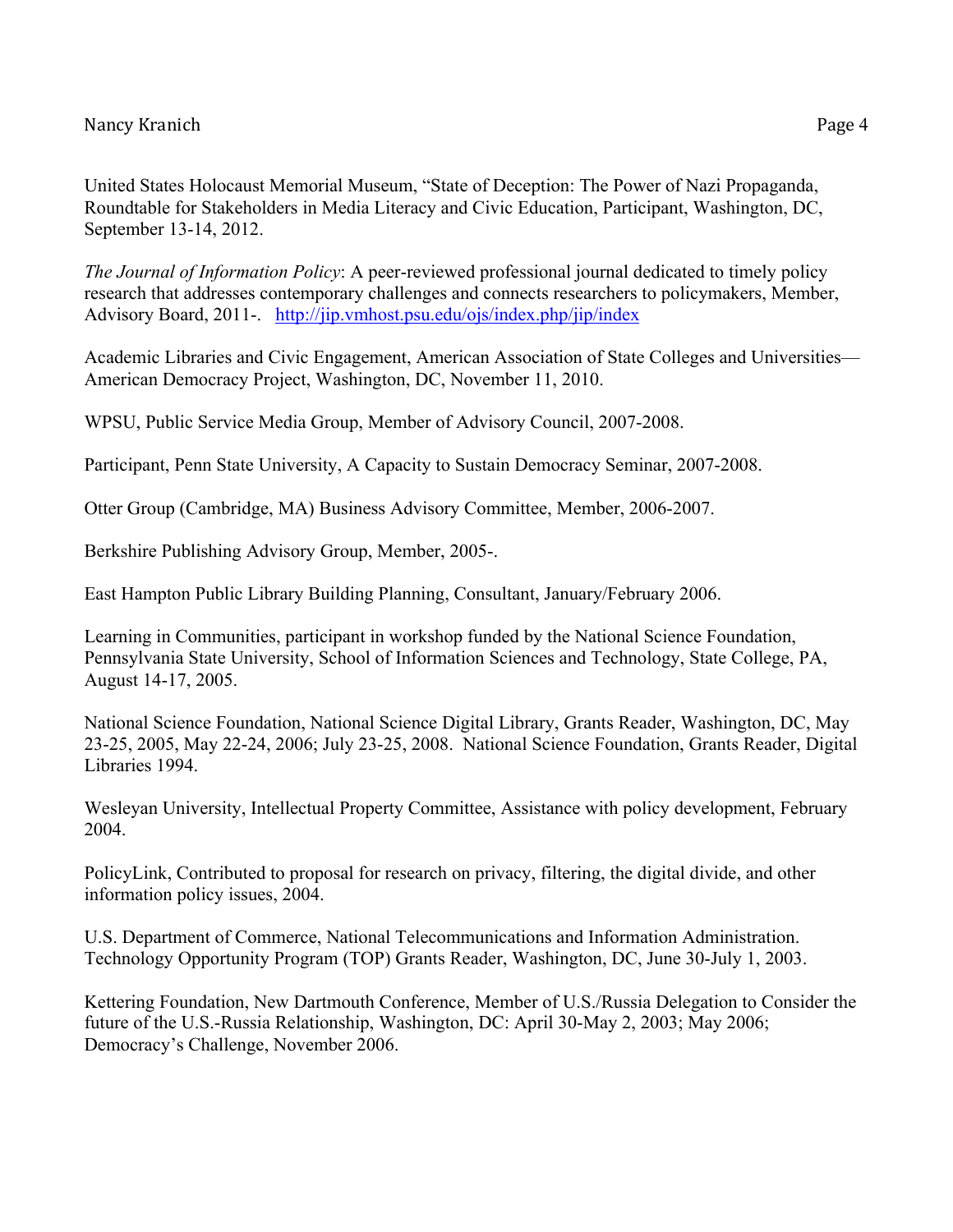United States Holocaust Memorial Museum, "State of Deception: The Power of Nazi Propaganda, Roundtable for Stakeholders in Media Literacy and Civic Education, Participant, Washington, DC, September 13-14, 2012.

*The Journal of Information Policy*: A peer-reviewed professional journal dedicated to timely policy research that addresses contemporary challenges and connects researchers to policymakers, Member, Advisory Board, 2011-. http://jip.vmhost.psu.edu/ojs/index.php/jip/index

Academic Libraries and Civic Engagement, American Association of State Colleges and Universities— American Democracy Project, Washington, DC, November 11, 2010.

WPSU, Public Service Media Group, Member of Advisory Council, 2007-2008.

Participant, Penn State University, A Capacity to Sustain Democracy Seminar, 2007-2008.

Otter Group (Cambridge, MA) Business Advisory Committee, Member, 2006-2007.

Berkshire Publishing Advisory Group, Member, 2005-.

East Hampton Public Library Building Planning, Consultant, January/February 2006.

Learning in Communities, participant in workshop funded by the National Science Foundation, Pennsylvania State University, School of Information Sciences and Technology, State College, PA, August 14-17, 2005.

National Science Foundation, National Science Digital Library, Grants Reader, Washington, DC, May 23-25, 2005, May 22-24, 2006; July 23-25, 2008. National Science Foundation, Grants Reader, Digital Libraries 1994.

Wesleyan University, Intellectual Property Committee, Assistance with policy development, February 2004.

PolicyLink, Contributed to proposal for research on privacy, filtering, the digital divide, and other information policy issues, 2004.

U.S. Department of Commerce, National Telecommunications and Information Administration. Technology Opportunity Program (TOP) Grants Reader, Washington, DC, June 30-July 1, 2003.

Kettering Foundation, New Dartmouth Conference, Member of U.S./Russia Delegation to Consider the future of the U.S.-Russia Relationship, Washington, DC: April 30-May 2, 2003; May 2006; Democracy's Challenge, November 2006.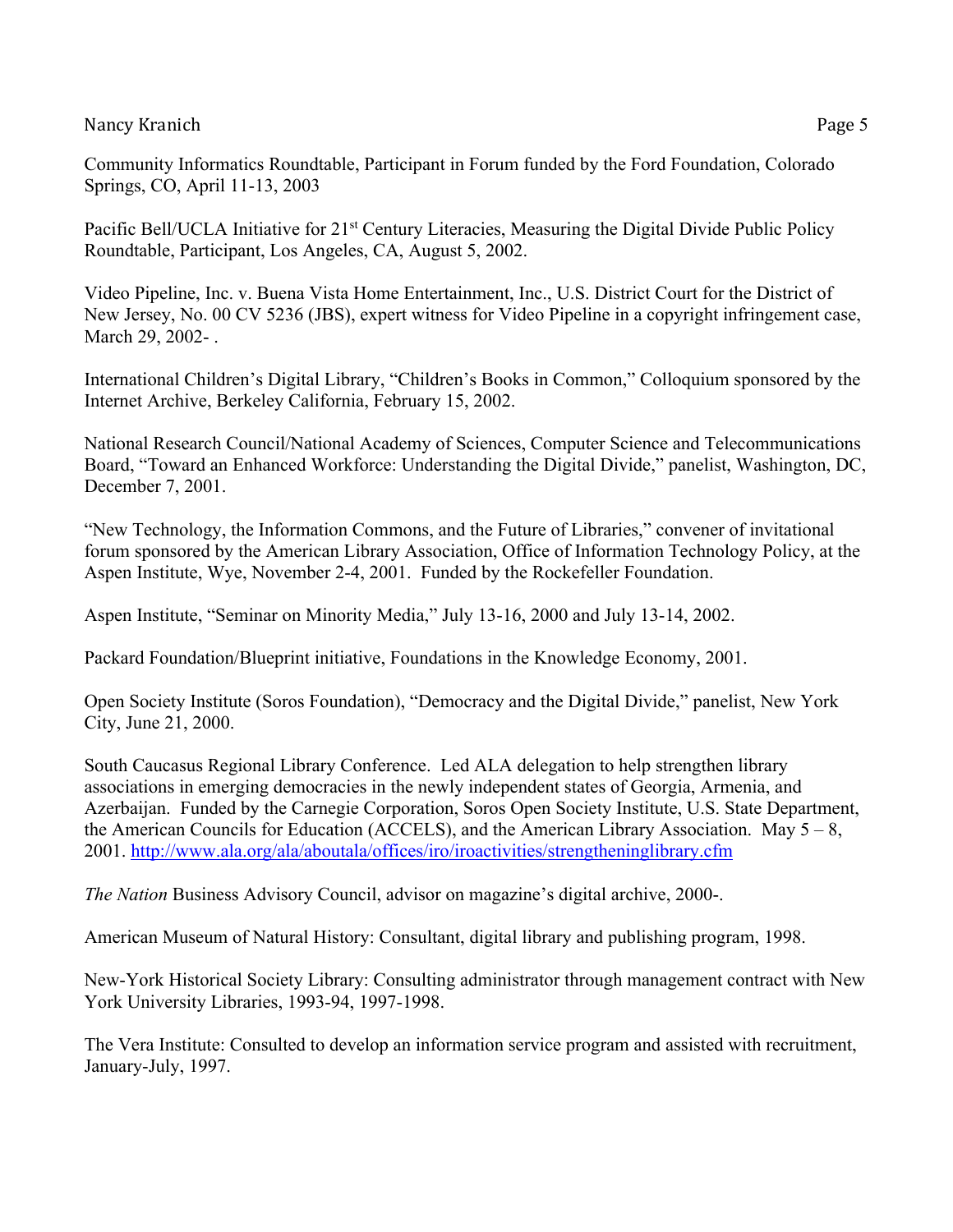Community Informatics Roundtable, Participant in Forum funded by the Ford Foundation, Colorado Springs, CO, April 11-13, 2003

Pacific Bell/UCLA Initiative for 21<sup>st</sup> Century Literacies, Measuring the Digital Divide Public Policy Roundtable, Participant, Los Angeles, CA, August 5, 2002.

Video Pipeline, Inc. v. Buena Vista Home Entertainment, Inc., U.S. District Court for the District of New Jersey, No. 00 CV 5236 (JBS), expert witness for Video Pipeline in a copyright infringement case, March 29, 2002-.

International Children's Digital Library, "Children's Books in Common," Colloquium sponsored by the Internet Archive, Berkeley California, February 15, 2002.

National Research Council/National Academy of Sciences, Computer Science and Telecommunications Board, "Toward an Enhanced Workforce: Understanding the Digital Divide," panelist, Washington, DC, December 7, 2001.

"New Technology, the Information Commons, and the Future of Libraries," convener of invitational forum sponsored by the American Library Association, Office of Information Technology Policy, at the Aspen Institute, Wye, November 2-4, 2001. Funded by the Rockefeller Foundation.

Aspen Institute, "Seminar on Minority Media," July 13-16, 2000 and July 13-14, 2002.

Packard Foundation/Blueprint initiative, Foundations in the Knowledge Economy, 2001.

Open Society Institute (Soros Foundation), "Democracy and the Digital Divide," panelist, New York City, June 21, 2000.

South Caucasus Regional Library Conference. Led ALA delegation to help strengthen library associations in emerging democracies in the newly independent states of Georgia, Armenia, and Azerbaijan. Funded by the Carnegie Corporation, Soros Open Society Institute, U.S. State Department, the American Councils for Education (ACCELS), and the American Library Association. May  $5 - 8$ , 2001. http://www.ala.org/ala/aboutala/offices/iro/iroactivities/strengtheninglibrary.cfm

*The Nation* Business Advisory Council, advisor on magazine's digital archive, 2000-.

American Museum of Natural History: Consultant, digital library and publishing program, 1998.

New-York Historical Society Library: Consulting administrator through management contract with New York University Libraries, 1993-94, 1997-1998.

The Vera Institute: Consulted to develop an information service program and assisted with recruitment, January-July, 1997.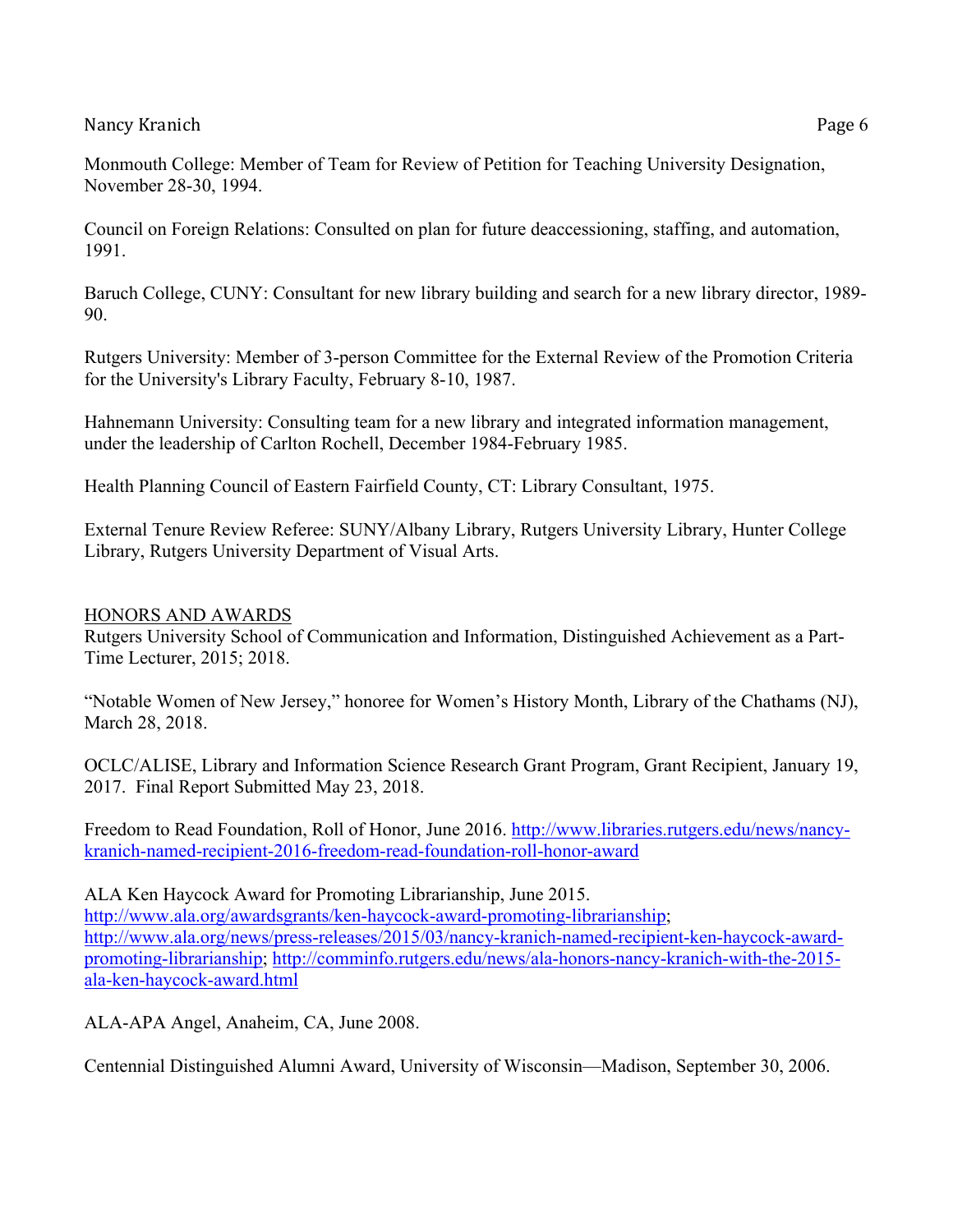Council on Foreign Relations: Consulted on plan for future deaccessioning, staffing, and automation, 1991.

Baruch College, CUNY: Consultant for new library building and search for a new library director, 1989- 90.

Rutgers University: Member of 3-person Committee for the External Review of the Promotion Criteria for the University's Library Faculty, February 8-10, 1987.

Hahnemann University: Consulting team for a new library and integrated information management, under the leadership of Carlton Rochell, December 1984-February 1985.

Health Planning Council of Eastern Fairfield County, CT: Library Consultant, 1975.

External Tenure Review Referee: SUNY/Albany Library, Rutgers University Library, Hunter College Library, Rutgers University Department of Visual Arts.

# HONORS AND AWARDS

Rutgers University School of Communication and Information, Distinguished Achievement as a Part-Time Lecturer, 2015; 2018.

"Notable Women of New Jersey," honoree for Women's History Month, Library of the Chathams (NJ), March 28, 2018.

OCLC/ALISE, Library and Information Science Research Grant Program, Grant Recipient, January 19, 2017. Final Report Submitted May 23, 2018.

Freedom to Read Foundation, Roll of Honor, June 2016. http://www.libraries.rutgers.edu/news/nancykranich-named-recipient-2016-freedom-read-foundation-roll-honor-award

ALA Ken Haycock Award for Promoting Librarianship, June 2015. http://www.ala.org/awardsgrants/ken-haycock-award-promoting-librarianship; http://www.ala.org/news/press-releases/2015/03/nancy-kranich-named-recipient-ken-haycock-awardpromoting-librarianship; http://comminfo.rutgers.edu/news/ala-honors-nancy-kranich-with-the-2015 ala-ken-haycock-award.html

ALA-APA Angel, Anaheim, CA, June 2008.

Centennial Distinguished Alumni Award, University of Wisconsin—Madison, September 30, 2006.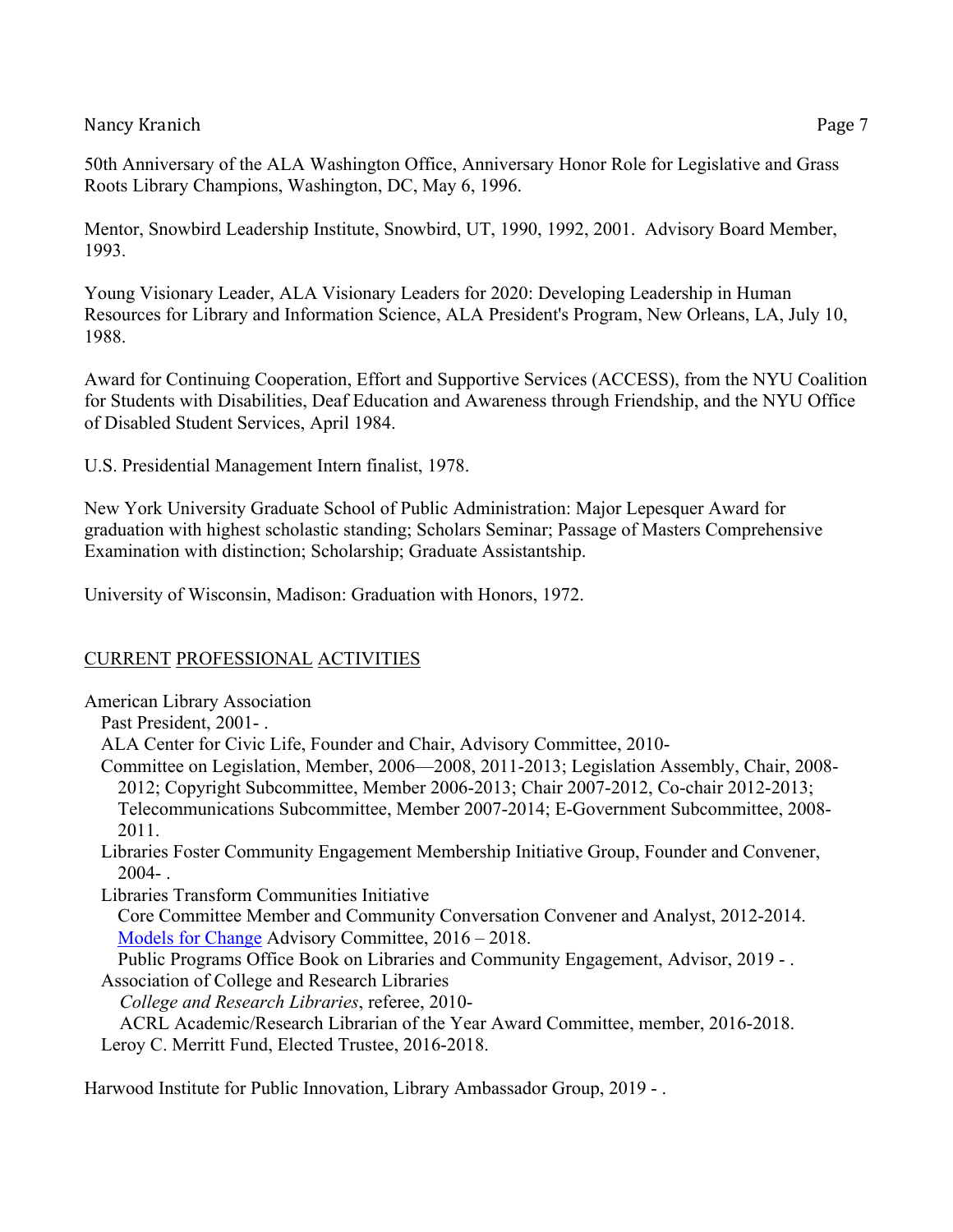Mentor, Snowbird Leadership Institute, Snowbird, UT, 1990, 1992, 2001. Advisory Board Member, 1993.

Young Visionary Leader, ALA Visionary Leaders for 2020: Developing Leadership in Human Resources for Library and Information Science, ALA President's Program, New Orleans, LA, July 10, 1988.

Award for Continuing Cooperation, Effort and Supportive Services (ACCESS), from the NYU Coalition for Students with Disabilities, Deaf Education and Awareness through Friendship, and the NYU Office of Disabled Student Services, April 1984.

U.S. Presidential Management Intern finalist, 1978.

New York University Graduate School of Public Administration: Major Lepesquer Award for graduation with highest scholastic standing; Scholars Seminar; Passage of Masters Comprehensive Examination with distinction; Scholarship; Graduate Assistantship.

University of Wisconsin, Madison: Graduation with Honors, 1972.

# CURRENT PROFESSIONAL ACTIVITIES

American Library Association

Past President, 2001- .

ALA Center for Civic Life, Founder and Chair, Advisory Committee, 2010-

Committee on Legislation, Member, 2006—2008, 2011-2013; Legislation Assembly, Chair, 2008- 2012; Copyright Subcommittee, Member 2006-2013; Chair 2007-2012, Co-chair 2012-2013; Telecommunications Subcommittee, Member 2007-2014; E-Government Subcommittee, 2008- 2011.

Libraries Foster Community Engagement Membership Initiative Group, Founder and Convener,  $2004 - .$ 

Libraries Transform Communities Initiative

Core Committee Member and Community Conversation Convener and Analyst, 2012-2014. Models for Change Advisory Committee, 2016 – 2018.

Public Programs Office Book on Libraries and Community Engagement, Advisor, 2019 - . Association of College and Research Libraries

*College and Research Libraries*, referee, 2010-

 ACRL Academic/Research Librarian of the Year Award Committee, member, 2016-2018. Leroy C. Merritt Fund, Elected Trustee, 2016-2018.

Harwood Institute for Public Innovation, Library Ambassador Group, 2019 - .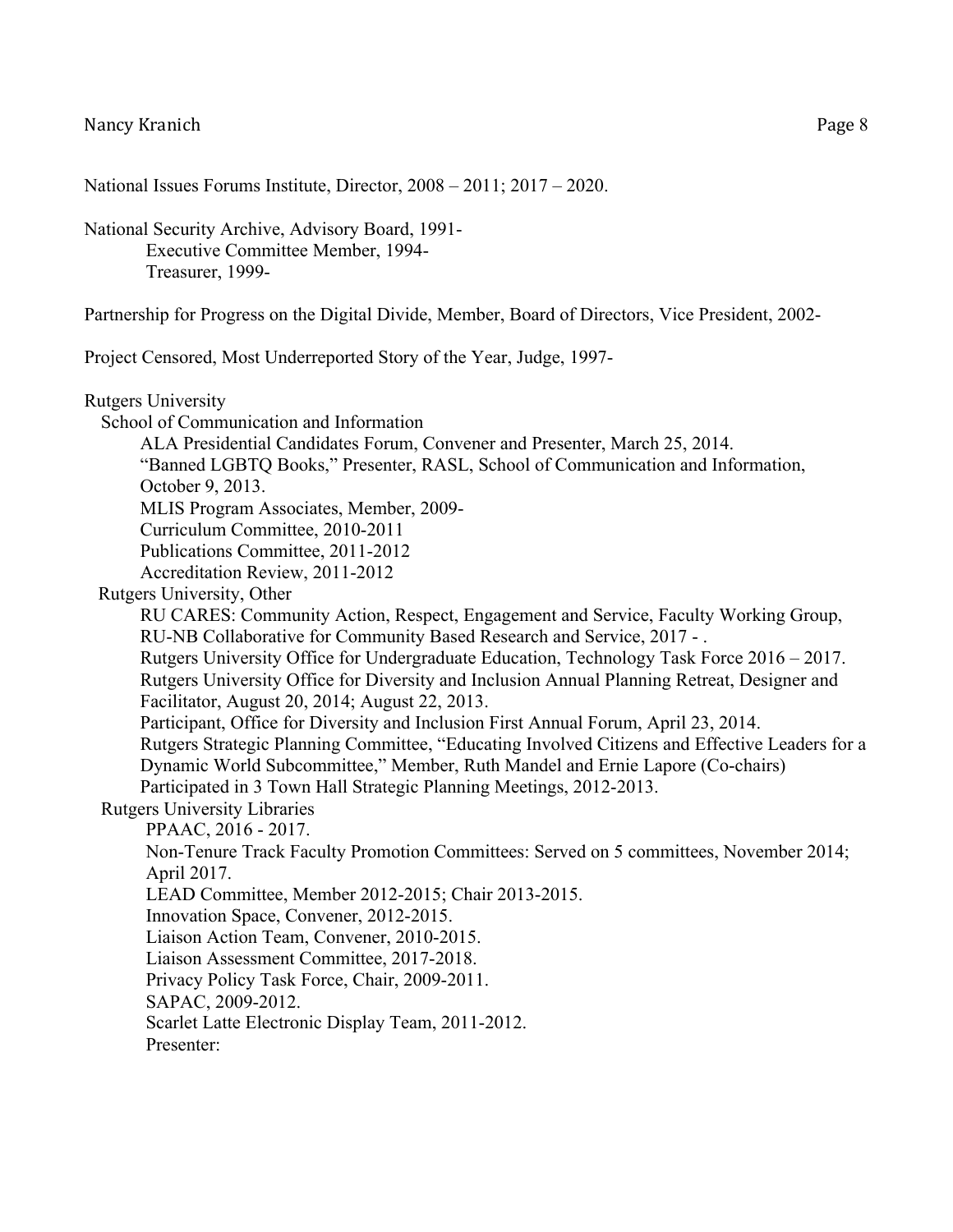Rutgers University

National Issues Forums Institute, Director, 2008 – 2011; 2017 – 2020.

National Security Archive, Advisory Board, 1991- Executive Committee Member, 1994- Treasurer, 1999-

Partnership for Progress on the Digital Divide, Member, Board of Directors, Vice President, 2002-

Project Censored, Most Underreported Story of the Year, Judge, 1997-

School of Communication and Information ALA Presidential Candidates Forum, Convener and Presenter, March 25, 2014. "Banned LGBTQ Books," Presenter, RASL, School of Communication and Information, October 9, 2013. MLIS Program Associates, Member, 2009- Curriculum Committee, 2010-2011 Publications Committee, 2011-2012 Accreditation Review, 2011-2012 Rutgers University, Other RU CARES: Community Action, Respect, Engagement and Service, Faculty Working Group, RU-NB Collaborative for Community Based Research and Service, 2017 - . Rutgers University Office for Undergraduate Education, Technology Task Force 2016 – 2017. Rutgers University Office for Diversity and Inclusion Annual Planning Retreat, Designer and Facilitator, August 20, 2014; August 22, 2013. Participant, Office for Diversity and Inclusion First Annual Forum, April 23, 2014. Rutgers Strategic Planning Committee, "Educating Involved Citizens and Effective Leaders for a Dynamic World Subcommittee," Member, Ruth Mandel and Ernie Lapore (Co-chairs) Participated in 3 Town Hall Strategic Planning Meetings, 2012-2013. Rutgers University Libraries PPAAC, 2016 - 2017. Non-Tenure Track Faculty Promotion Committees: Served on 5 committees, November 2014; April 2017. LEAD Committee, Member 2012-2015; Chair 2013-2015. Innovation Space, Convener, 2012-2015. Liaison Action Team, Convener, 2010-2015. Liaison Assessment Committee, 2017-2018. Privacy Policy Task Force, Chair, 2009-2011. SAPAC, 2009-2012. Scarlet Latte Electronic Display Team, 2011-2012. Presenter: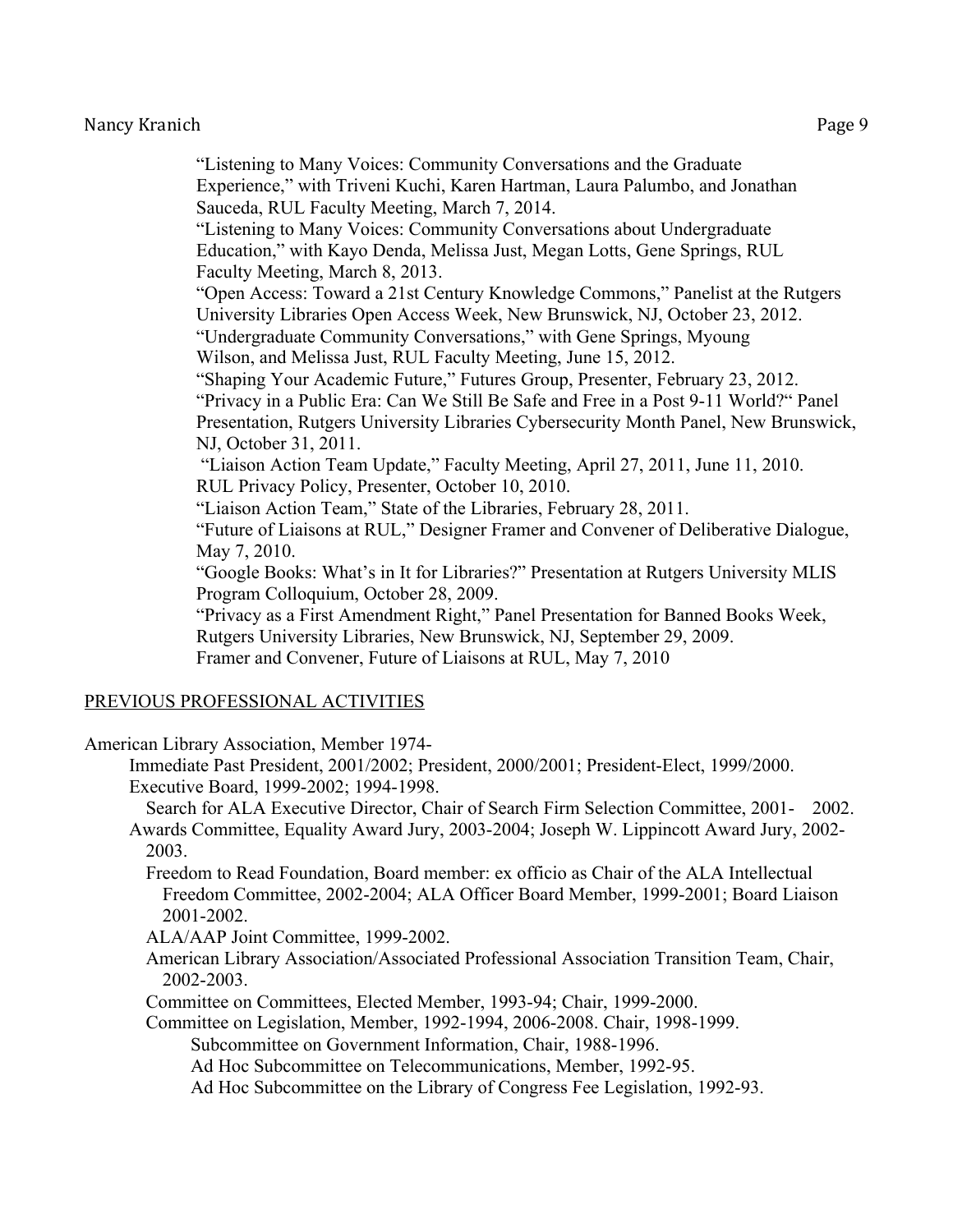"Listening to Many Voices: Community Conversations and the Graduate Experience," with Triveni Kuchi, Karen Hartman, Laura Palumbo, and Jonathan Sauceda, RUL Faculty Meeting, March 7, 2014. "Listening to Many Voices: Community Conversations about Undergraduate Education," with Kayo Denda, Melissa Just, Megan Lotts, Gene Springs, RUL Faculty Meeting, March 8, 2013. "Open Access: Toward a 21st Century Knowledge Commons," Panelist at the Rutgers University Libraries Open Access Week, New Brunswick, NJ, October 23, 2012. "Undergraduate Community Conversations," with Gene Springs, Myoung Wilson, and Melissa Just, RUL Faculty Meeting, June 15, 2012. "Shaping Your Academic Future," Futures Group, Presenter, February 23, 2012. "Privacy in a Public Era: Can We Still Be Safe and Free in a Post 9-11 World?" Panel Presentation, Rutgers University Libraries Cybersecurity Month Panel, New Brunswick, NJ, October 31, 2011. "Liaison Action Team Update," Faculty Meeting, April 27, 2011, June 11, 2010. RUL Privacy Policy, Presenter, October 10, 2010. "Liaison Action Team," State of the Libraries, February 28, 2011. "Future of Liaisons at RUL," Designer Framer and Convener of Deliberative Dialogue, May 7, 2010. "Google Books: What's in It for Libraries?" Presentation at Rutgers University MLIS Program Colloquium, October 28, 2009. "Privacy as a First Amendment Right," Panel Presentation for Banned Books Week, Rutgers University Libraries, New Brunswick, NJ, September 29, 2009. Framer and Convener, Future of Liaisons at RUL, May 7, 2010

#### PREVIOUS PROFESSIONAL ACTIVITIES

American Library Association, Member 1974-

Immediate Past President, 2001/2002; President, 2000/2001; President-Elect, 1999/2000. Executive Board, 1999-2002; 1994-1998.

- Search for ALA Executive Director, Chair of Search Firm Selection Committee, 2001- 2002. Awards Committee, Equality Award Jury, 2003-2004; Joseph W. Lippincott Award Jury, 2002- 2003.
	- Freedom to Read Foundation, Board member: ex officio as Chair of the ALA Intellectual Freedom Committee, 2002-2004; ALA Officer Board Member, 1999-2001; Board Liaison 2001-2002.
	- ALA/AAP Joint Committee, 1999-2002.
	- American Library Association/Associated Professional Association Transition Team, Chair, 2002-2003.
	- Committee on Committees, Elected Member, 1993-94; Chair, 1999-2000.

Committee on Legislation, Member, 1992-1994, 2006-2008. Chair, 1998-1999.

Subcommittee on Government Information, Chair, 1988-1996.

Ad Hoc Subcommittee on Telecommunications, Member, 1992-95.

Ad Hoc Subcommittee on the Library of Congress Fee Legislation, 1992-93.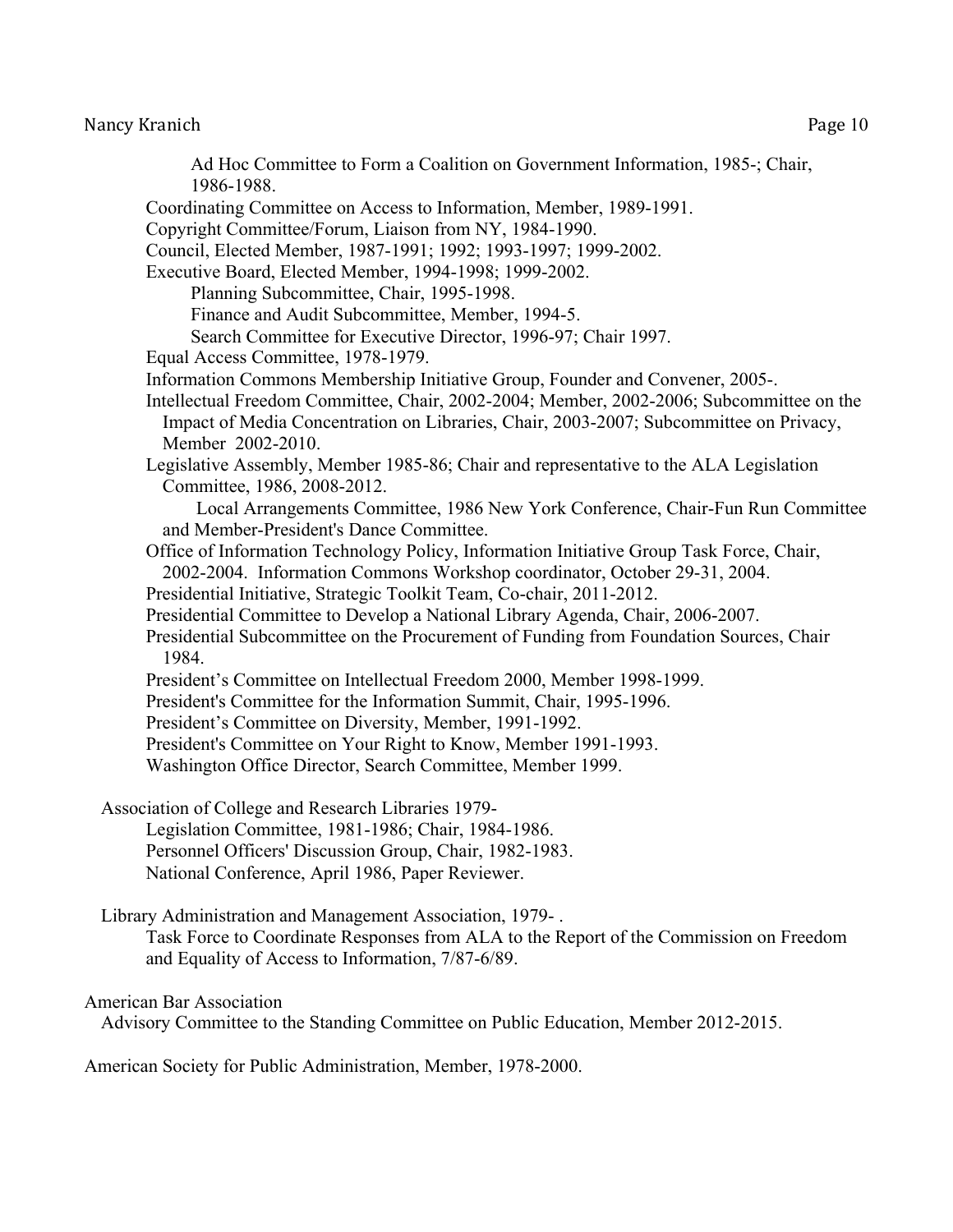Ad Hoc Committee to Form a Coalition on Government Information, 1985-; Chair, 1986-1988. Coordinating Committee on Access to Information, Member, 1989-1991. Copyright Committee/Forum, Liaison from NY, 1984-1990. Council, Elected Member, 1987-1991; 1992; 1993-1997; 1999-2002. Executive Board, Elected Member, 1994-1998; 1999-2002. Planning Subcommittee, Chair, 1995-1998. Finance and Audit Subcommittee, Member, 1994-5. Search Committee for Executive Director, 1996-97; Chair 1997. Equal Access Committee, 1978-1979. Information Commons Membership Initiative Group, Founder and Convener, 2005-. Intellectual Freedom Committee, Chair, 2002-2004; Member, 2002-2006; Subcommittee on the Impact of Media Concentration on Libraries, Chair, 2003-2007; Subcommittee on Privacy, Member 2002-2010. Legislative Assembly, Member 1985-86; Chair and representative to the ALA Legislation Committee, 1986, 2008-2012. Local Arrangements Committee, 1986 New York Conference, Chair-Fun Run Committee and Member-President's Dance Committee. Office of Information Technology Policy, Information Initiative Group Task Force, Chair, 2002-2004. Information Commons Workshop coordinator, October 29-31, 2004. Presidential Initiative, Strategic Toolkit Team, Co-chair, 2011-2012. Presidential Committee to Develop a National Library Agenda, Chair, 2006-2007. Presidential Subcommittee on the Procurement of Funding from Foundation Sources, Chair 1984. President's Committee on Intellectual Freedom 2000, Member 1998-1999. President's Committee for the Information Summit, Chair, 1995-1996. President's Committee on Diversity, Member, 1991-1992. President's Committee on Your Right to Know, Member 1991-1993. Washington Office Director, Search Committee, Member 1999. Association of College and Research Libraries 1979- Legislation Committee, 1981-1986; Chair, 1984-1986. Personnel Officers' Discussion Group, Chair, 1982-1983. National Conference, April 1986, Paper Reviewer.

Library Administration and Management Association, 1979- .

Task Force to Coordinate Responses from ALA to the Report of the Commission on Freedom and Equality of Access to Information, 7/87-6/89.

#### American Bar Association

Advisory Committee to the Standing Committee on Public Education, Member 2012-2015.

American Society for Public Administration, Member, 1978-2000.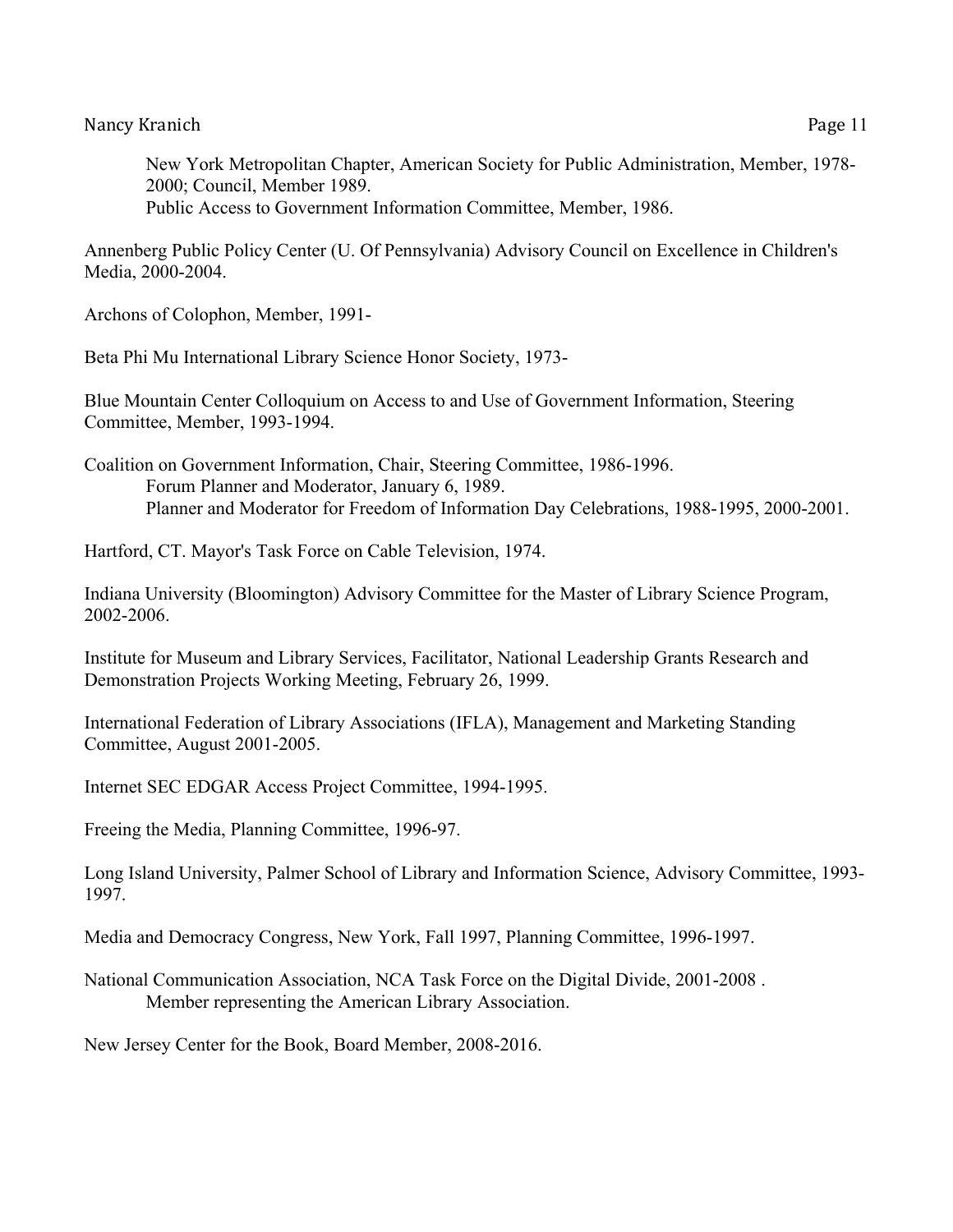New York Metropolitan Chapter, American Society for Public Administration, Member, 1978- 2000; Council, Member 1989. Public Access to Government Information Committee, Member, 1986.

Annenberg Public Policy Center (U. Of Pennsylvania) Advisory Council on Excellence in Children's Media, 2000-2004.

Archons of Colophon, Member, 1991-

Beta Phi Mu International Library Science Honor Society, 1973-

Blue Mountain Center Colloquium on Access to and Use of Government Information, Steering Committee, Member, 1993-1994.

Coalition on Government Information, Chair, Steering Committee, 1986-1996. Forum Planner and Moderator, January 6, 1989. Planner and Moderator for Freedom of Information Day Celebrations, 1988-1995, 2000-2001.

Hartford, CT. Mayor's Task Force on Cable Television, 1974.

Indiana University (Bloomington) Advisory Committee for the Master of Library Science Program, 2002-2006.

Institute for Museum and Library Services, Facilitator, National Leadership Grants Research and Demonstration Projects Working Meeting, February 26, 1999.

International Federation of Library Associations (IFLA), Management and Marketing Standing Committee, August 2001-2005.

Internet SEC EDGAR Access Project Committee, 1994-1995.

Freeing the Media, Planning Committee, 1996-97.

Long Island University, Palmer School of Library and Information Science, Advisory Committee, 1993- 1997.

Media and Democracy Congress, New York, Fall 1997, Planning Committee, 1996-1997.

National Communication Association, NCA Task Force on the Digital Divide, 2001-2008 . Member representing the American Library Association.

New Jersey Center for the Book, Board Member, 2008-2016.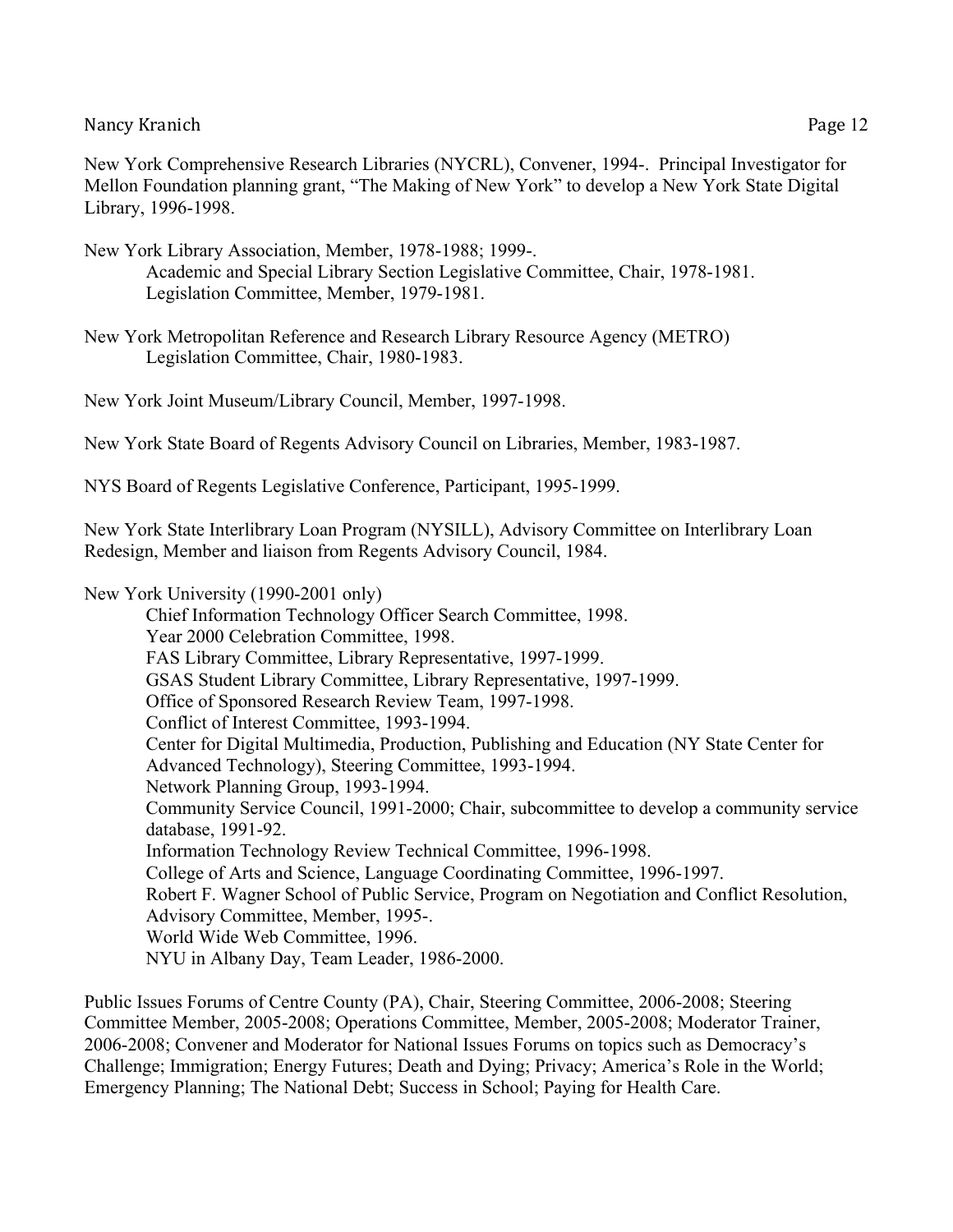New York Comprehensive Research Libraries (NYCRL), Convener, 1994-. Principal Investigator for Mellon Foundation planning grant, "The Making of New York" to develop a New York State Digital Library, 1996-1998.

- New York Library Association, Member, 1978-1988; 1999-. Academic and Special Library Section Legislative Committee, Chair, 1978-1981. Legislation Committee, Member, 1979-1981.
- New York Metropolitan Reference and Research Library Resource Agency (METRO) Legislation Committee, Chair, 1980-1983.

New York Joint Museum/Library Council, Member, 1997-1998.

New York State Board of Regents Advisory Council on Libraries, Member, 1983-1987.

NYS Board of Regents Legislative Conference, Participant, 1995-1999.

New York State Interlibrary Loan Program (NYSILL), Advisory Committee on Interlibrary Loan Redesign, Member and liaison from Regents Advisory Council, 1984.

New York University (1990-2001 only)

Chief Information Technology Officer Search Committee, 1998. Year 2000 Celebration Committee, 1998. FAS Library Committee, Library Representative, 1997-1999. GSAS Student Library Committee, Library Representative, 1997-1999. Office of Sponsored Research Review Team, 1997-1998. Conflict of Interest Committee, 1993-1994. Center for Digital Multimedia, Production, Publishing and Education (NY State Center for Advanced Technology), Steering Committee, 1993-1994. Network Planning Group, 1993-1994. Community Service Council, 1991-2000; Chair, subcommittee to develop a community service database, 1991-92. Information Technology Review Technical Committee, 1996-1998. College of Arts and Science, Language Coordinating Committee, 1996-1997. Robert F. Wagner School of Public Service, Program on Negotiation and Conflict Resolution, Advisory Committee, Member, 1995-. World Wide Web Committee, 1996. NYU in Albany Day, Team Leader, 1986-2000.

Public Issues Forums of Centre County (PA), Chair, Steering Committee, 2006-2008; Steering Committee Member, 2005-2008; Operations Committee, Member, 2005-2008; Moderator Trainer, 2006-2008; Convener and Moderator for National Issues Forums on topics such as Democracy's Challenge; Immigration; Energy Futures; Death and Dying; Privacy; America's Role in the World; Emergency Planning; The National Debt; Success in School; Paying for Health Care.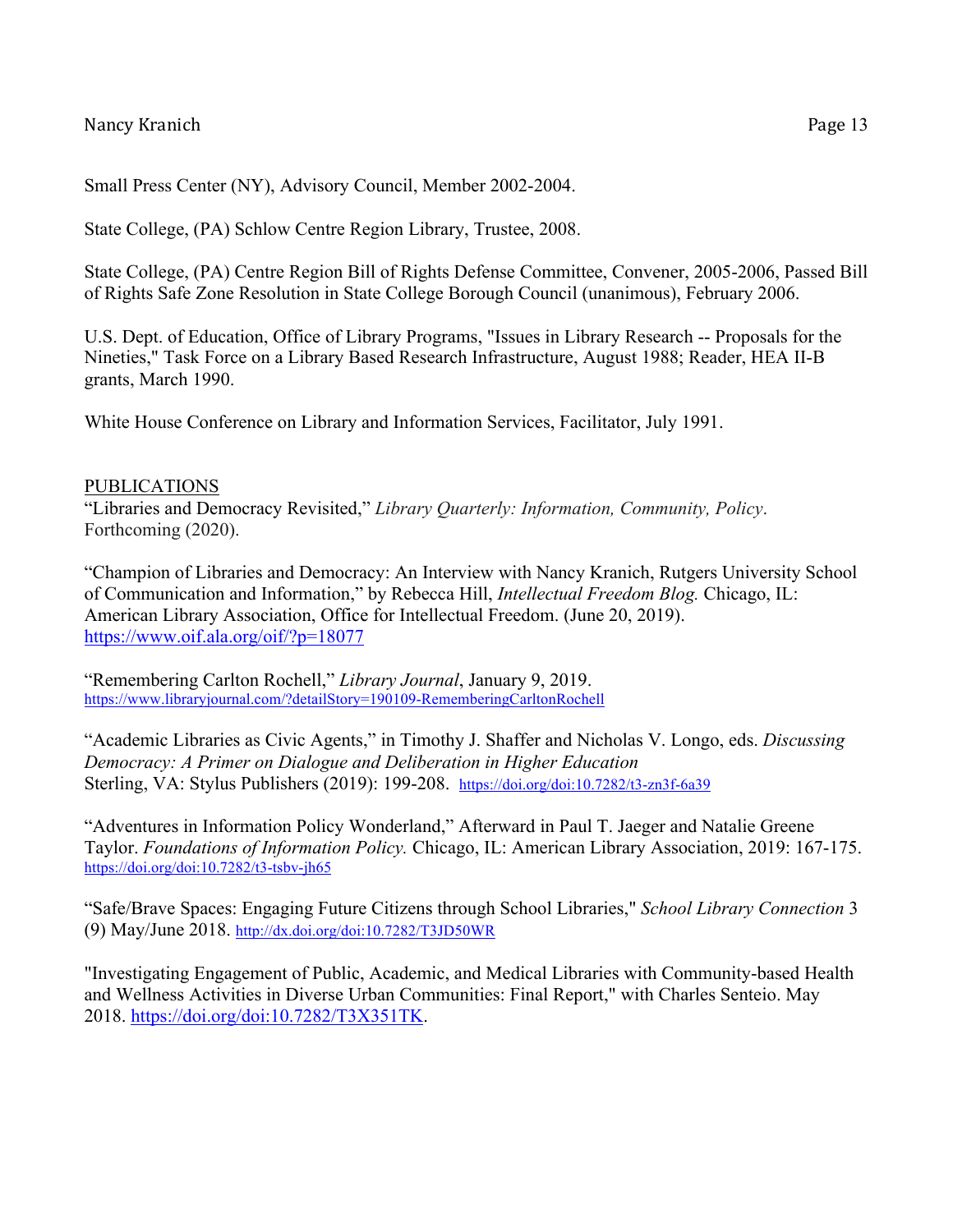Small Press Center (NY), Advisory Council, Member 2002-2004.

State College, (PA) Schlow Centre Region Library, Trustee, 2008.

State College, (PA) Centre Region Bill of Rights Defense Committee, Convener, 2005-2006, Passed Bill of Rights Safe Zone Resolution in State College Borough Council (unanimous), February 2006.

U.S. Dept. of Education, Office of Library Programs, "Issues in Library Research -- Proposals for the Nineties," Task Force on a Library Based Research Infrastructure, August 1988; Reader, HEA II-B grants, March 1990.

White House Conference on Library and Information Services, Facilitator, July 1991.

#### PUBLICATIONS

"Libraries and Democracy Revisited," *Library Quarterly: Information, Community, Policy*. Forthcoming (2020).

"Champion of Libraries and Democracy: An Interview with Nancy Kranich, Rutgers University School of Communication and Information," by Rebecca Hill, *Intellectual Freedom Blog.* Chicago, IL: American Library Association, Office for Intellectual Freedom. (June 20, 2019). https://www.oif.ala.org/oif/?p=18077

"Remembering Carlton Rochell," *Library Journal*, January 9, 2019. https://www.libraryjournal.com/?detailStory=190109-RememberingCarltonRochell

"Academic Libraries as Civic Agents," in Timothy J. Shaffer and Nicholas V. Longo, eds. *Discussing Democracy: A Primer on Dialogue and Deliberation in Higher Education* Sterling, VA: Stylus Publishers (2019): 199-208. https://doi.org/doi:10.7282/t3-zn3f-6a39

"Adventures in Information Policy Wonderland," Afterward in Paul T. Jaeger and Natalie Greene Taylor. *Foundations of Information Policy.* Chicago, IL: American Library Association, 2019: 167-175. https://doi.org/doi:10.7282/t3-tsbv-jh65

"Safe/Brave Spaces: Engaging Future Citizens through School Libraries," *School Library Connection* 3 (9) May/June 2018. http://dx.doi.org/doi:10.7282/T3JD50WR

"Investigating Engagement of Public, Academic, and Medical Libraries with Community-based Health and Wellness Activities in Diverse Urban Communities: Final Report," with Charles Senteio. May 2018. https://doi.org/doi:10.7282/T3X351TK.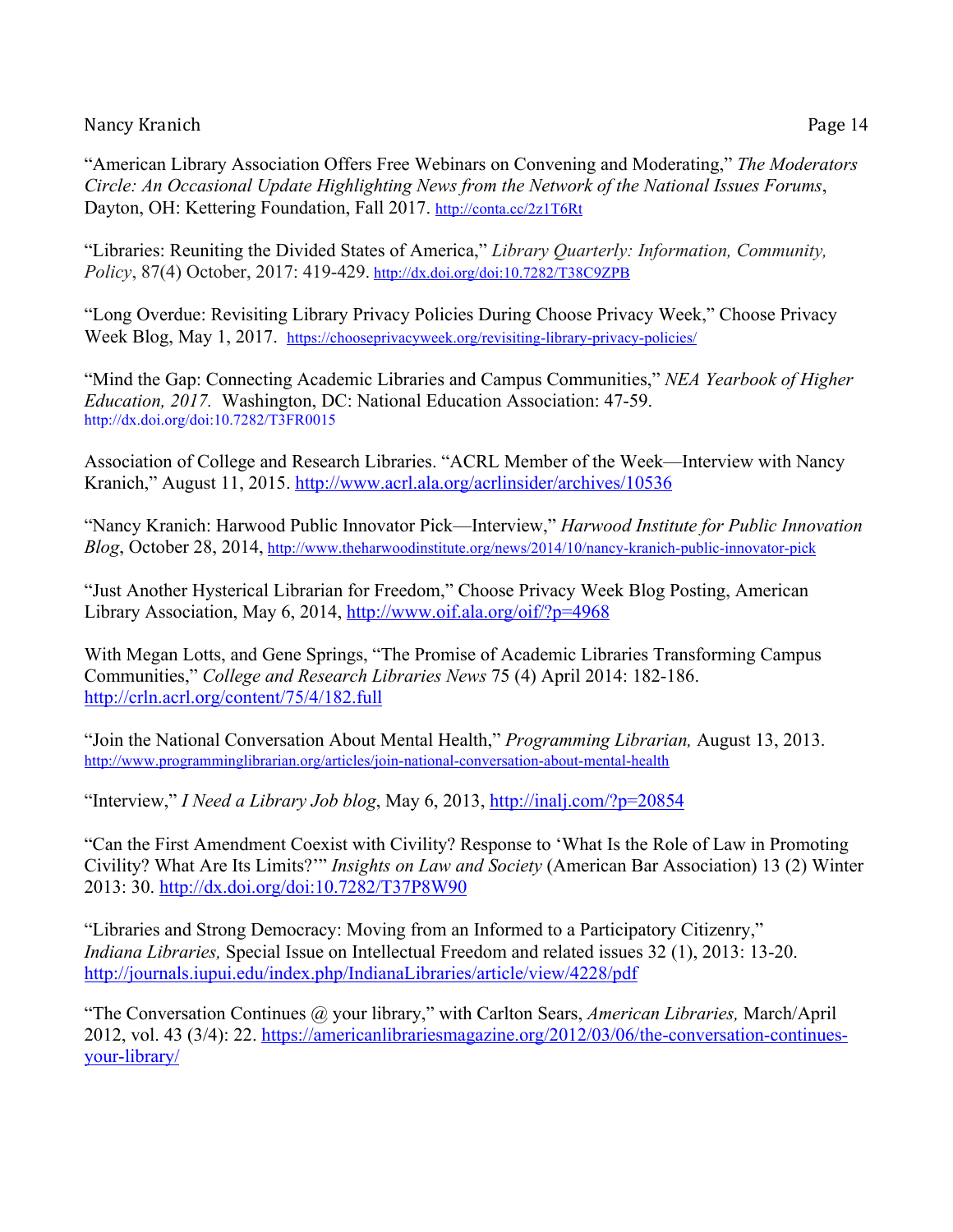"American Library Association Offers Free Webinars on Convening and Moderating," *The Moderators Circle: An Occasional Update Highlighting News from the Network of the National Issues Forums*, Dayton, OH: Kettering Foundation, Fall 2017. http://conta.cc/2z1T6Rt

"Libraries: Reuniting the Divided States of America," *Library Quarterly: Information, Community, Policy*, 87(4) October, 2017: 419-429. http://dx.doi.org/doi:10.7282/T38C9ZPB

"Long Overdue: Revisiting Library Privacy Policies During Choose Privacy Week," Choose Privacy Week Blog, May 1, 2017. https://chooseprivacyweek.org/revisiting-library-privacy-policies/

"Mind the Gap: Connecting Academic Libraries and Campus Communities," *NEA Yearbook of Higher Education, 2017.* Washington, DC: National Education Association: 47-59. http://dx.doi.org/doi:10.7282/T3FR0015

Association of College and Research Libraries. "ACRL Member of the Week—Interview with Nancy Kranich," August 11, 2015. http://www.acrl.ala.org/acrlinsider/archives/10536

"Nancy Kranich: Harwood Public Innovator Pick—Interview," *Harwood Institute for Public Innovation Blog*, October 28, 2014, http://www.theharwoodinstitute.org/news/2014/10/nancy-kranich-public-innovator-pick

"Just Another Hysterical Librarian for Freedom," Choose Privacy Week Blog Posting, American Library Association, May 6, 2014, http://www.oif.ala.org/oif/?p=4968

With Megan Lotts, and Gene Springs, "The Promise of Academic Libraries Transforming Campus Communities," *College and Research Libraries News* 75 (4) April 2014: 182-186. http://crln.acrl.org/content/75/4/182.full

"Join the National Conversation About Mental Health," *Programming Librarian,* August 13, 2013. http://www.programminglibrarian.org/articles/join-national-conversation-about-mental-health

"Interview," *I Need a Library Job blog*, May 6, 2013, http://inalj.com/?p=20854

"Can the First Amendment Coexist with Civility? Response to 'What Is the Role of Law in Promoting Civility? What Are Its Limits?'" *Insights on Law and Society* (American Bar Association) 13 (2) Winter 2013: 30. http://dx.doi.org/doi:10.7282/T37P8W90

"Libraries and Strong Democracy: Moving from an Informed to a Participatory Citizenry," *Indiana Libraries,* Special Issue on Intellectual Freedom and related issues 32 (1), 2013: 13-20. http://journals.iupui.edu/index.php/IndianaLibraries/article/view/4228/pdf

"The Conversation Continues @ your library," with Carlton Sears, *American Libraries,* March/April 2012, vol. 43 (3/4): 22. https://americanlibrariesmagazine.org/2012/03/06/the-conversation-continuesyour-library/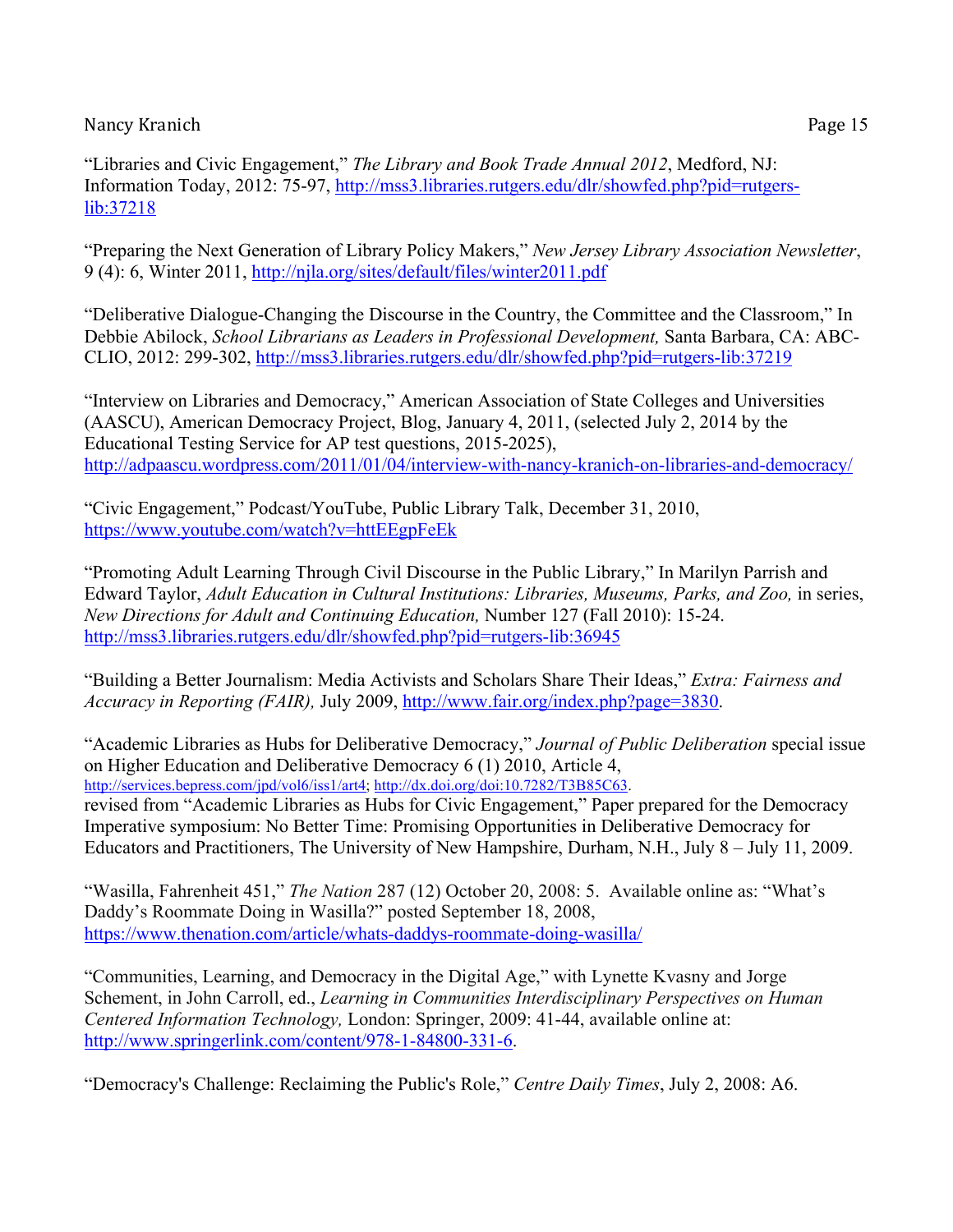"Libraries and Civic Engagement," *The Library and Book Trade Annual 2012*, Medford, NJ: Information Today, 2012: 75-97, http://mss3.libraries.rutgers.edu/dlr/showfed.php?pid=rutgerslib:37218

"Preparing the Next Generation of Library Policy Makers," *New Jersey Library Association Newsletter*, 9 (4): 6, Winter 2011, http://njla.org/sites/default/files/winter2011.pdf

"Deliberative Dialogue-Changing the Discourse in the Country, the Committee and the Classroom," In Debbie Abilock, *School Librarians as Leaders in Professional Development,* Santa Barbara, CA: ABC-CLIO, 2012: 299-302, http://mss3.libraries.rutgers.edu/dlr/showfed.php?pid=rutgers-lib:37219

"Interview on Libraries and Democracy," American Association of State Colleges and Universities (AASCU), American Democracy Project, Blog, January 4, 2011, (selected July 2, 2014 by the Educational Testing Service for AP test questions, 2015-2025), http://adpaascu.wordpress.com/2011/01/04/interview-with-nancy-kranich-on-libraries-and-democracy/

"Civic Engagement," Podcast/YouTube, Public Library Talk, December 31, 2010, https://www.youtube.com/watch?v=httEEgpFeEk

"Promoting Adult Learning Through Civil Discourse in the Public Library," In Marilyn Parrish and Edward Taylor, *Adult Education in Cultural Institutions: Libraries, Museums, Parks, and Zoo,* in series, *New Directions for Adult and Continuing Education,* Number 127 (Fall 2010): 15-24. http://mss3.libraries.rutgers.edu/dlr/showfed.php?pid=rutgers-lib:36945

"Building a Better Journalism: Media Activists and Scholars Share Their Ideas," *Extra: Fairness and Accuracy in Reporting (FAIR),* July 2009, http://www.fair.org/index.php?page=3830.

"Academic Libraries as Hubs for Deliberative Democracy," *Journal of Public Deliberation* special issue on Higher Education and Deliberative Democracy 6 (1) 2010, Article 4, http://services.bepress.com/jpd/vol6/iss1/art4; http://dx.doi.org/doi:10.7282/T3B85C63. revised from "Academic Libraries as Hubs for Civic Engagement," Paper prepared for the Democracy Imperative symposium: No Better Time: Promising Opportunities in Deliberative Democracy for Educators and Practitioners, The University of New Hampshire, Durham, N.H., July 8 – July 11, 2009.

"Wasilla, Fahrenheit 451," *The Nation* 287 (12) October 20, 2008: 5. Available online as: "What's Daddy's Roommate Doing in Wasilla?" posted September 18, 2008, https://www.thenation.com/article/whats-daddys-roommate-doing-wasilla/

"Communities, Learning, and Democracy in the Digital Age," with Lynette Kvasny and Jorge Schement, in John Carroll, ed., *Learning in Communities Interdisciplinary Perspectives on Human Centered Information Technology,* London: Springer, 2009: 41-44, available online at: http://www.springerlink.com/content/978-1-84800-331-6.

"Democracy's Challenge: Reclaiming the Public's Role," *Centre Daily Times*, July 2, 2008: A6.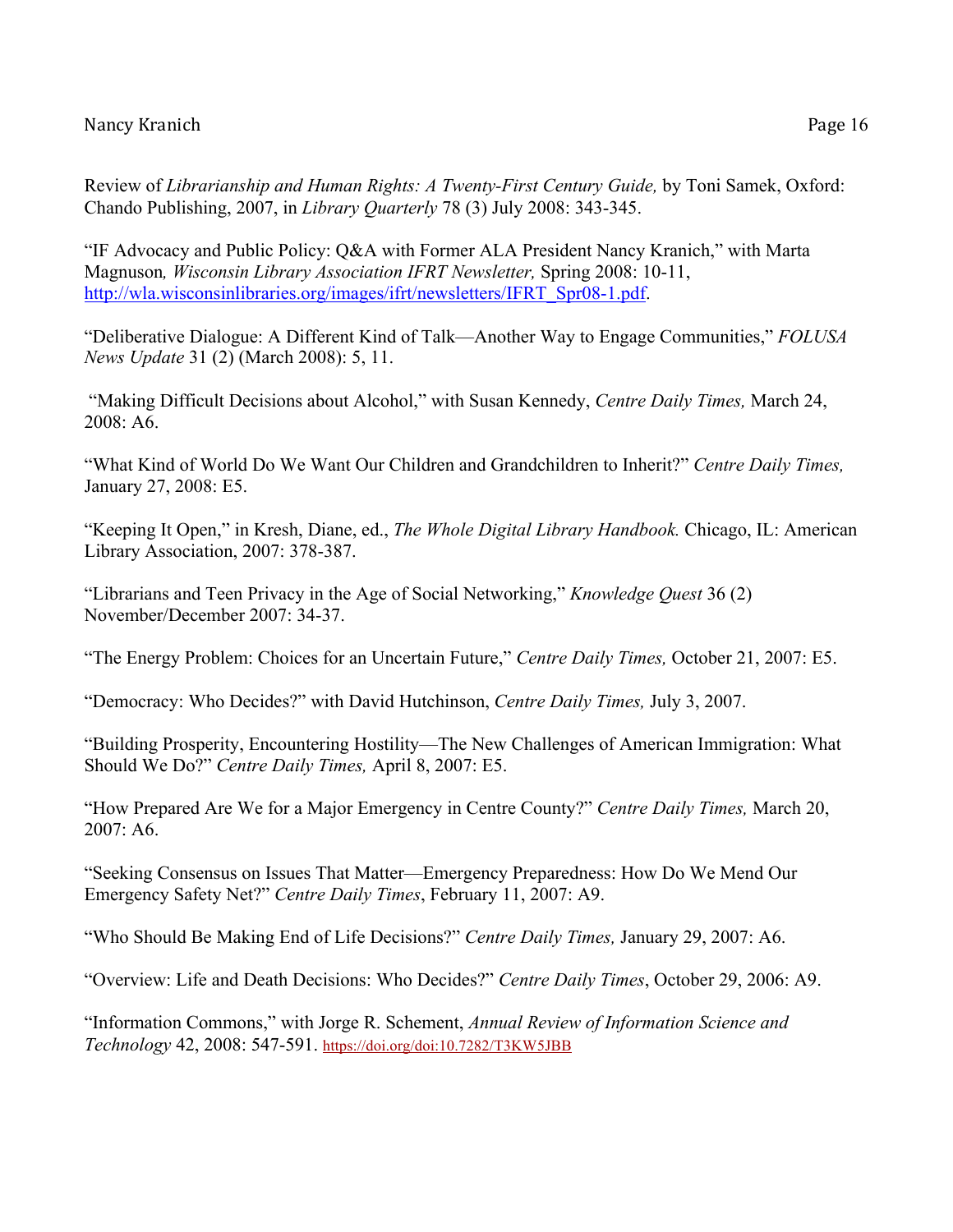"IF Advocacy and Public Policy: Q&A with Former ALA President Nancy Kranich," with Marta Magnuson*, Wisconsin Library Association IFRT Newsletter,* Spring 2008: 10-11, http://wla.wisconsinlibraries.org/images/ifrt/newsletters/IFRT\_Spr08-1.pdf.

"Deliberative Dialogue: A Different Kind of Talk—Another Way to Engage Communities," *FOLUSA News Update* 31 (2) (March 2008): 5, 11.

"Making Difficult Decisions about Alcohol," with Susan Kennedy, *Centre Daily Times,* March 24, 2008: A6.

"What Kind of World Do We Want Our Children and Grandchildren to Inherit?" *Centre Daily Times,*  January 27, 2008: E5.

"Keeping It Open," in Kresh, Diane, ed., *The Whole Digital Library Handbook.* Chicago, IL: American Library Association, 2007: 378-387.

"Librarians and Teen Privacy in the Age of Social Networking," *Knowledge Quest* 36 (2) November/December 2007: 34-37.

"The Energy Problem: Choices for an Uncertain Future," *Centre Daily Times,* October 21, 2007: E5.

"Democracy: Who Decides?" with David Hutchinson, *Centre Daily Times,* July 3, 2007.

"Building Prosperity, Encountering Hostility—The New Challenges of American Immigration: What Should We Do?" *Centre Daily Times,* April 8, 2007: E5.

"How Prepared Are We for a Major Emergency in Centre County?" *Centre Daily Times,* March 20, 2007: A6.

"Seeking Consensus on Issues That Matter—Emergency Preparedness: How Do We Mend Our Emergency Safety Net?" *Centre Daily Times*, February 11, 2007: A9.

"Who Should Be Making End of Life Decisions?" *Centre Daily Times,* January 29, 2007: A6.

"Overview: Life and Death Decisions: Who Decides?" *Centre Daily Times*, October 29, 2006: A9.

"Information Commons," with Jorge R. Schement, *Annual Review of Information Science and Technology* 42, 2008: 547-591. https://doi.org/doi:10.7282/T3KW5JBB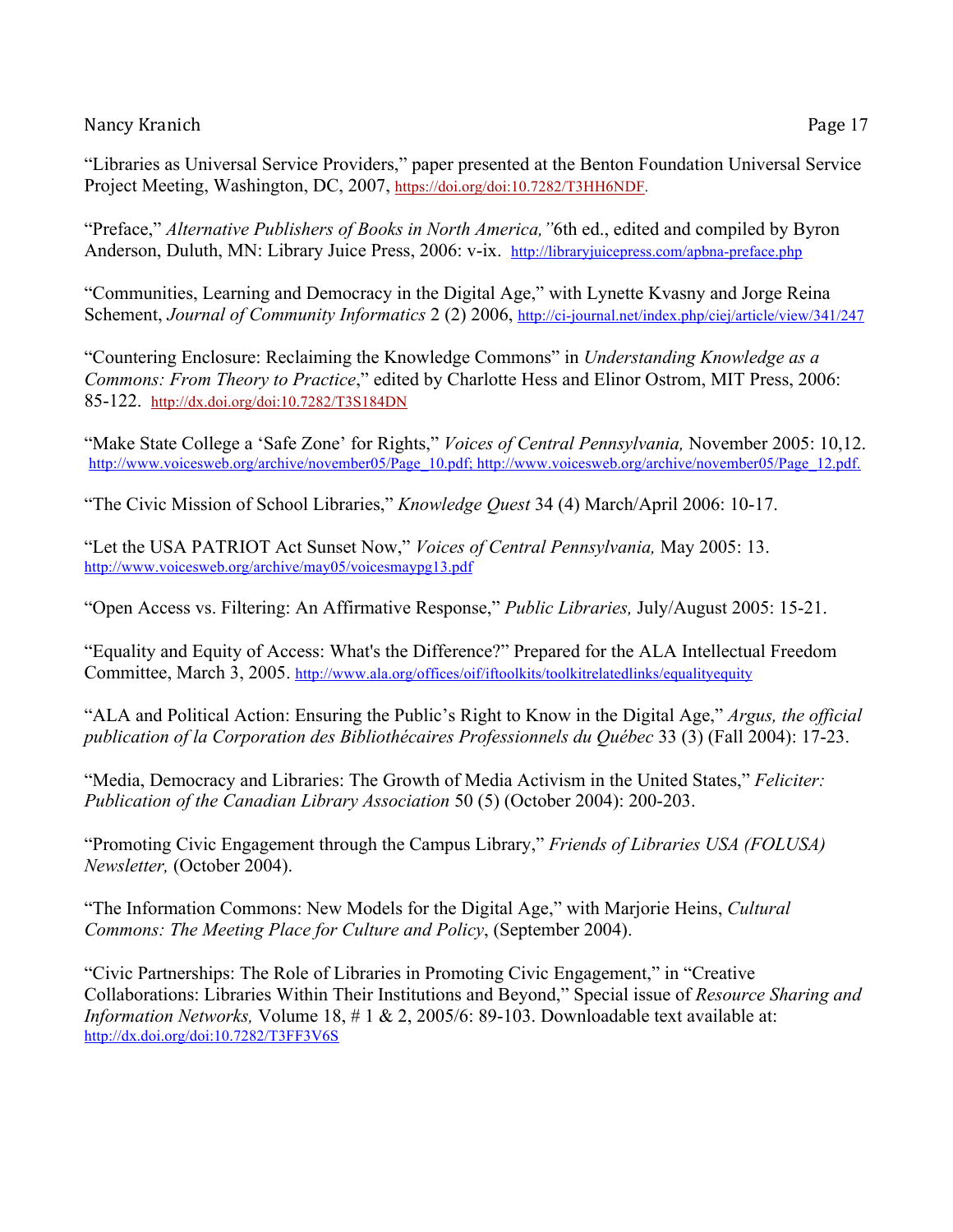"Libraries as Universal Service Providers," paper presented at the Benton Foundation Universal Service Project Meeting, Washington, DC, 2007, https://doi.org/doi:10.7282/T3HH6NDF.

"Preface," *Alternative Publishers of Books in North America,"*6th ed., edited and compiled by Byron Anderson, Duluth, MN: Library Juice Press, 2006: v-ix. http://libraryjuicepress.com/apbna-preface.php

"Communities, Learning and Democracy in the Digital Age," with Lynette Kvasny and Jorge Reina Schement, *Journal of Community Informatics* 2 (2) 2006, http://ci-journal.net/index.php/ciej/article/view/341/247

"Countering Enclosure: Reclaiming the Knowledge Commons" in *Understanding Knowledge as a Commons: From Theory to Practice*," edited by Charlotte Hess and Elinor Ostrom, MIT Press, 2006: 85-122. http://dx.doi.org/doi:10.7282/T3S184DN

"Make State College a 'Safe Zone' for Rights," *Voices of Central Pennsylvania,* November 2005: 10,12. http://www.voicesweb.org/archive/november05/Page\_10.pdf; http://www.voicesweb.org/archive/november05/Page\_12.pdf.

"The Civic Mission of School Libraries," *Knowledge Quest* 34 (4) March/April 2006: 10-17.

"Let the USA PATRIOT Act Sunset Now," *Voices of Central Pennsylvania,* May 2005: 13. http://www.voicesweb.org/archive/may05/voicesmaypg13.pdf

"Open Access vs. Filtering: An Affirmative Response," *Public Libraries,* July/August 2005: 15-21.

"Equality and Equity of Access: What's the Difference?" Prepared for the ALA Intellectual Freedom Committee, March 3, 2005. http://www.ala.org/offices/oif/iftoolkits/toolkitrelatedlinks/equalityequity

"ALA and Political Action: Ensuring the Public's Right to Know in the Digital Age," *Argus, the official publication of la Corporation des Bibliothécaires Professionnels du Québec* 33 (3) (Fall 2004): 17-23.

"Media, Democracy and Libraries: The Growth of Media Activism in the United States," *Feliciter: Publication of the Canadian Library Association* 50 (5) (October 2004): 200-203.

"Promoting Civic Engagement through the Campus Library," *Friends of Libraries USA (FOLUSA) Newsletter,* (October 2004).

"The Information Commons: New Models for the Digital Age," with Marjorie Heins, *Cultural Commons: The Meeting Place for Culture and Policy*, (September 2004).

"Civic Partnerships: The Role of Libraries in Promoting Civic Engagement," in "Creative Collaborations: Libraries Within Their Institutions and Beyond," Special issue of *Resource Sharing and Information Networks,* Volume 18, # 1 & 2, 2005/6: 89-103. Downloadable text available at: http://dx.doi.org/doi:10.7282/T3FF3V6S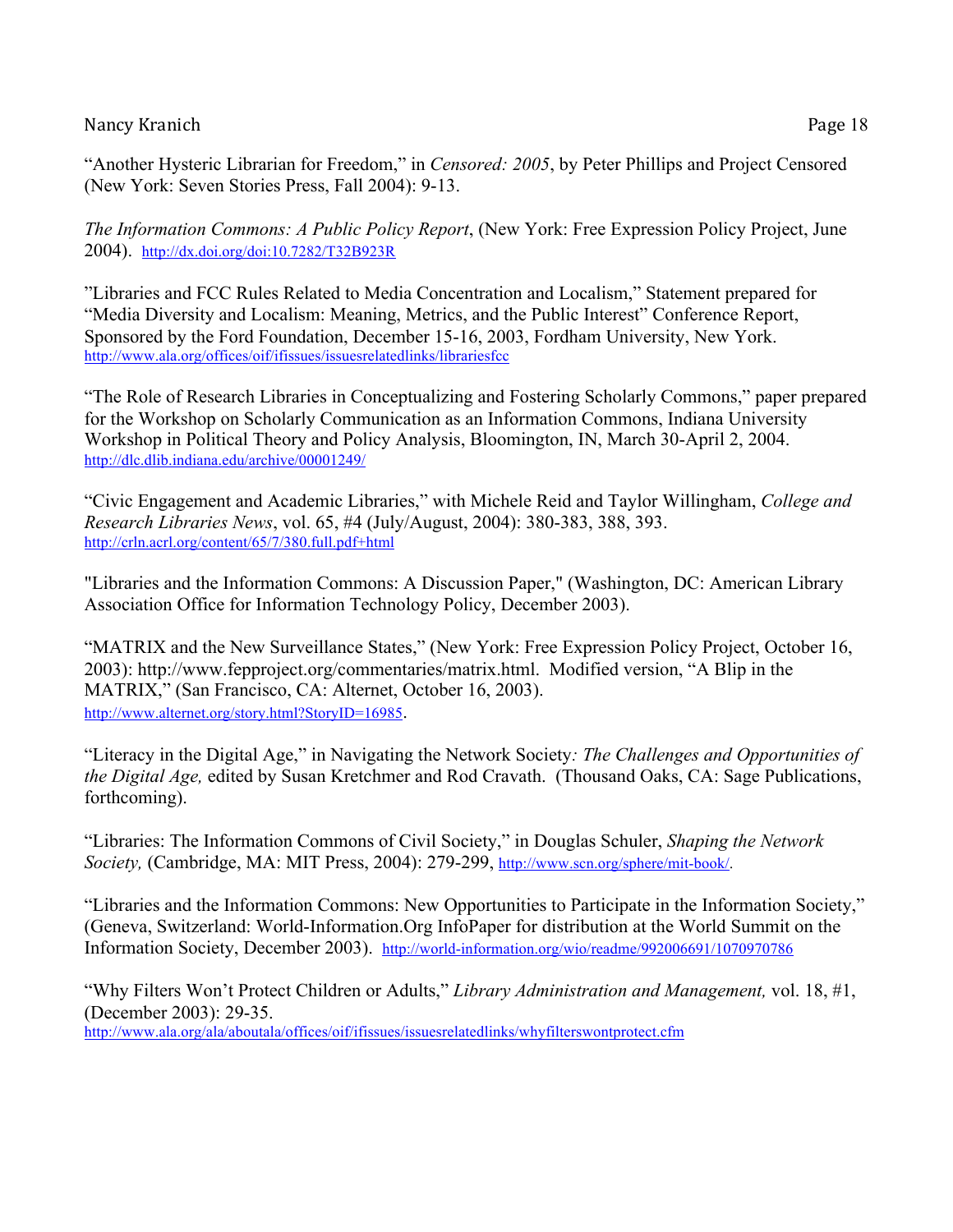"Another Hysteric Librarian for Freedom," in *Censored: 2005*, by Peter Phillips and Project Censored (New York: Seven Stories Press, Fall 2004): 9-13.

*The Information Commons: A Public Policy Report*, (New York: Free Expression Policy Project, June 2004). http://dx.doi.org/doi:10.7282/T32B923R

"Libraries and FCC Rules Related to Media Concentration and Localism," Statement prepared for "Media Diversity and Localism: Meaning, Metrics, and the Public Interest" Conference Report, Sponsored by the Ford Foundation, December 15-16, 2003, Fordham University, New York. http://www.ala.org/offices/oif/ifissues/issuesrelatedlinks/librariesfcc

"The Role of Research Libraries in Conceptualizing and Fostering Scholarly Commons," paper prepared for the Workshop on Scholarly Communication as an Information Commons, Indiana University Workshop in Political Theory and Policy Analysis, Bloomington, IN, March 30-April 2, 2004. http://dlc.dlib.indiana.edu/archive/00001249/

"Civic Engagement and Academic Libraries," with Michele Reid and Taylor Willingham, *College and Research Libraries News*, vol. 65, #4 (July/August, 2004): 380-383, 388, 393. http://crln.acrl.org/content/65/7/380.full.pdf+html

"Libraries and the Information Commons: A Discussion Paper," (Washington, DC: American Library Association Office for Information Technology Policy, December 2003).

"MATRIX and the New Surveillance States," (New York: Free Expression Policy Project, October 16, 2003): http://www.fepproject.org/commentaries/matrix.html. Modified version, "A Blip in the MATRIX," (San Francisco, CA: Alternet, October 16, 2003). http://www.alternet.org/story.html?StoryID=16985.

"Literacy in the Digital Age," in Navigating the Network Society*: The Challenges and Opportunities of the Digital Age,* edited by Susan Kretchmer and Rod Cravath. (Thousand Oaks, CA: Sage Publications, forthcoming).

"Libraries: The Information Commons of Civil Society," in Douglas Schuler, *Shaping the Network Society,* (Cambridge, MA: MIT Press, 2004): 279-299, http://www.scn.org/sphere/mit-book/.

"Libraries and the Information Commons: New Opportunities to Participate in the Information Society," (Geneva, Switzerland: World-Information.Org InfoPaper for distribution at the World Summit on the Information Society, December 2003). http://world-information.org/wio/readme/992006691/1070970786

"Why Filters Won't Protect Children or Adults," *Library Administration and Management,* vol. 18, #1, (December 2003): 29-35. http://www.ala.org/ala/aboutala/offices/oif/ifissues/issuesrelatedlinks/whyfilterswontprotect.cfm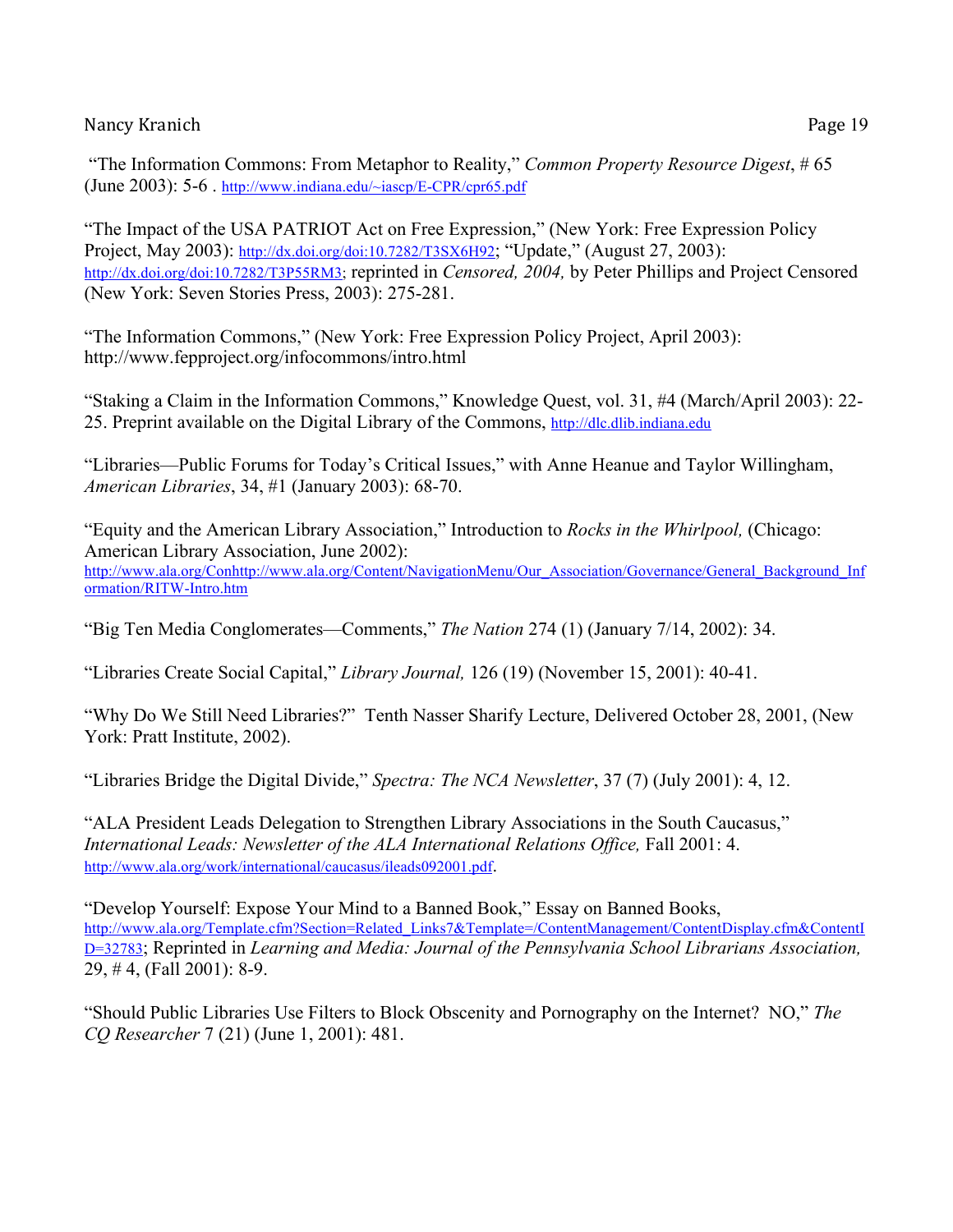"The Impact of the USA PATRIOT Act on Free Expression," (New York: Free Expression Policy Project, May 2003): http://dx.doi.org/doi:10.7282/T3SX6H92; "Update," (August 27, 2003): http://dx.doi.org/doi:10.7282/T3P55RM3; reprinted in *Censored, 2004,* by Peter Phillips and Project Censored (New York: Seven Stories Press, 2003): 275-281.

"The Information Commons," (New York: Free Expression Policy Project, April 2003): http://www.fepproject.org/infocommons/intro.html

"Staking a Claim in the Information Commons," Knowledge Quest, vol. 31, #4 (March/April 2003): 22- 25. Preprint available on the Digital Library of the Commons, http://dlc.dlib.indiana.edu

"Libraries—Public Forums for Today's Critical Issues," with Anne Heanue and Taylor Willingham, *American Libraries*, 34, #1 (January 2003): 68-70.

"Equity and the American Library Association," Introduction to *Rocks in the Whirlpool,* (Chicago: American Library Association, June 2002): http://www.ala.org/Conhttp://www.ala.org/Content/NavigationMenu/Our\_Association/Governance/General\_Background\_Inf ormation/RITW-Intro.htm

"Big Ten Media Conglomerates—Comments," *The Nation* 274 (1) (January 7/14, 2002): 34.

"Libraries Create Social Capital," *Library Journal,* 126 (19) (November 15, 2001): 40-41.

"Why Do We Still Need Libraries?" Tenth Nasser Sharify Lecture, Delivered October 28, 2001, (New York: Pratt Institute, 2002).

"Libraries Bridge the Digital Divide," *Spectra: The NCA Newsletter*, 37 (7) (July 2001): 4, 12.

"ALA President Leads Delegation to Strengthen Library Associations in the South Caucasus," *International Leads: Newsletter of the ALA International Relations Office,* Fall 2001: 4. http://www.ala.org/work/international/caucasus/ileads092001.pdf.

"Develop Yourself: Expose Your Mind to a Banned Book," Essay on Banned Books, http://www.ala.org/Template.cfm?Section=Related\_Links7&Template=/ContentManagement/ContentDisplay.cfm&ContentI D=32783; Reprinted in *Learning and Media: Journal of the Pennsylvania School Librarians Association,*  29, # 4, (Fall 2001): 8-9.

"Should Public Libraries Use Filters to Block Obscenity and Pornography on the Internet? NO," *The CQ Researcher* 7 (21) (June 1, 2001): 481.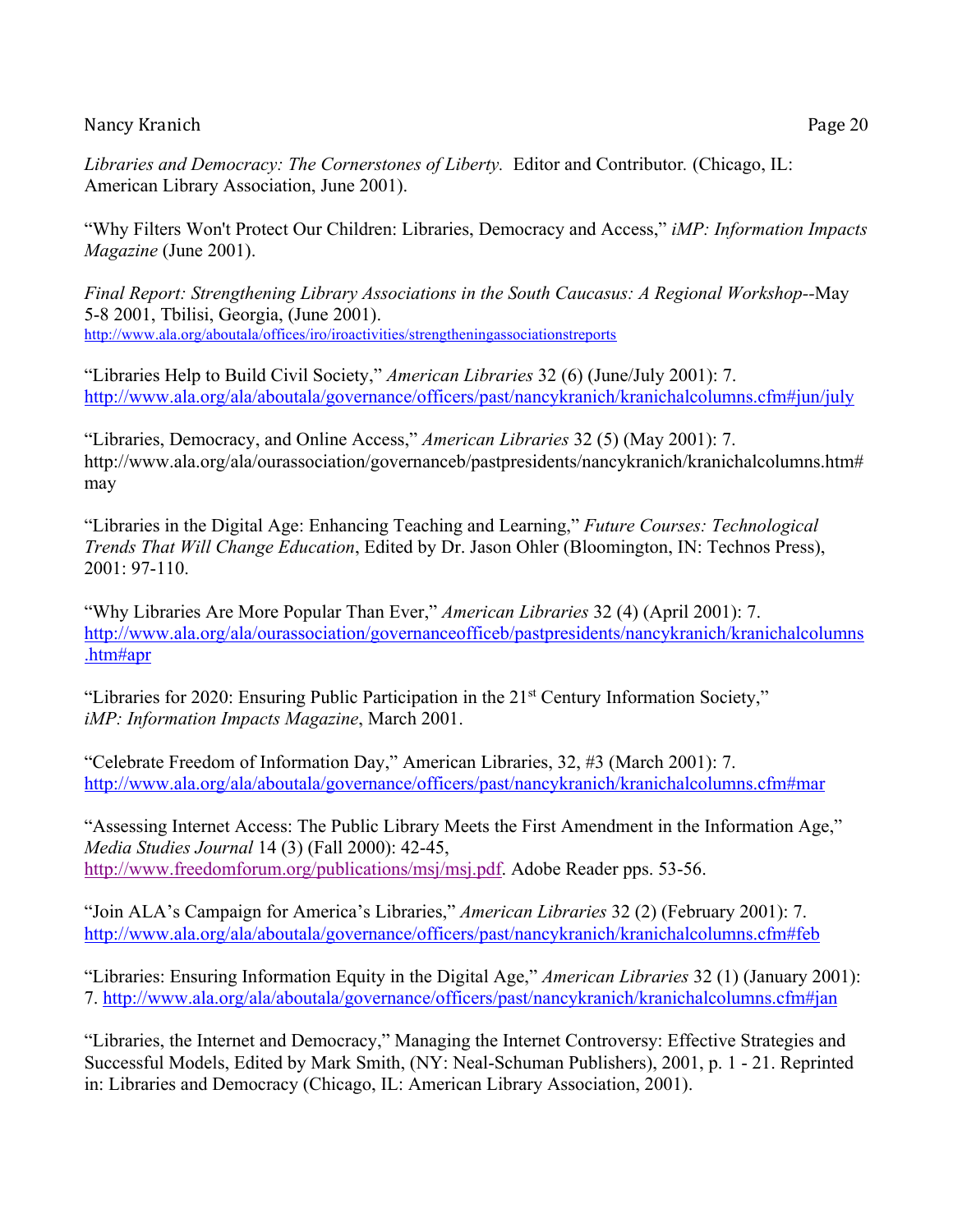*Libraries and Democracy: The Cornerstones of Liberty.* Editor and Contributor*.* (Chicago, IL: American Library Association, June 2001).

"Why Filters Won't Protect Our Children: Libraries, Democracy and Access," *iMP: Information Impacts Magazine* (June 2001).

*Final Report: Strengthening Library Associations in the South Caucasus: A Regional Workshop--*May 5-8 2001, Tbilisi, Georgia, (June 2001). http://www.ala.org/aboutala/offices/iro/iroactivities/strengtheningassociationstreports

"Libraries Help to Build Civil Society," *American Libraries* 32 (6) (June/July 2001): 7. http://www.ala.org/ala/aboutala/governance/officers/past/nancykranich/kranichalcolumns.cfm#jun/july

"Libraries, Democracy, and Online Access," *American Libraries* 32 (5) (May 2001): 7. http://www.ala.org/ala/ourassociation/governanceb/pastpresidents/nancykranich/kranichalcolumns.htm# may

"Libraries in the Digital Age: Enhancing Teaching and Learning," *Future Courses: Technological Trends That Will Change Education*, Edited by Dr. Jason Ohler (Bloomington, IN: Technos Press), 2001: 97-110.

"Why Libraries Are More Popular Than Ever," *American Libraries* 32 (4) (April 2001): 7. http://www.ala.org/ala/ourassociation/governanceofficeb/pastpresidents/nancykranich/kranichalcolumns .htm#apr

"Libraries for 2020: Ensuring Public Participation in the 21<sup>st</sup> Century Information Society," *iMP: Information Impacts Magazine*, March 2001.

"Celebrate Freedom of Information Day," American Libraries, 32, #3 (March 2001): 7. http://www.ala.org/ala/aboutala/governance/officers/past/nancykranich/kranichalcolumns.cfm#mar

"Assessing Internet Access: The Public Library Meets the First Amendment in the Information Age," *Media Studies Journal* 14 (3) (Fall 2000): 42-45, http://www.freedomforum.org/publications/msj/msj.pdf. Adobe Reader pps. 53-56.

"Join ALA's Campaign for America's Libraries," *American Libraries* 32 (2) (February 2001): 7. http://www.ala.org/ala/aboutala/governance/officers/past/nancykranich/kranichalcolumns.cfm#feb

"Libraries: Ensuring Information Equity in the Digital Age," *American Libraries* 32 (1) (January 2001): 7. http://www.ala.org/ala/aboutala/governance/officers/past/nancykranich/kranichalcolumns.cfm#jan

"Libraries, the Internet and Democracy," Managing the Internet Controversy: Effective Strategies and Successful Models, Edited by Mark Smith, (NY: Neal-Schuman Publishers), 2001, p. 1 - 21. Reprinted in: Libraries and Democracy (Chicago, IL: American Library Association, 2001).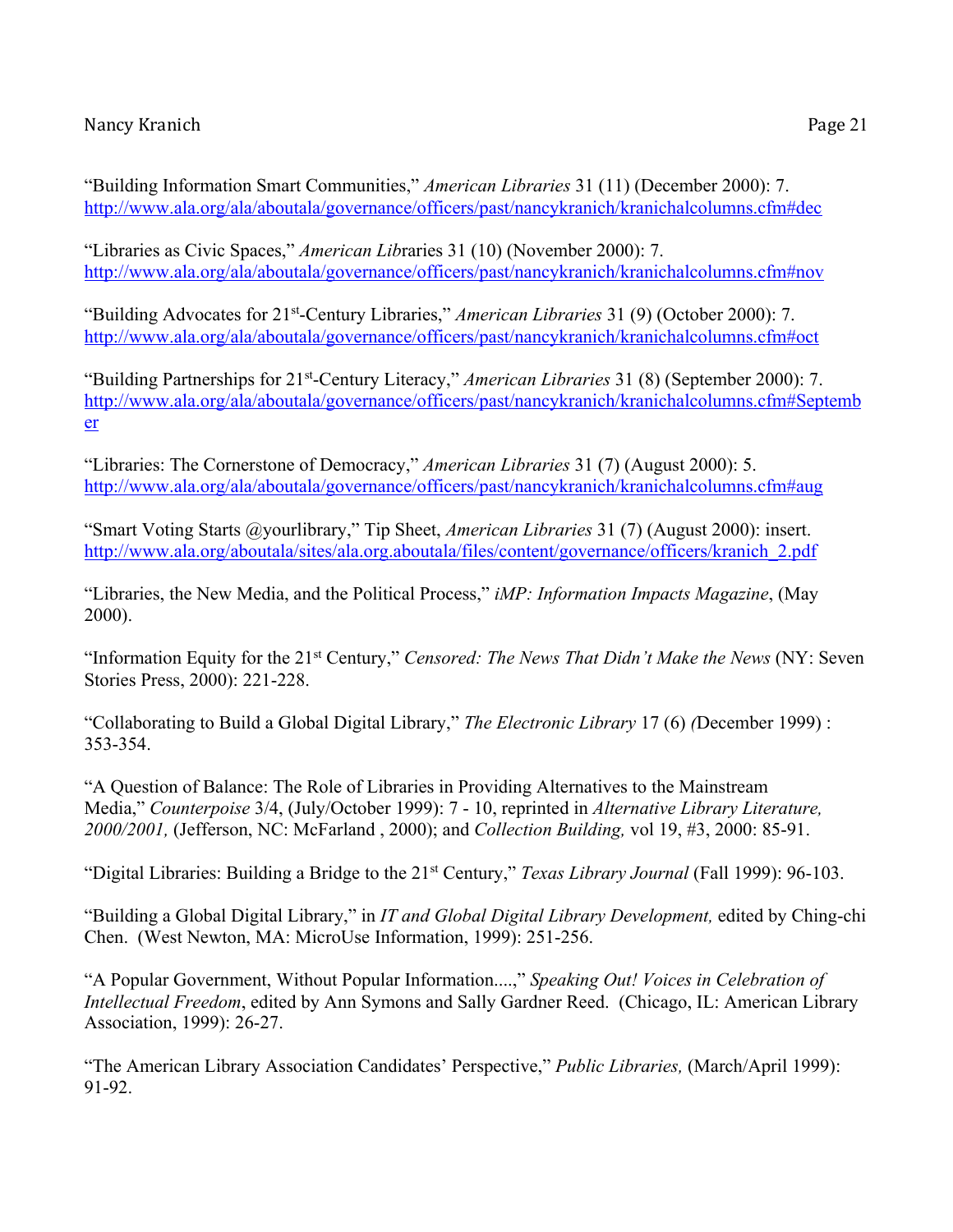"Libraries as Civic Spaces," *American Lib*raries 31 (10) (November 2000): 7. http://www.ala.org/ala/aboutala/governance/officers/past/nancykranich/kranichalcolumns.cfm#nov

"Building Advocates for 21st-Century Libraries," *American Libraries* 31 (9) (October 2000): 7. http://www.ala.org/ala/aboutala/governance/officers/past/nancykranich/kranichalcolumns.cfm#oct

"Building Partnerships for 21st-Century Literacy," *American Libraries* 31 (8) (September 2000): 7. http://www.ala.org/ala/aboutala/governance/officers/past/nancykranich/kranichalcolumns.cfm#Septemb er

"Libraries: The Cornerstone of Democracy," *American Libraries* 31 (7) (August 2000): 5. http://www.ala.org/ala/aboutala/governance/officers/past/nancykranich/kranichalcolumns.cfm#aug

"Smart Voting Starts @yourlibrary," Tip Sheet, *American Libraries* 31 (7) (August 2000): insert. http://www.ala.org/aboutala/sites/ala.org.aboutala/files/content/governance/officers/kranich\_2.pdf

"Libraries, the New Media, and the Political Process," *iMP: Information Impacts Magazine*, (May 2000).

"Information Equity for the 21st Century," *Censored: The News That Didn't Make the News* (NY: Seven Stories Press, 2000): 221-228.

"Collaborating to Build a Global Digital Library," *The Electronic Library* 17 (6) *(*December 1999) : 353-354.

"A Question of Balance: The Role of Libraries in Providing Alternatives to the Mainstream Media," *Counterpoise* 3/4, (July/October 1999): 7 - 10, reprinted in *Alternative Library Literature, 2000/2001,* (Jefferson, NC: McFarland , 2000); and *Collection Building,* vol 19, #3, 2000: 85-91.

"Digital Libraries: Building a Bridge to the 21st Century," *Texas Library Journal* (Fall 1999): 96-103.

"Building a Global Digital Library," in *IT and Global Digital Library Development,* edited by Ching-chi Chen. (West Newton, MA: MicroUse Information, 1999): 251-256.

"A Popular Government, Without Popular Information....," *Speaking Out! Voices in Celebration of Intellectual Freedom*, edited by Ann Symons and Sally Gardner Reed. (Chicago, IL: American Library Association, 1999): 26-27.

"The American Library Association Candidates' Perspective," *Public Libraries,* (March/April 1999): 91-92.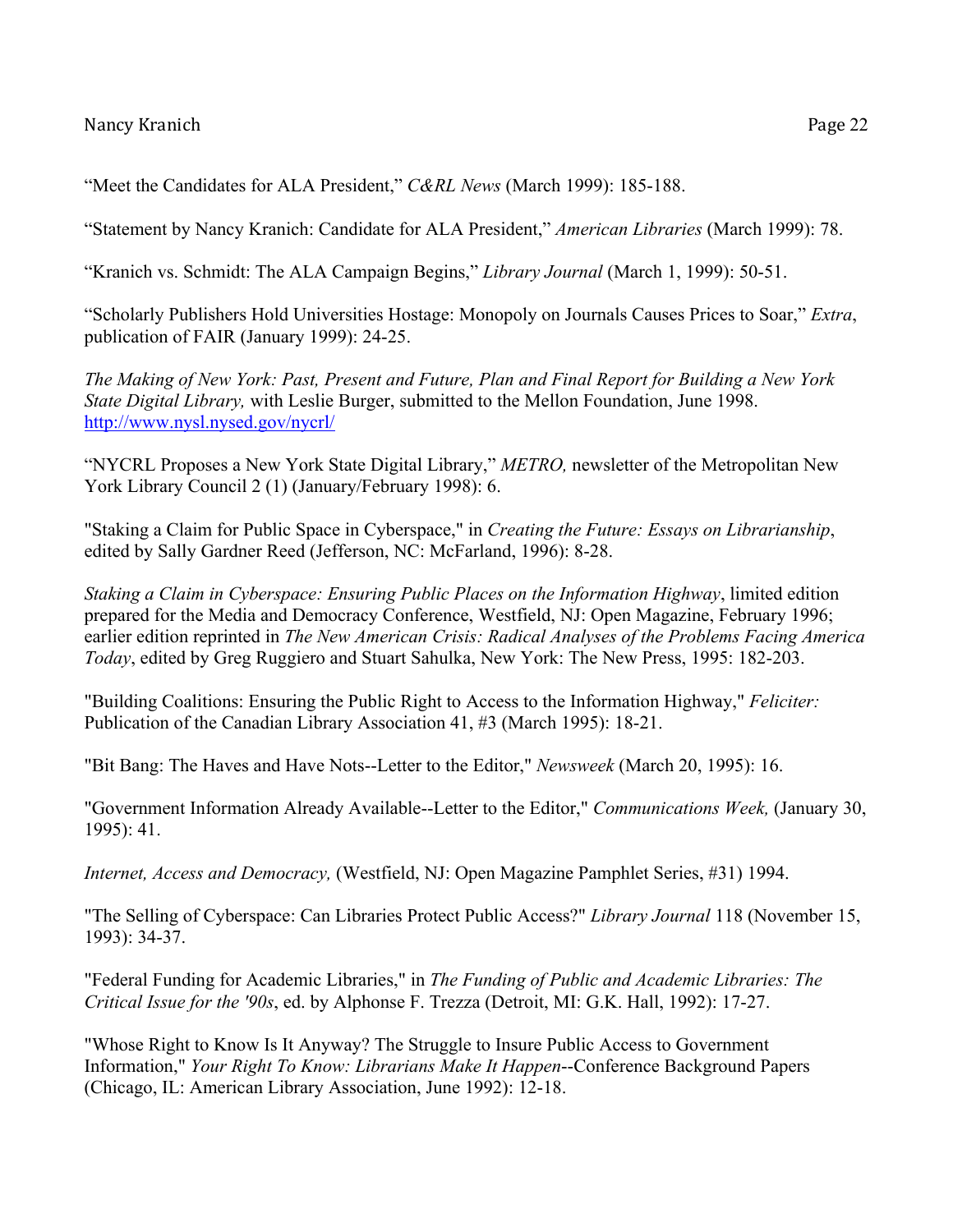"Meet the Candidates for ALA President," *C&RL News* (March 1999): 185-188.

"Statement by Nancy Kranich: Candidate for ALA President," *American Libraries* (March 1999): 78.

"Kranich vs. Schmidt: The ALA Campaign Begins," *Library Journal* (March 1, 1999): 50-51.

"Scholarly Publishers Hold Universities Hostage: Monopoly on Journals Causes Prices to Soar," *Extra*, publication of FAIR (January 1999): 24-25.

*The Making of New York: Past, Present and Future, Plan and Final Report for Building a New York State Digital Library,* with Leslie Burger, submitted to the Mellon Foundation, June 1998. http://www.nysl.nysed.gov/nycrl/

"NYCRL Proposes a New York State Digital Library," *METRO,* newsletter of the Metropolitan New York Library Council 2 (1) (January/February 1998): 6.

"Staking a Claim for Public Space in Cyberspace," in *Creating the Future: Essays on Librarianship*, edited by Sally Gardner Reed (Jefferson, NC: McFarland, 1996): 8-28.

*Staking a Claim in Cyberspace: Ensuring Public Places on the Information Highway*, limited edition prepared for the Media and Democracy Conference, Westfield, NJ: Open Magazine, February 1996; earlier edition reprinted in *The New American Crisis: Radical Analyses of the Problems Facing America Today*, edited by Greg Ruggiero and Stuart Sahulka, New York: The New Press, 1995: 182-203.

"Building Coalitions: Ensuring the Public Right to Access to the Information Highway," *Feliciter:* Publication of the Canadian Library Association 41, #3 (March 1995): 18-21.

"Bit Bang: The Haves and Have Nots--Letter to the Editor," *Newsweek* (March 20, 1995): 16.

"Government Information Already Available--Letter to the Editor," *Communications Week,* (January 30, 1995): 41.

*Internet, Access and Democracy,* (Westfield, NJ: Open Magazine Pamphlet Series, #31) 1994.

"The Selling of Cyberspace: Can Libraries Protect Public Access?" *Library Journal* 118 (November 15, 1993): 34-37.

"Federal Funding for Academic Libraries," in *The Funding of Public and Academic Libraries: The Critical Issue for the '90s*, ed. by Alphonse F. Trezza (Detroit, MI: G.K. Hall, 1992): 17-27.

"Whose Right to Know Is It Anyway? The Struggle to Insure Public Access to Government Information," *Your Right To Know: Librarians Make It Happen*--Conference Background Papers (Chicago, IL: American Library Association, June 1992): 12-18.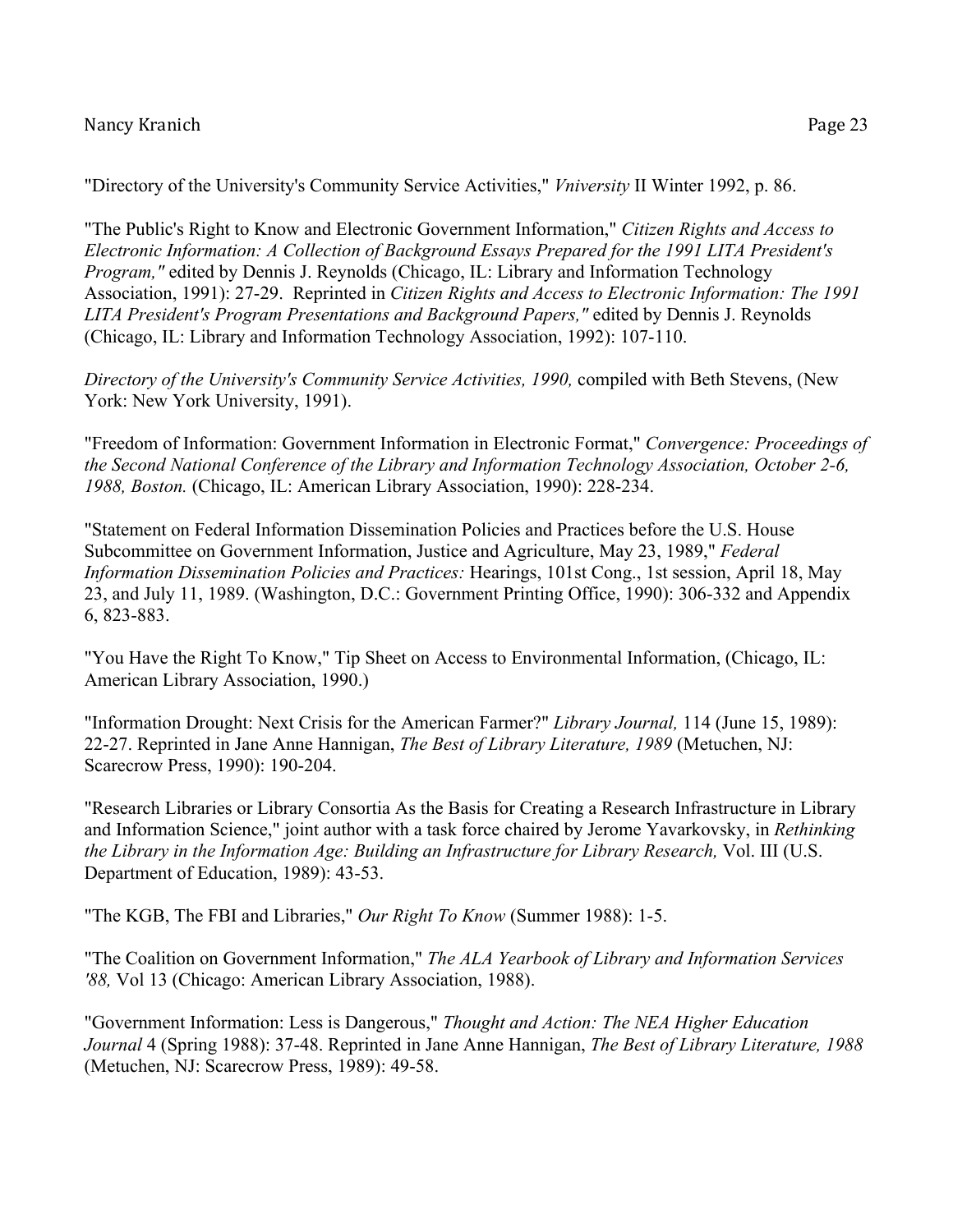"Directory of the University's Community Service Activities," *Vniversity* II Winter 1992, p. 86.

"The Public's Right to Know and Electronic Government Information," *Citizen Rights and Access to Electronic Information: A Collection of Background Essays Prepared for the 1991 LITA President's Program,"* edited by Dennis J. Reynolds (Chicago, IL: Library and Information Technology Association, 1991): 27-29. Reprinted in *Citizen Rights and Access to Electronic Information: The 1991 LITA President's Program Presentations and Background Papers,"* edited by Dennis J. Reynolds (Chicago, IL: Library and Information Technology Association, 1992): 107-110.

*Directory of the University's Community Service Activities, 1990,* compiled with Beth Stevens, (New York: New York University, 1991).

"Freedom of Information: Government Information in Electronic Format," *Convergence: Proceedings of the Second National Conference of the Library and Information Technology Association, October 2-6, 1988, Boston.* (Chicago, IL: American Library Association, 1990): 228-234.

"Statement on Federal Information Dissemination Policies and Practices before the U.S. House Subcommittee on Government Information, Justice and Agriculture, May 23, 1989," *Federal Information Dissemination Policies and Practices:* Hearings, 101st Cong., 1st session, April 18, May 23, and July 11, 1989. (Washington, D.C.: Government Printing Office, 1990): 306-332 and Appendix 6, 823-883.

"You Have the Right To Know," Tip Sheet on Access to Environmental Information, (Chicago, IL: American Library Association, 1990.)

"Information Drought: Next Crisis for the American Farmer?" *Library Journal,* 114 (June 15, 1989): 22-27. Reprinted in Jane Anne Hannigan, *The Best of Library Literature, 1989* (Metuchen, NJ: Scarecrow Press, 1990): 190-204.

"Research Libraries or Library Consortia As the Basis for Creating a Research Infrastructure in Library and Information Science," joint author with a task force chaired by Jerome Yavarkovsky, in *Rethinking the Library in the Information Age: Building an Infrastructure for Library Research,* Vol. III (U.S. Department of Education, 1989): 43-53.

"The KGB, The FBI and Libraries," *Our Right To Know* (Summer 1988): 1-5.

"The Coalition on Government Information," *The ALA Yearbook of Library and Information Services '88,* Vol 13 (Chicago: American Library Association, 1988).

"Government Information: Less is Dangerous," *Thought and Action: The NEA Higher Education Journal* 4 (Spring 1988): 37-48. Reprinted in Jane Anne Hannigan, *The Best of Library Literature, 1988*  (Metuchen, NJ: Scarecrow Press, 1989): 49-58.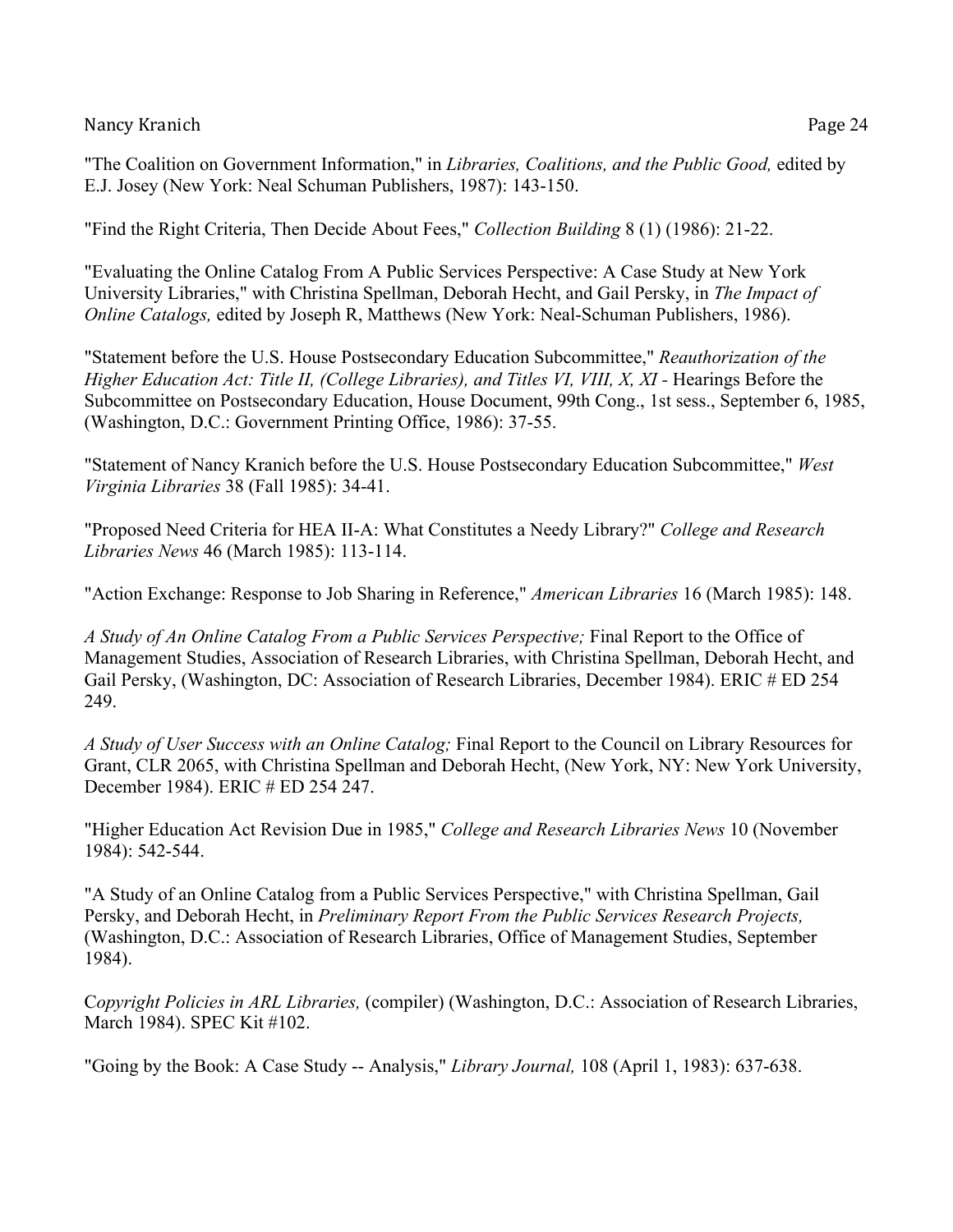"The Coalition on Government Information," in *Libraries, Coalitions, and the Public Good,* edited by E.J. Josey (New York: Neal Schuman Publishers, 1987): 143-150.

"Find the Right Criteria, Then Decide About Fees," *Collection Building* 8 (1) (1986): 21-22.

"Evaluating the Online Catalog From A Public Services Perspective: A Case Study at New York University Libraries," with Christina Spellman, Deborah Hecht, and Gail Persky, in *The Impact of Online Catalogs,* edited by Joseph R, Matthews (New York: Neal-Schuman Publishers, 1986).

"Statement before the U.S. House Postsecondary Education Subcommittee," *Reauthorization of the Higher Education Act: Title II, (College Libraries), and Titles VI, VIII, X, XI -* Hearings Before the Subcommittee on Postsecondary Education, House Document, 99th Cong., 1st sess., September 6, 1985, (Washington, D.C.: Government Printing Office, 1986): 37-55.

"Statement of Nancy Kranich before the U.S. House Postsecondary Education Subcommittee," *West Virginia Libraries* 38 (Fall 1985): 34-41.

"Proposed Need Criteria for HEA II-A: What Constitutes a Needy Library?" *College and Research Libraries News* 46 (March 1985): 113-114.

"Action Exchange: Response to Job Sharing in Reference," *American Libraries* 16 (March 1985): 148.

*A Study of An Online Catalog From a Public Services Perspective;* Final Report to the Office of Management Studies, Association of Research Libraries, with Christina Spellman, Deborah Hecht, and Gail Persky, (Washington, DC: Association of Research Libraries, December 1984). ERIC # ED 254 249.

*A Study of User Success with an Online Catalog;* Final Report to the Council on Library Resources for Grant, CLR 2065, with Christina Spellman and Deborah Hecht, (New York, NY: New York University, December 1984). ERIC # ED 254 247.

"Higher Education Act Revision Due in 1985," *College and Research Libraries News* 10 (November 1984): 542-544.

"A Study of an Online Catalog from a Public Services Perspective," with Christina Spellman, Gail Persky, and Deborah Hecht, in *Preliminary Report From the Public Services Research Projects,*  (Washington, D.C.: Association of Research Libraries, Office of Management Studies, September 1984).

C*opyright Policies in ARL Libraries,* (compiler) (Washington, D.C.: Association of Research Libraries, March 1984). SPEC Kit #102.

"Going by the Book: A Case Study -- Analysis," *Library Journal,* 108 (April 1, 1983): 637-638.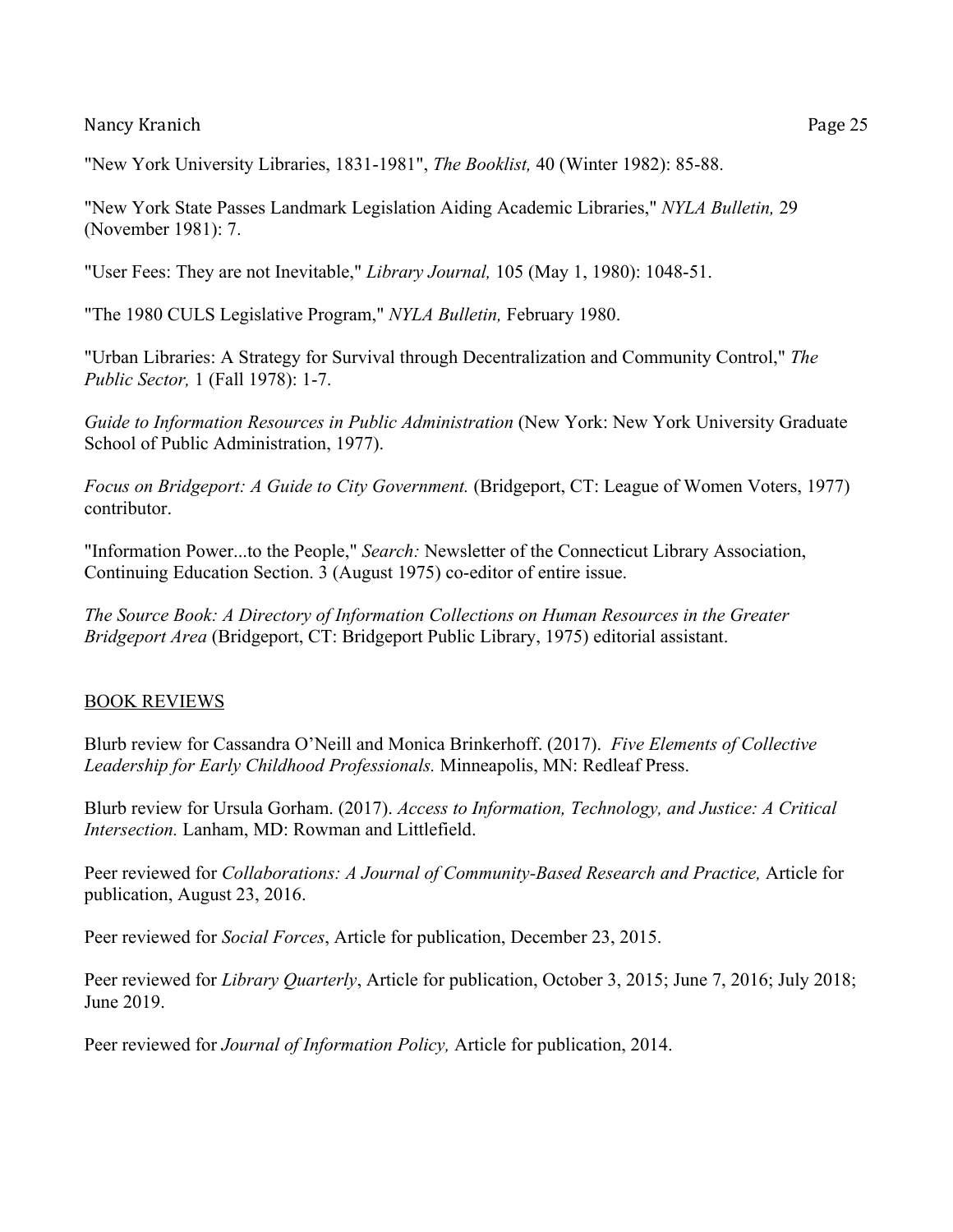"New York University Libraries, 1831-1981", *The Booklist,* 40 (Winter 1982): 85-88.

"New York State Passes Landmark Legislation Aiding Academic Libraries," *NYLA Bulletin,* 29 (November 1981): 7.

"User Fees: They are not Inevitable," *Library Journal,* 105 (May 1, 1980): 1048-51.

"The 1980 CULS Legislative Program," *NYLA Bulletin,* February 1980.

"Urban Libraries: A Strategy for Survival through Decentralization and Community Control," *The Public Sector,* 1 (Fall 1978): 1-7.

*Guide to Information Resources in Public Administration* (New York: New York University Graduate School of Public Administration, 1977).

*Focus on Bridgeport: A Guide to City Government.* (Bridgeport, CT: League of Women Voters, 1977) contributor.

"Information Power...to the People," *Search:* Newsletter of the Connecticut Library Association, Continuing Education Section. 3 (August 1975) co-editor of entire issue.

*The Source Book: A Directory of Information Collections on Human Resources in the Greater Bridgeport Area* (Bridgeport, CT: Bridgeport Public Library, 1975) editorial assistant.

### BOOK REVIEWS

Blurb review for Cassandra O'Neill and Monica Brinkerhoff. (2017). *Five Elements of Collective Leadership for Early Childhood Professionals.* Minneapolis, MN: Redleaf Press.

Blurb review for Ursula Gorham. (2017). *Access to Information, Technology, and Justice: A Critical Intersection.* Lanham, MD: Rowman and Littlefield.

Peer reviewed for *Collaborations: A Journal of Community-Based Research and Practice,* Article for publication, August 23, 2016.

Peer reviewed for *Social Forces*, Article for publication, December 23, 2015.

Peer reviewed for *Library Quarterly*, Article for publication, October 3, 2015; June 7, 2016; July 2018; June 2019.

Peer reviewed for *Journal of Information Policy,* Article for publication, 2014.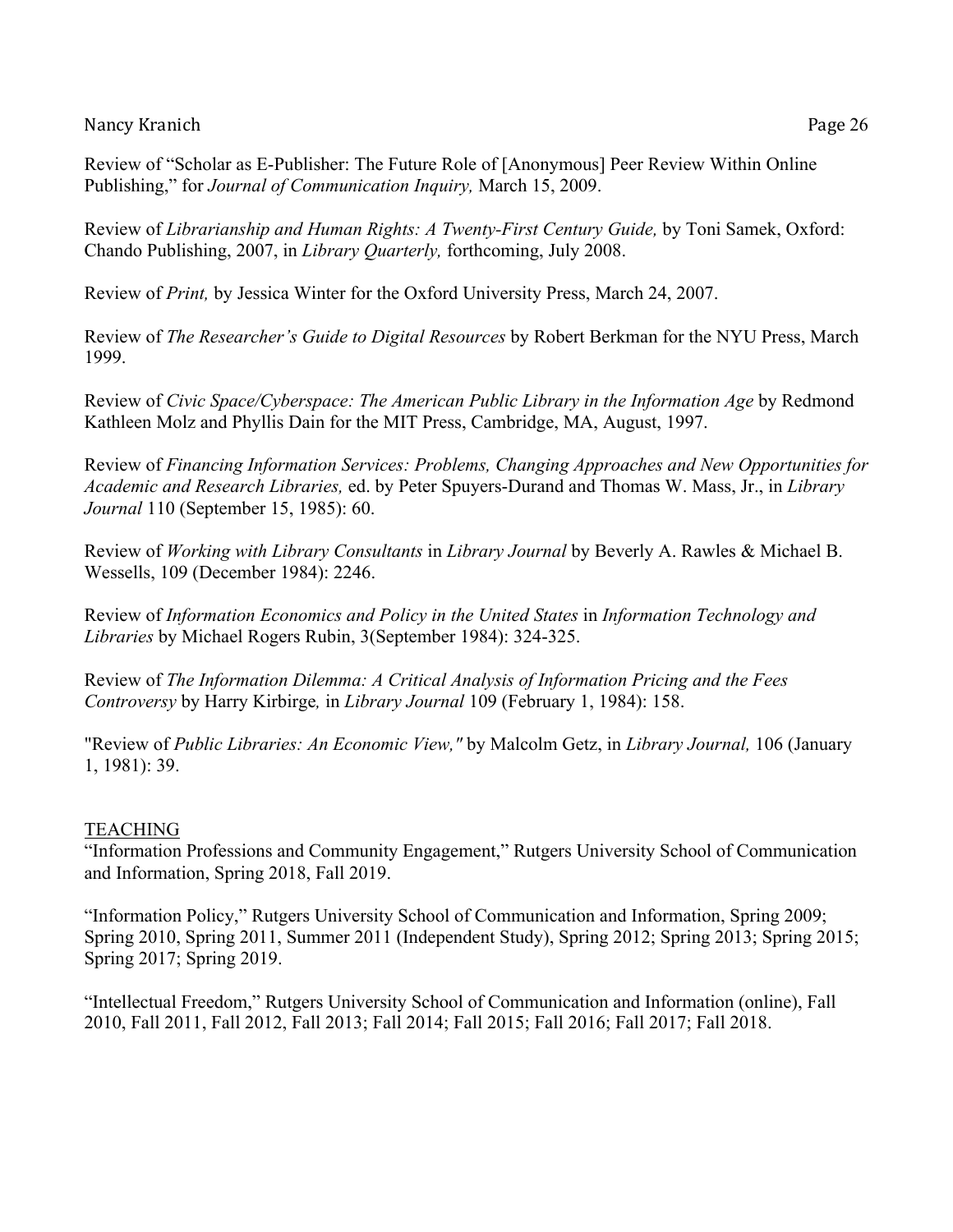Review of "Scholar as E-Publisher: The Future Role of [Anonymous] Peer Review Within Online Publishing," for *Journal of Communication Inquiry,* March 15, 2009.

Review of *Librarianship and Human Rights: A Twenty-First Century Guide,* by Toni Samek, Oxford: Chando Publishing, 2007, in *Library Quarterly,* forthcoming, July 2008.

Review of *Print,* by Jessica Winter for the Oxford University Press, March 24, 2007.

Review of *The Researcher's Guide to Digital Resources* by Robert Berkman for the NYU Press, March 1999.

Review of *Civic Space/Cyberspace: The American Public Library in the Information Age* by Redmond Kathleen Molz and Phyllis Dain for the MIT Press, Cambridge, MA, August, 1997.

Review of *Financing Information Services: Problems, Changing Approaches and New Opportunities for Academic and Research Libraries,* ed. by Peter Spuyers-Durand and Thomas W. Mass, Jr., in *Library Journal* 110 (September 15, 1985): 60.

Review of *Working with Library Consultants* in *Library Journal* by Beverly A. Rawles & Michael B. Wessells, 109 (December 1984): 2246.

Review of *Information Economics and Policy in the United States* in *Information Technology and Libraries* by Michael Rogers Rubin, 3(September 1984): 324-325.

Review of *The Information Dilemma: A Critical Analysis of Information Pricing and the Fees Controversy* by Harry Kirbirge*,* in *Library Journal* 109 (February 1, 1984): 158.

"Review of *Public Libraries: An Economic View,"* by Malcolm Getz, in *Library Journal,* 106 (January 1, 1981): 39.

# TEACHING

"Information Professions and Community Engagement," Rutgers University School of Communication and Information, Spring 2018, Fall 2019.

"Information Policy," Rutgers University School of Communication and Information, Spring 2009; Spring 2010, Spring 2011, Summer 2011 (Independent Study), Spring 2012; Spring 2013; Spring 2015; Spring 2017; Spring 2019.

"Intellectual Freedom," Rutgers University School of Communication and Information (online), Fall 2010, Fall 2011, Fall 2012, Fall 2013; Fall 2014; Fall 2015; Fall 2016; Fall 2017; Fall 2018.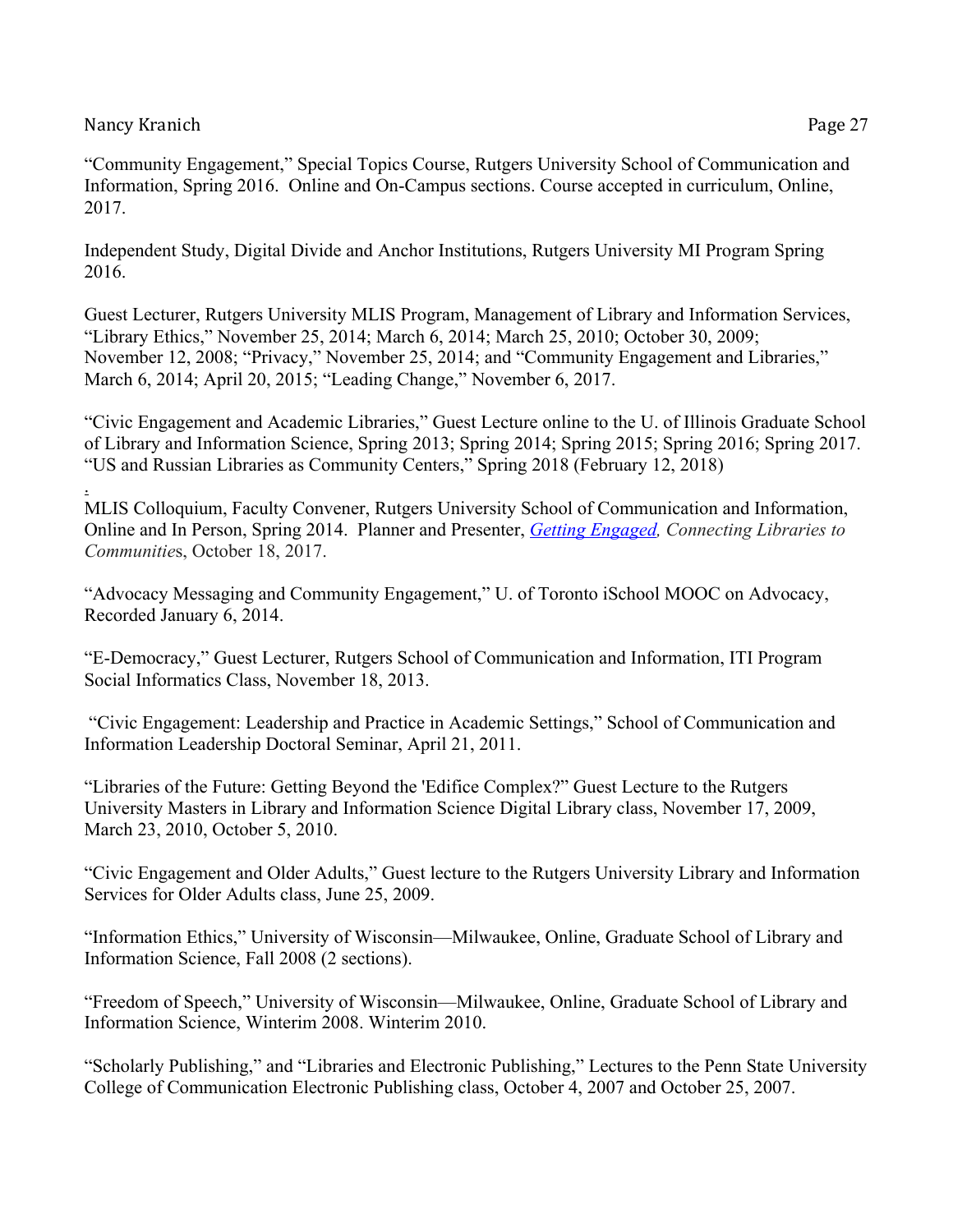"Community Engagement," Special Topics Course, Rutgers University School of Communication and Information, Spring 2016. Online and On-Campus sections. Course accepted in curriculum, Online, 2017.

Independent Study, Digital Divide and Anchor Institutions, Rutgers University MI Program Spring 2016.

Guest Lecturer, Rutgers University MLIS Program, Management of Library and Information Services, "Library Ethics," November 25, 2014; March 6, 2014; March 25, 2010; October 30, 2009; November 12, 2008; "Privacy," November 25, 2014; and "Community Engagement and Libraries," March 6, 2014; April 20, 2015; "Leading Change," November 6, 2017.

"Civic Engagement and Academic Libraries," Guest Lecture online to the U. of Illinois Graduate School of Library and Information Science, Spring 2013; Spring 2014; Spring 2015; Spring 2016; Spring 2017. "US and Russian Libraries as Community Centers," Spring 2018 (February 12, 2018)

. MLIS Colloquium, Faculty Convener, Rutgers University School of Communication and Information, Online and In Person, Spring 2014. Planner and Presenter, *Getting Engaged, Connecting Libraries to Communitie*s, October 18, 2017.

"Advocacy Messaging and Community Engagement," U. of Toronto iSchool MOOC on Advocacy, Recorded January 6, 2014.

"E-Democracy," Guest Lecturer, Rutgers School of Communication and Information, ITI Program Social Informatics Class, November 18, 2013.

"Civic Engagement: Leadership and Practice in Academic Settings," School of Communication and Information Leadership Doctoral Seminar, April 21, 2011.

"Libraries of the Future: Getting Beyond the 'Edifice Complex?" Guest Lecture to the Rutgers University Masters in Library and Information Science Digital Library class, November 17, 2009, March 23, 2010, October 5, 2010.

"Civic Engagement and Older Adults," Guest lecture to the Rutgers University Library and Information Services for Older Adults class, June 25, 2009.

"Information Ethics," University of Wisconsin—Milwaukee, Online, Graduate School of Library and Information Science, Fall 2008 (2 sections).

"Freedom of Speech," University of Wisconsin—Milwaukee, Online, Graduate School of Library and Information Science, Winterim 2008. Winterim 2010.

"Scholarly Publishing," and "Libraries and Electronic Publishing," Lectures to the Penn State University College of Communication Electronic Publishing class, October 4, 2007 and October 25, 2007.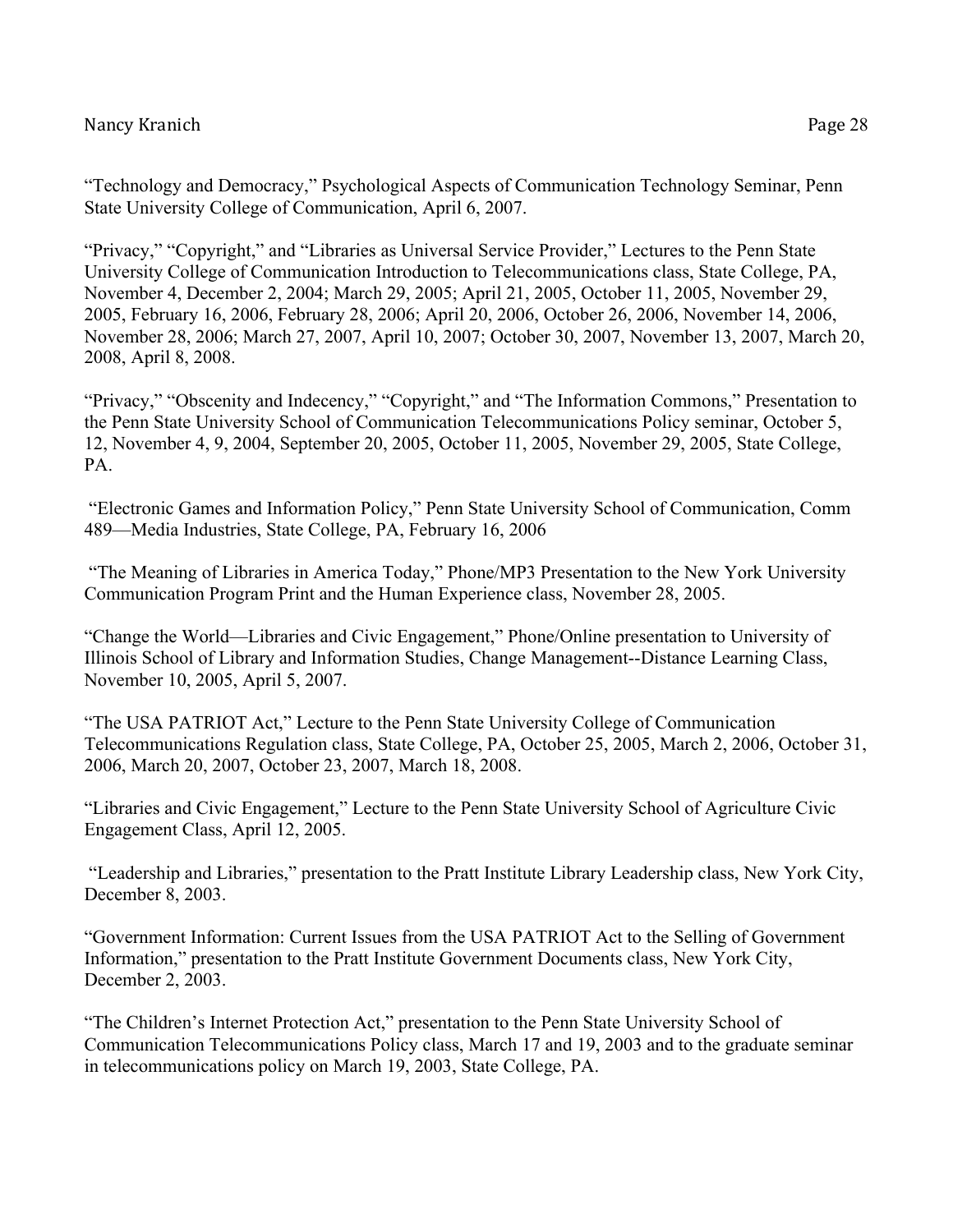"Privacy," "Copyright," and "Libraries as Universal Service Provider," Lectures to the Penn State University College of Communication Introduction to Telecommunications class, State College, PA, November 4, December 2, 2004; March 29, 2005; April 21, 2005, October 11, 2005, November 29, 2005, February 16, 2006, February 28, 2006; April 20, 2006, October 26, 2006, November 14, 2006, November 28, 2006; March 27, 2007, April 10, 2007; October 30, 2007, November 13, 2007, March 20, 2008, April 8, 2008.

"Privacy," "Obscenity and Indecency," "Copyright," and "The Information Commons," Presentation to the Penn State University School of Communication Telecommunications Policy seminar, October 5, 12, November 4, 9, 2004, September 20, 2005, October 11, 2005, November 29, 2005, State College, PA.

"Electronic Games and Information Policy," Penn State University School of Communication, Comm 489—Media Industries, State College, PA, February 16, 2006

"The Meaning of Libraries in America Today," Phone/MP3 Presentation to the New York University Communication Program Print and the Human Experience class, November 28, 2005.

"Change the World—Libraries and Civic Engagement," Phone/Online presentation to University of Illinois School of Library and Information Studies, Change Management--Distance Learning Class, November 10, 2005, April 5, 2007.

"The USA PATRIOT Act," Lecture to the Penn State University College of Communication Telecommunications Regulation class, State College, PA, October 25, 2005, March 2, 2006, October 31, 2006, March 20, 2007, October 23, 2007, March 18, 2008.

"Libraries and Civic Engagement," Lecture to the Penn State University School of Agriculture Civic Engagement Class, April 12, 2005.

"Leadership and Libraries," presentation to the Pratt Institute Library Leadership class, New York City, December 8, 2003.

"Government Information: Current Issues from the USA PATRIOT Act to the Selling of Government Information," presentation to the Pratt Institute Government Documents class, New York City, December 2, 2003.

"The Children's Internet Protection Act," presentation to the Penn State University School of Communication Telecommunications Policy class, March 17 and 19, 2003 and to the graduate seminar in telecommunications policy on March 19, 2003, State College, PA.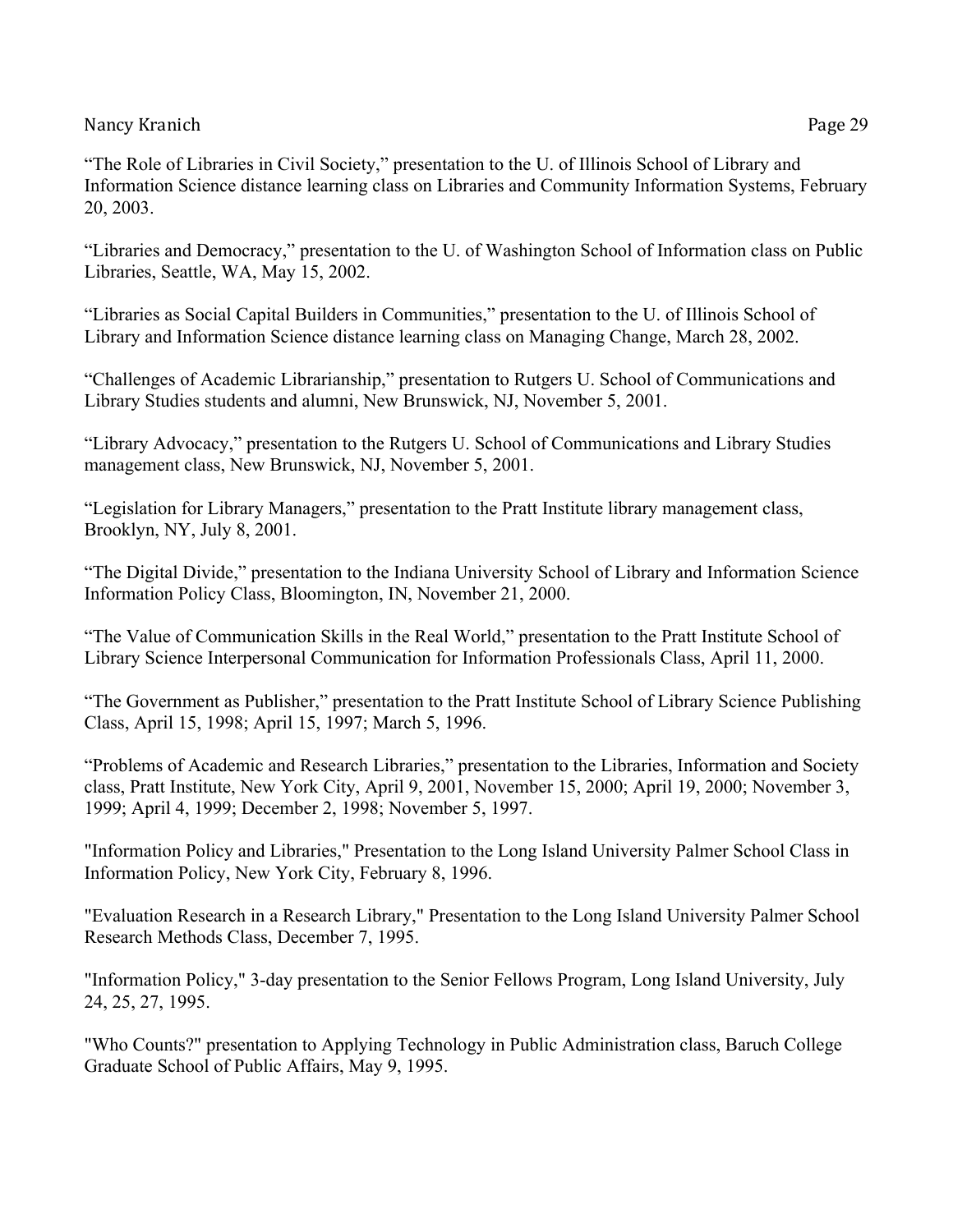"The Role of Libraries in Civil Society," presentation to the U. of Illinois School of Library and Information Science distance learning class on Libraries and Community Information Systems, February 20, 2003.

"Libraries and Democracy," presentation to the U. of Washington School of Information class on Public Libraries, Seattle, WA, May 15, 2002.

"Libraries as Social Capital Builders in Communities," presentation to the U. of Illinois School of Library and Information Science distance learning class on Managing Change, March 28, 2002.

"Challenges of Academic Librarianship," presentation to Rutgers U. School of Communications and Library Studies students and alumni, New Brunswick, NJ, November 5, 2001.

"Library Advocacy," presentation to the Rutgers U. School of Communications and Library Studies management class, New Brunswick, NJ, November 5, 2001.

"Legislation for Library Managers," presentation to the Pratt Institute library management class, Brooklyn, NY, July 8, 2001.

"The Digital Divide," presentation to the Indiana University School of Library and Information Science Information Policy Class, Bloomington, IN, November 21, 2000.

"The Value of Communication Skills in the Real World," presentation to the Pratt Institute School of Library Science Interpersonal Communication for Information Professionals Class, April 11, 2000.

"The Government as Publisher," presentation to the Pratt Institute School of Library Science Publishing Class, April 15, 1998; April 15, 1997; March 5, 1996.

"Problems of Academic and Research Libraries," presentation to the Libraries, Information and Society class, Pratt Institute, New York City, April 9, 2001, November 15, 2000; April 19, 2000; November 3, 1999; April 4, 1999; December 2, 1998; November 5, 1997.

"Information Policy and Libraries," Presentation to the Long Island University Palmer School Class in Information Policy, New York City, February 8, 1996.

"Evaluation Research in a Research Library," Presentation to the Long Island University Palmer School Research Methods Class, December 7, 1995.

"Information Policy," 3-day presentation to the Senior Fellows Program, Long Island University, July 24, 25, 27, 1995.

"Who Counts?" presentation to Applying Technology in Public Administration class, Baruch College Graduate School of Public Affairs, May 9, 1995.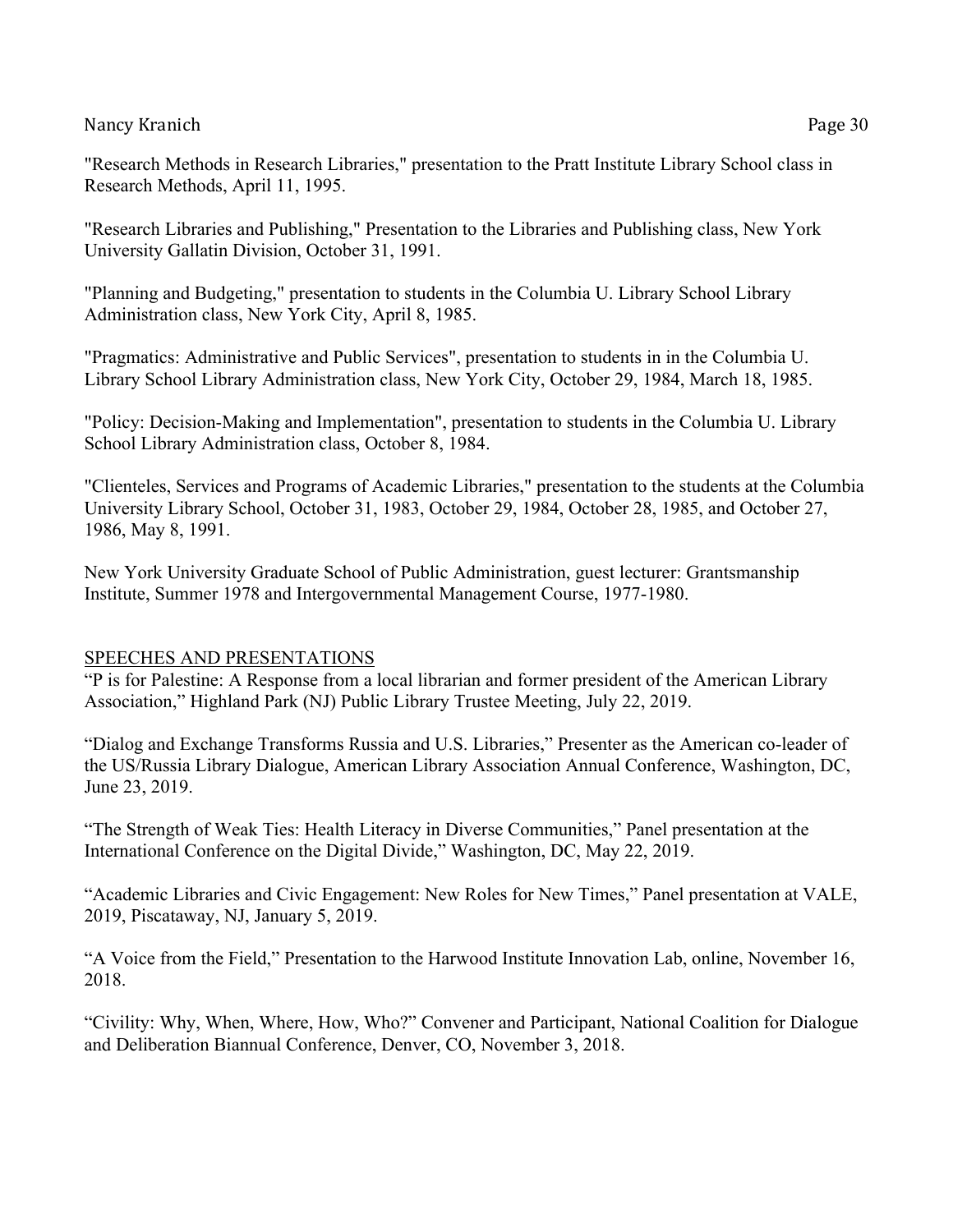"Research Methods in Research Libraries," presentation to the Pratt Institute Library School class in Research Methods, April 11, 1995.

"Research Libraries and Publishing," Presentation to the Libraries and Publishing class, New York University Gallatin Division, October 31, 1991.

"Planning and Budgeting," presentation to students in the Columbia U. Library School Library Administration class, New York City, April 8, 1985.

"Pragmatics: Administrative and Public Services", presentation to students in in the Columbia U. Library School Library Administration class, New York City, October 29, 1984, March 18, 1985.

"Policy: Decision-Making and Implementation", presentation to students in the Columbia U. Library School Library Administration class, October 8, 1984.

"Clienteles, Services and Programs of Academic Libraries," presentation to the students at the Columbia University Library School, October 31, 1983, October 29, 1984, October 28, 1985, and October 27, 1986, May 8, 1991.

New York University Graduate School of Public Administration, guest lecturer: Grantsmanship Institute, Summer 1978 and Intergovernmental Management Course, 1977-1980.

# SPEECHES AND PRESENTATIONS

"P is for Palestine: A Response from a local librarian and former president of the American Library Association," Highland Park (NJ) Public Library Trustee Meeting, July 22, 2019.

"Dialog and Exchange Transforms Russia and U.S. Libraries," Presenter as the American co-leader of the US/Russia Library Dialogue, American Library Association Annual Conference, Washington, DC, June 23, 2019.

"The Strength of Weak Ties: Health Literacy in Diverse Communities," Panel presentation at the International Conference on the Digital Divide," Washington, DC, May 22, 2019.

"Academic Libraries and Civic Engagement: New Roles for New Times," Panel presentation at VALE, 2019, Piscataway, NJ, January 5, 2019.

"A Voice from the Field," Presentation to the Harwood Institute Innovation Lab, online, November 16, 2018.

"Civility: Why, When, Where, How, Who?" Convener and Participant, National Coalition for Dialogue and Deliberation Biannual Conference, Denver, CO, November 3, 2018.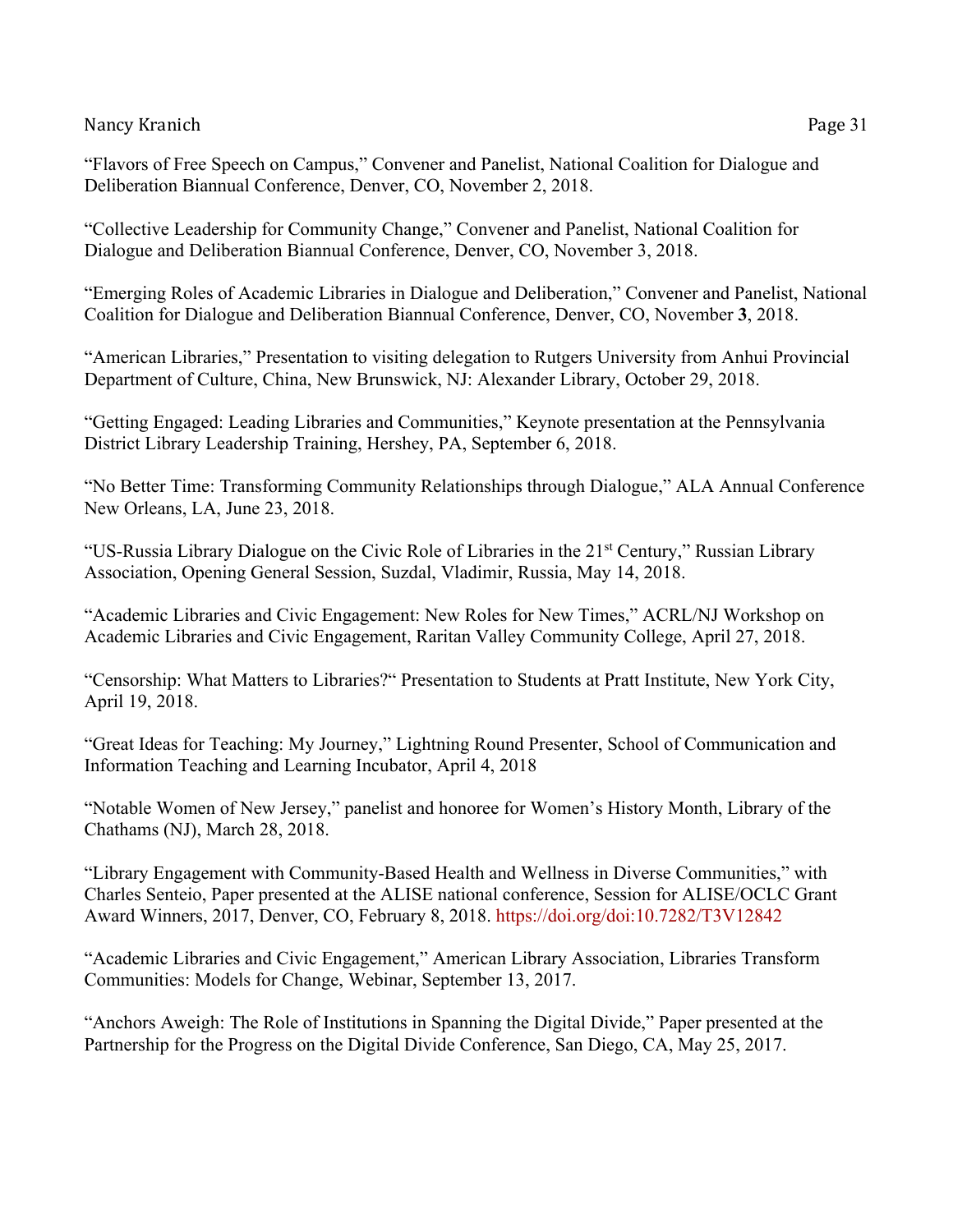"Collective Leadership for Community Change," Convener and Panelist, National Coalition for Dialogue and Deliberation Biannual Conference, Denver, CO, November 3, 2018.

"Emerging Roles of Academic Libraries in Dialogue and Deliberation," Convener and Panelist, National Coalition for Dialogue and Deliberation Biannual Conference, Denver, CO, November **3**, 2018.

"American Libraries," Presentation to visiting delegation to Rutgers University from Anhui Provincial Department of Culture, China, New Brunswick, NJ: Alexander Library, October 29, 2018.

"Getting Engaged: Leading Libraries and Communities," Keynote presentation at the Pennsylvania District Library Leadership Training, Hershey, PA, September 6, 2018.

"No Better Time: Transforming Community Relationships through Dialogue," ALA Annual Conference New Orleans, LA, June 23, 2018.

"US-Russia Library Dialogue on the Civic Role of Libraries in the 21st Century," Russian Library Association, Opening General Session, Suzdal, Vladimir, Russia, May 14, 2018.

"Academic Libraries and Civic Engagement: New Roles for New Times," ACRL/NJ Workshop on Academic Libraries and Civic Engagement, Raritan Valley Community College, April 27, 2018.

"Censorship: What Matters to Libraries?" Presentation to Students at Pratt Institute, New York City, April 19, 2018.

"Great Ideas for Teaching: My Journey," Lightning Round Presenter, School of Communication and Information Teaching and Learning Incubator, April 4, 2018

"Notable Women of New Jersey," panelist and honoree for Women's History Month, Library of the Chathams (NJ), March 28, 2018.

"Library Engagement with Community-Based Health and Wellness in Diverse Communities," with Charles Senteio, Paper presented at the ALISE national conference, Session for ALISE/OCLC Grant Award Winners, 2017, Denver, CO, February 8, 2018. https://doi.org/doi:10.7282/T3V12842

"Academic Libraries and Civic Engagement," American Library Association, Libraries Transform Communities: Models for Change, Webinar, September 13, 2017.

"Anchors Aweigh: The Role of Institutions in Spanning the Digital Divide," Paper presented at the Partnership for the Progress on the Digital Divide Conference, San Diego, CA, May 25, 2017.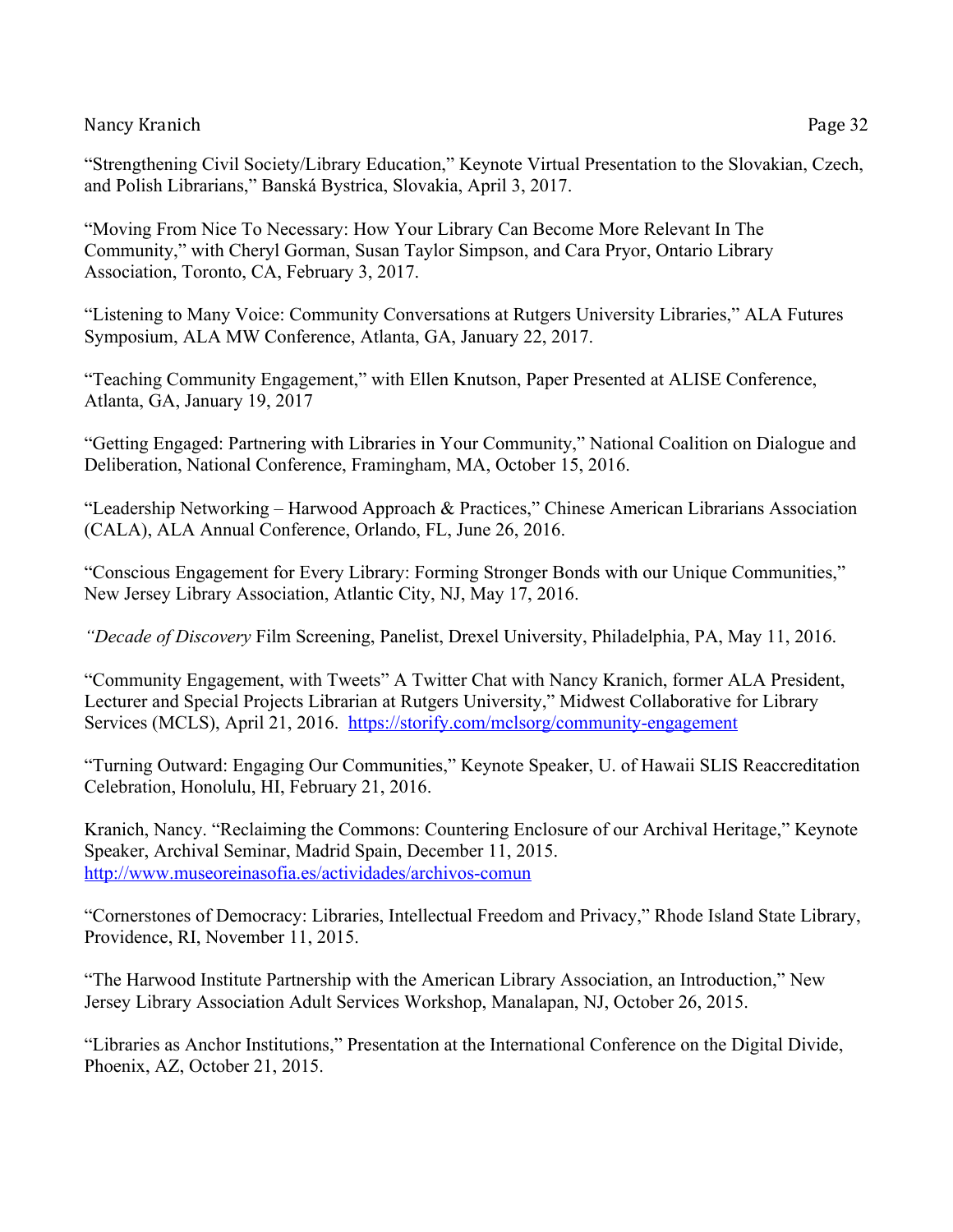"Strengthening Civil Society/Library Education," Keynote Virtual Presentation to the Slovakian, Czech, and Polish Librarians," Banská Bystrica, Slovakia, April 3, 2017.

"Moving From Nice To Necessary: How Your Library Can Become More Relevant In The Community," with Cheryl Gorman, Susan Taylor Simpson, and Cara Pryor, Ontario Library Association, Toronto, CA, February 3, 2017.

"Listening to Many Voice: Community Conversations at Rutgers University Libraries," ALA Futures Symposium, ALA MW Conference, Atlanta, GA, January 22, 2017.

"Teaching Community Engagement," with Ellen Knutson, Paper Presented at ALISE Conference, Atlanta, GA, January 19, 2017

"Getting Engaged: Partnering with Libraries in Your Community," National Coalition on Dialogue and Deliberation, National Conference, Framingham, MA, October 15, 2016.

"Leadership Networking – Harwood Approach & Practices," Chinese American Librarians Association (CALA), ALA Annual Conference, Orlando, FL, June 26, 2016.

"Conscious Engagement for Every Library: Forming Stronger Bonds with our Unique Communities," New Jersey Library Association, Atlantic City, NJ, May 17, 2016.

*"Decade of Discovery* Film Screening, Panelist, Drexel University, Philadelphia, PA, May 11, 2016.

"Community Engagement, with Tweets" A Twitter Chat with Nancy Kranich, former ALA President, Lecturer and Special Projects Librarian at Rutgers University," Midwest Collaborative for Library Services (MCLS), April 21, 2016. https://storify.com/mclsorg/community-engagement

"Turning Outward: Engaging Our Communities," Keynote Speaker, U. of Hawaii SLIS Reaccreditation Celebration, Honolulu, HI, February 21, 2016.

Kranich, Nancy. "Reclaiming the Commons: Countering Enclosure of our Archival Heritage," Keynote Speaker, Archival Seminar, Madrid Spain, December 11, 2015. http://www.museoreinasofia.es/actividades/archivos-comun

"Cornerstones of Democracy: Libraries, Intellectual Freedom and Privacy," Rhode Island State Library, Providence, RI, November 11, 2015.

"The Harwood Institute Partnership with the American Library Association, an Introduction," New Jersey Library Association Adult Services Workshop, Manalapan, NJ, October 26, 2015.

"Libraries as Anchor Institutions," Presentation at the International Conference on the Digital Divide, Phoenix, AZ, October 21, 2015.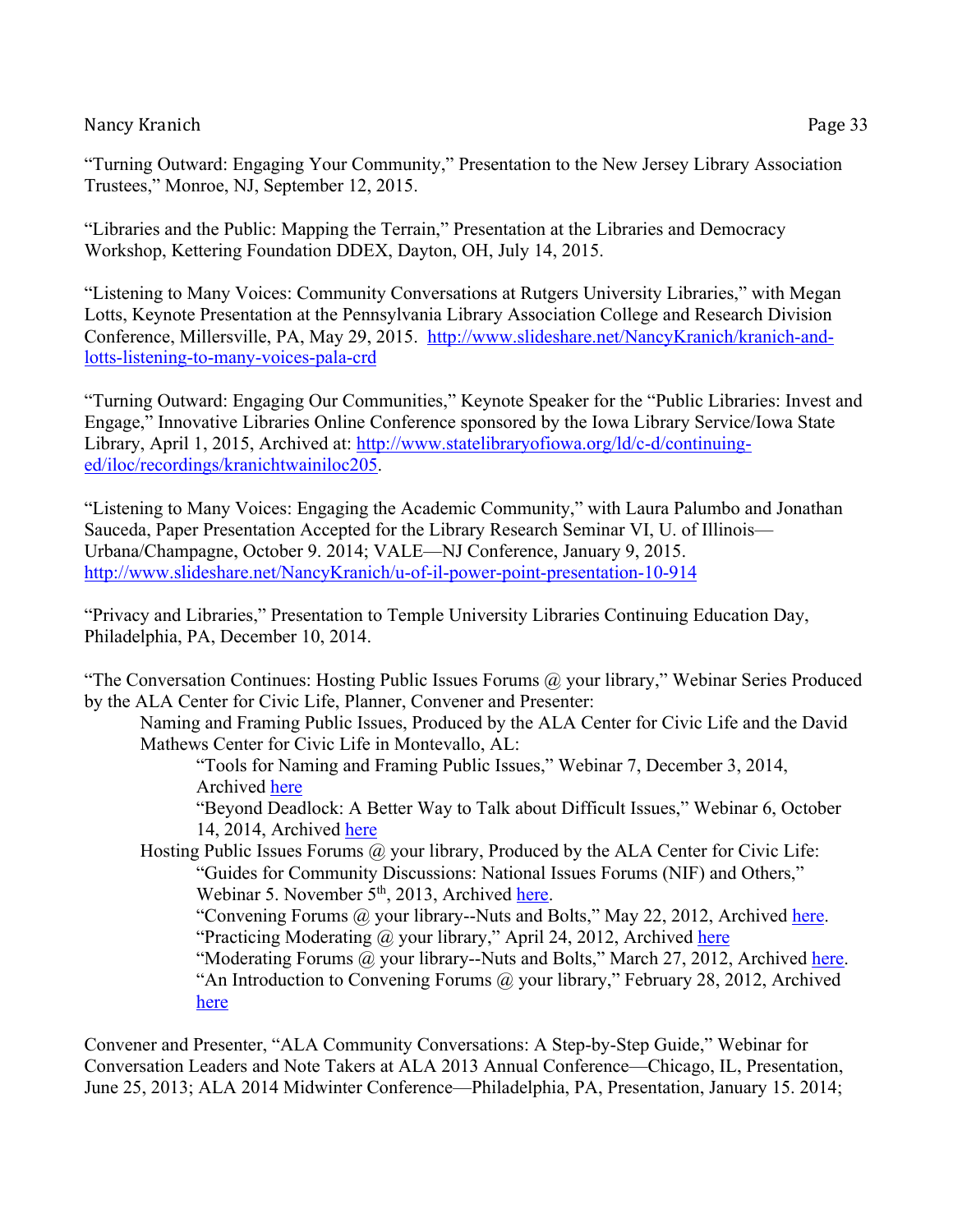"Libraries and the Public: Mapping the Terrain," Presentation at the Libraries and Democracy Workshop, Kettering Foundation DDEX, Dayton, OH, July 14, 2015.

"Listening to Many Voices: Community Conversations at Rutgers University Libraries," with Megan Lotts, Keynote Presentation at the Pennsylvania Library Association College and Research Division Conference, Millersville, PA, May 29, 2015. http://www.slideshare.net/NancyKranich/kranich-andlotts-listening-to-many-voices-pala-crd

"Turning Outward: Engaging Our Communities," Keynote Speaker for the "Public Libraries: Invest and Engage," Innovative Libraries Online Conference sponsored by the Iowa Library Service/Iowa State Library, April 1, 2015, Archived at: http://www.statelibraryofiowa.org/ld/c-d/continuinged/iloc/recordings/kranichtwainiloc205.

"Listening to Many Voices: Engaging the Academic Community," with Laura Palumbo and Jonathan Sauceda, Paper Presentation Accepted for the Library Research Seminar VI, U. of Illinois— Urbana/Champagne, October 9. 2014; VALE—NJ Conference, January 9, 2015. http://www.slideshare.net/NancyKranich/u-of-il-power-point-presentation-10-914

"Privacy and Libraries," Presentation to Temple University Libraries Continuing Education Day, Philadelphia, PA, December 10, 2014.

"The Conversation Continues: Hosting Public Issues Forums  $(a)$  your library," Webinar Series Produced by the ALA Center for Civic Life, Planner, Convener and Presenter:

Naming and Framing Public Issues, Produced by the ALA Center for Civic Life and the David Mathews Center for Civic Life in Montevallo, AL:

"Tools for Naming and Framing Public Issues," Webinar 7, December 3, 2014, Archived here

"Beyond Deadlock: A Better Way to Talk about Difficult Issues," Webinar 6, October 14, 2014, Archived here

Hosting Public Issues Forums  $(a)$  your library, Produced by the ALA Center for Civic Life: "Guides for Community Discussions: National Issues Forums (NIF) and Others," Webinar 5. November 5<sup>th</sup>, 2013, Archived here.

"Convening Forums @ your library--Nuts and Bolts," May 22, 2012, Archived here. "Practicing Moderating @ your library," April 24, 2012, Archived here

"Moderating Forums @ your library--Nuts and Bolts," March 27, 2012, Archived here. "An Introduction to Convening Forums @ your library," February 28, 2012, Archived here

Convener and Presenter, "ALA Community Conversations: A Step-by-Step Guide," Webinar for Conversation Leaders and Note Takers at ALA 2013 Annual Conference—Chicago, IL, Presentation, June 25, 2013; ALA 2014 Midwinter Conference—Philadelphia, PA, Presentation, January 15. 2014;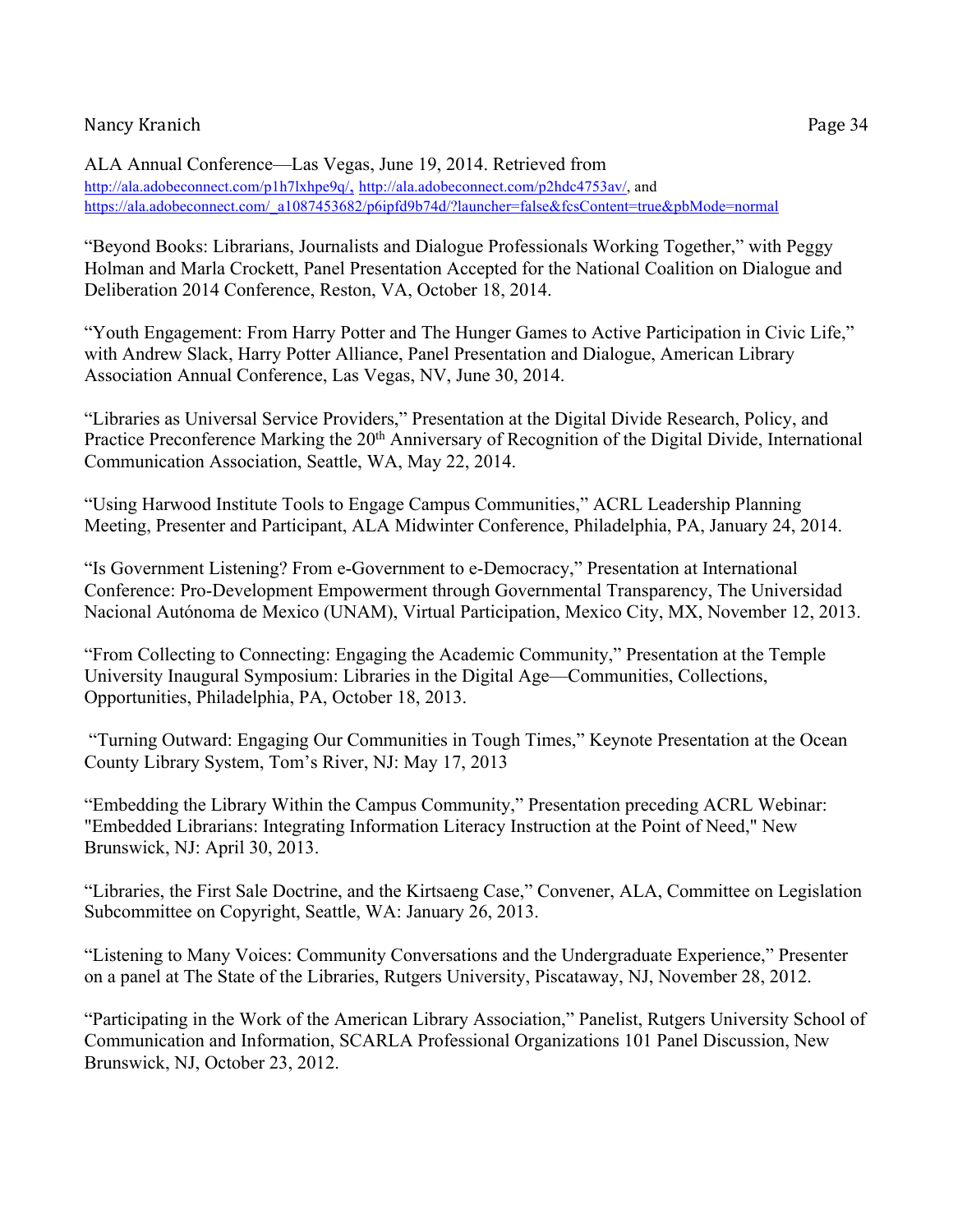ALA Annual Conference—Las Vegas, June 19, 2014. Retrieved from http://ala.adobeconnect.com/p1h7lxhpe9q/, http://ala.adobeconnect.com/p2hdc4753av/, and https://ala.adobeconnect.com/\_a1087453682/p6ipfd9b74d/?launcher=false&fcsContent=true&pbMode=normal

"Beyond Books: Librarians, Journalists and Dialogue Professionals Working Together," with Peggy Holman and Marla Crockett, Panel Presentation Accepted for the National Coalition on Dialogue and Deliberation 2014 Conference, Reston, VA, October 18, 2014.

"Youth Engagement: From Harry Potter and The Hunger Games to Active Participation in Civic Life," with Andrew Slack, Harry Potter Alliance, Panel Presentation and Dialogue, American Library Association Annual Conference, Las Vegas, NV, June 30, 2014.

"Libraries as Universal Service Providers," Presentation at the Digital Divide Research, Policy, and Practice Preconference Marking the 20<sup>th</sup> Anniversary of Recognition of the Digital Divide, International Communication Association, Seattle, WA, May 22, 2014.

"Using Harwood Institute Tools to Engage Campus Communities," ACRL Leadership Planning Meeting, Presenter and Participant, ALA Midwinter Conference, Philadelphia, PA, January 24, 2014.

"Is Government Listening? From e-Government to e-Democracy," Presentation at International Conference: Pro-Development Empowerment through Governmental Transparency, The Universidad Nacional Autónoma de Mexico (UNAM), Virtual Participation, Mexico City, MX, November 12, 2013.

"From Collecting to Connecting: Engaging the Academic Community," Presentation at the Temple University Inaugural Symposium: Libraries in the Digital Age—Communities, Collections, Opportunities, Philadelphia, PA, October 18, 2013.

"Turning Outward: Engaging Our Communities in Tough Times," Keynote Presentation at the Ocean County Library System, Tom's River, NJ: May 17, 2013

"Embedding the Library Within the Campus Community," Presentation preceding ACRL Webinar: "Embedded Librarians: Integrating Information Literacy Instruction at the Point of Need," New Brunswick, NJ: April 30, 2013.

"Libraries, the First Sale Doctrine, and the Kirtsaeng Case," Convener, ALA, Committee on Legislation Subcommittee on Copyright, Seattle, WA: January 26, 2013.

"Listening to Many Voices: Community Conversations and the Undergraduate Experience," Presenter on a panel at The State of the Libraries, Rutgers University, Piscataway, NJ, November 28, 2012.

"Participating in the Work of the American Library Association," Panelist, Rutgers University School of Communication and Information, SCARLA Professional Organizations 101 Panel Discussion, New Brunswick, NJ, October 23, 2012.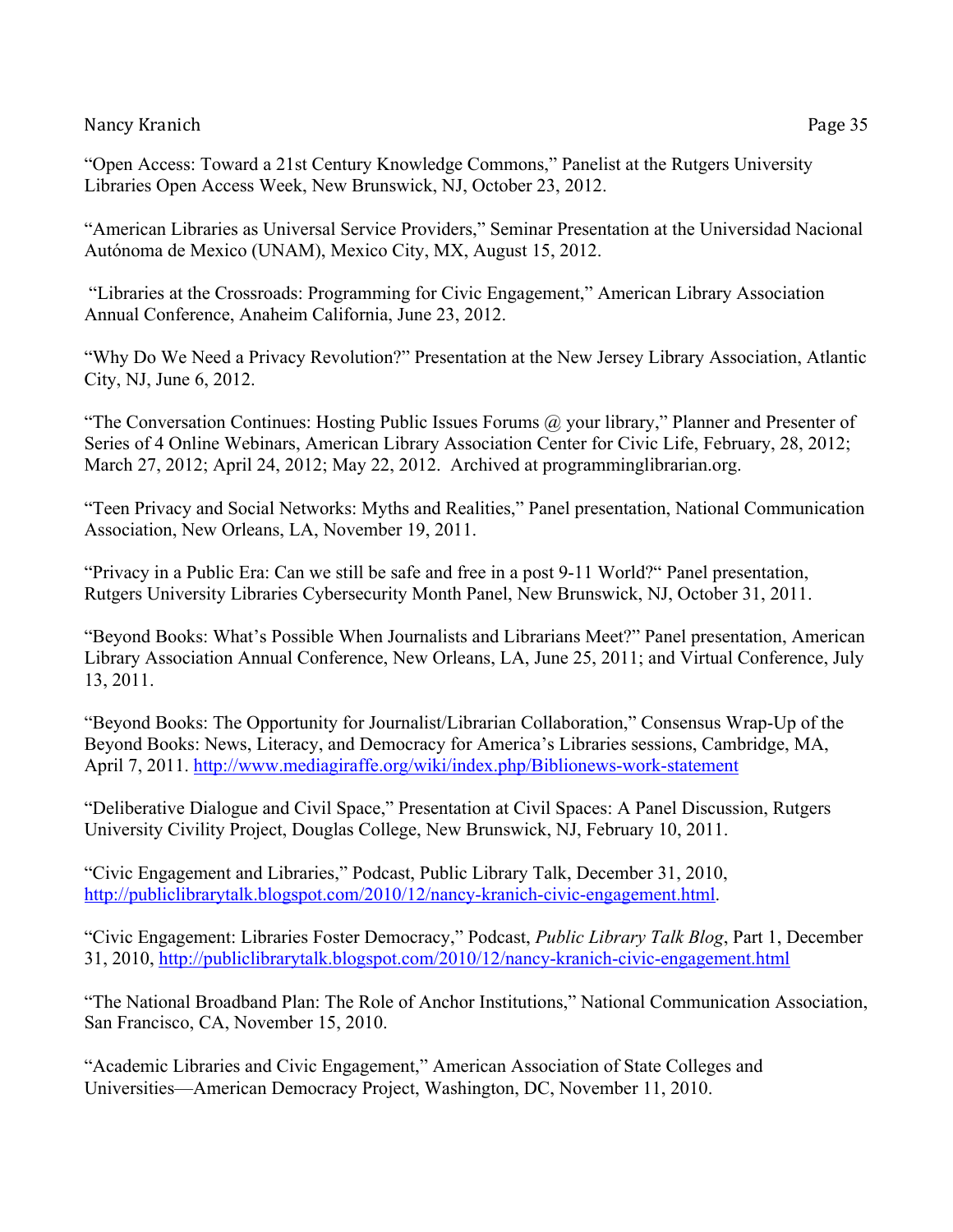"Open Access: Toward a 21st Century Knowledge Commons," Panelist at the Rutgers University Libraries Open Access Week, New Brunswick, NJ, October 23, 2012.

"American Libraries as Universal Service Providers," Seminar Presentation at the Universidad Nacional Autónoma de Mexico (UNAM), Mexico City, MX, August 15, 2012.

"Libraries at the Crossroads: Programming for Civic Engagement," American Library Association Annual Conference, Anaheim California, June 23, 2012.

"Why Do We Need a Privacy Revolution?" Presentation at the New Jersey Library Association, Atlantic City, NJ, June 6, 2012.

"The Conversation Continues: Hosting Public Issues Forums  $\omega$  your library," Planner and Presenter of Series of 4 Online Webinars, American Library Association Center for Civic Life, February, 28, 2012; March 27, 2012; April 24, 2012; May 22, 2012. Archived at programminglibrarian.org.

"Teen Privacy and Social Networks: Myths and Realities," Panel presentation, National Communication Association, New Orleans, LA, November 19, 2011.

"Privacy in a Public Era: Can we still be safe and free in a post 9-11 World?" Panel presentation, Rutgers University Libraries Cybersecurity Month Panel, New Brunswick, NJ, October 31, 2011.

"Beyond Books: What's Possible When Journalists and Librarians Meet?" Panel presentation, American Library Association Annual Conference, New Orleans, LA, June 25, 2011; and Virtual Conference, July 13, 2011.

"Beyond Books: The Opportunity for Journalist/Librarian Collaboration," Consensus Wrap-Up of the Beyond Books: News, Literacy, and Democracy for America's Libraries sessions, Cambridge, MA, April 7, 2011. http://www.mediagiraffe.org/wiki/index.php/Biblionews-work-statement

"Deliberative Dialogue and Civil Space," Presentation at Civil Spaces: A Panel Discussion, Rutgers University Civility Project, Douglas College, New Brunswick, NJ, February 10, 2011.

"Civic Engagement and Libraries," Podcast, Public Library Talk, December 31, 2010, http://publiclibrarytalk.blogspot.com/2010/12/nancy-kranich-civic-engagement.html.

"Civic Engagement: Libraries Foster Democracy," Podcast, *Public Library Talk Blog*, Part 1, December 31, 2010, http://publiclibrarytalk.blogspot.com/2010/12/nancy-kranich-civic-engagement.html

"The National Broadband Plan: The Role of Anchor Institutions," National Communication Association, San Francisco, CA, November 15, 2010.

"Academic Libraries and Civic Engagement," American Association of State Colleges and Universities—American Democracy Project, Washington, DC, November 11, 2010.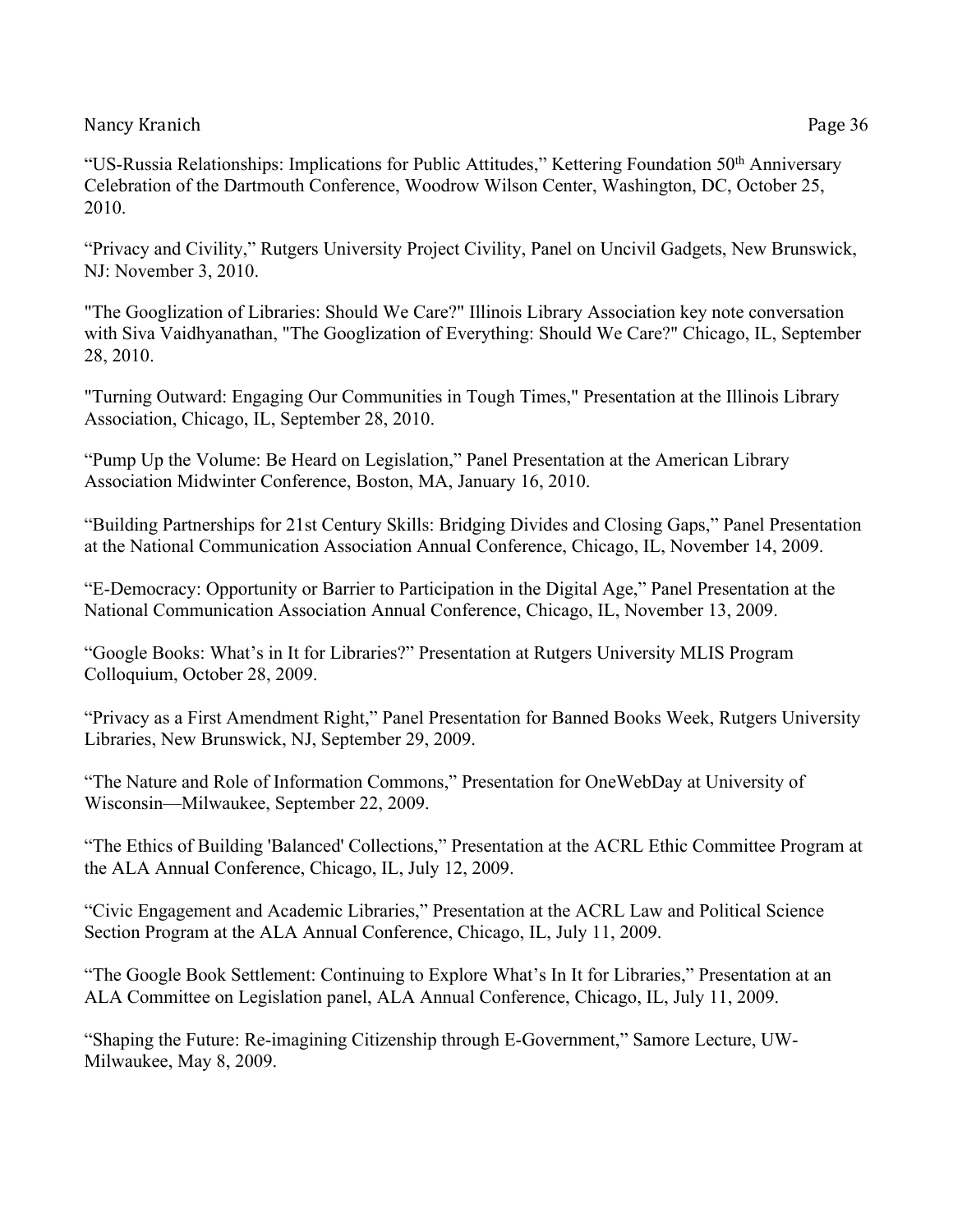"US-Russia Relationships: Implications for Public Attitudes," Kettering Foundation 50<sup>th</sup> Anniversary Celebration of the Dartmouth Conference, Woodrow Wilson Center, Washington, DC, October 25, 2010.

"Privacy and Civility," Rutgers University Project Civility, Panel on Uncivil Gadgets, New Brunswick, NJ: November 3, 2010.

"The Googlization of Libraries: Should We Care?" Illinois Library Association key note conversation with Siva Vaidhyanathan, "The Googlization of Everything: Should We Care?" Chicago, IL, September 28, 2010.

"Turning Outward: Engaging Our Communities in Tough Times," Presentation at the Illinois Library Association, Chicago, IL, September 28, 2010.

"Pump Up the Volume: Be Heard on Legislation," Panel Presentation at the American Library Association Midwinter Conference, Boston, MA, January 16, 2010.

"Building Partnerships for 21st Century Skills: Bridging Divides and Closing Gaps," Panel Presentation at the National Communication Association Annual Conference, Chicago, IL, November 14, 2009.

"E-Democracy: Opportunity or Barrier to Participation in the Digital Age," Panel Presentation at the National Communication Association Annual Conference, Chicago, IL, November 13, 2009.

"Google Books: What's in It for Libraries?" Presentation at Rutgers University MLIS Program Colloquium, October 28, 2009.

"Privacy as a First Amendment Right," Panel Presentation for Banned Books Week, Rutgers University Libraries, New Brunswick, NJ, September 29, 2009.

"The Nature and Role of Information Commons," Presentation for OneWebDay at University of Wisconsin—Milwaukee, September 22, 2009.

"The Ethics of Building 'Balanced' Collections," Presentation at the ACRL Ethic Committee Program at the ALA Annual Conference, Chicago, IL, July 12, 2009.

"Civic Engagement and Academic Libraries," Presentation at the ACRL Law and Political Science Section Program at the ALA Annual Conference, Chicago, IL, July 11, 2009.

"The Google Book Settlement: Continuing to Explore What's In It for Libraries," Presentation at an ALA Committee on Legislation panel, ALA Annual Conference, Chicago, IL, July 11, 2009.

"Shaping the Future: Re-imagining Citizenship through E-Government," Samore Lecture, UW-Milwaukee, May 8, 2009.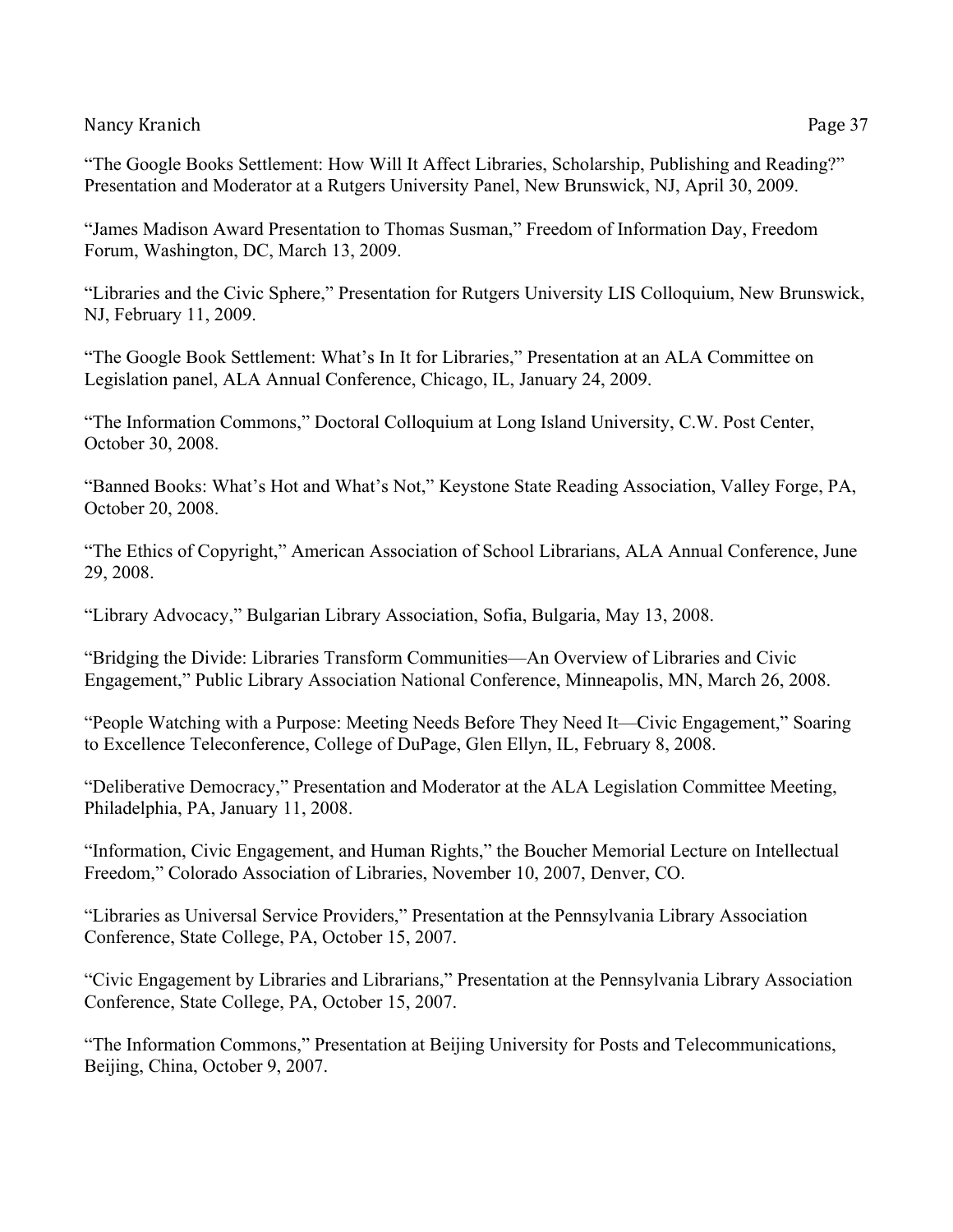"The Google Books Settlement: How Will It Affect Libraries, Scholarship, Publishing and Reading?" Presentation and Moderator at a Rutgers University Panel, New Brunswick, NJ, April 30, 2009.

"James Madison Award Presentation to Thomas Susman," Freedom of Information Day, Freedom Forum, Washington, DC, March 13, 2009.

"Libraries and the Civic Sphere," Presentation for Rutgers University LIS Colloquium, New Brunswick, NJ, February 11, 2009.

"The Google Book Settlement: What's In It for Libraries," Presentation at an ALA Committee on Legislation panel, ALA Annual Conference, Chicago, IL, January 24, 2009.

"The Information Commons," Doctoral Colloquium at Long Island University, C.W. Post Center, October 30, 2008.

"Banned Books: What's Hot and What's Not," Keystone State Reading Association, Valley Forge, PA, October 20, 2008.

"The Ethics of Copyright," American Association of School Librarians, ALA Annual Conference, June 29, 2008.

"Library Advocacy," Bulgarian Library Association, Sofia, Bulgaria, May 13, 2008.

"Bridging the Divide: Libraries Transform Communities—An Overview of Libraries and Civic Engagement," Public Library Association National Conference, Minneapolis, MN, March 26, 2008.

"People Watching with a Purpose: Meeting Needs Before They Need It—Civic Engagement," Soaring to Excellence Teleconference, College of DuPage, Glen Ellyn, IL, February 8, 2008.

"Deliberative Democracy," Presentation and Moderator at the ALA Legislation Committee Meeting, Philadelphia, PA, January 11, 2008.

"Information, Civic Engagement, and Human Rights," the Boucher Memorial Lecture on Intellectual Freedom," Colorado Association of Libraries, November 10, 2007, Denver, CO.

"Libraries as Universal Service Providers," Presentation at the Pennsylvania Library Association Conference, State College, PA, October 15, 2007.

"Civic Engagement by Libraries and Librarians," Presentation at the Pennsylvania Library Association Conference, State College, PA, October 15, 2007.

"The Information Commons," Presentation at Beijing University for Posts and Telecommunications, Beijing, China, October 9, 2007.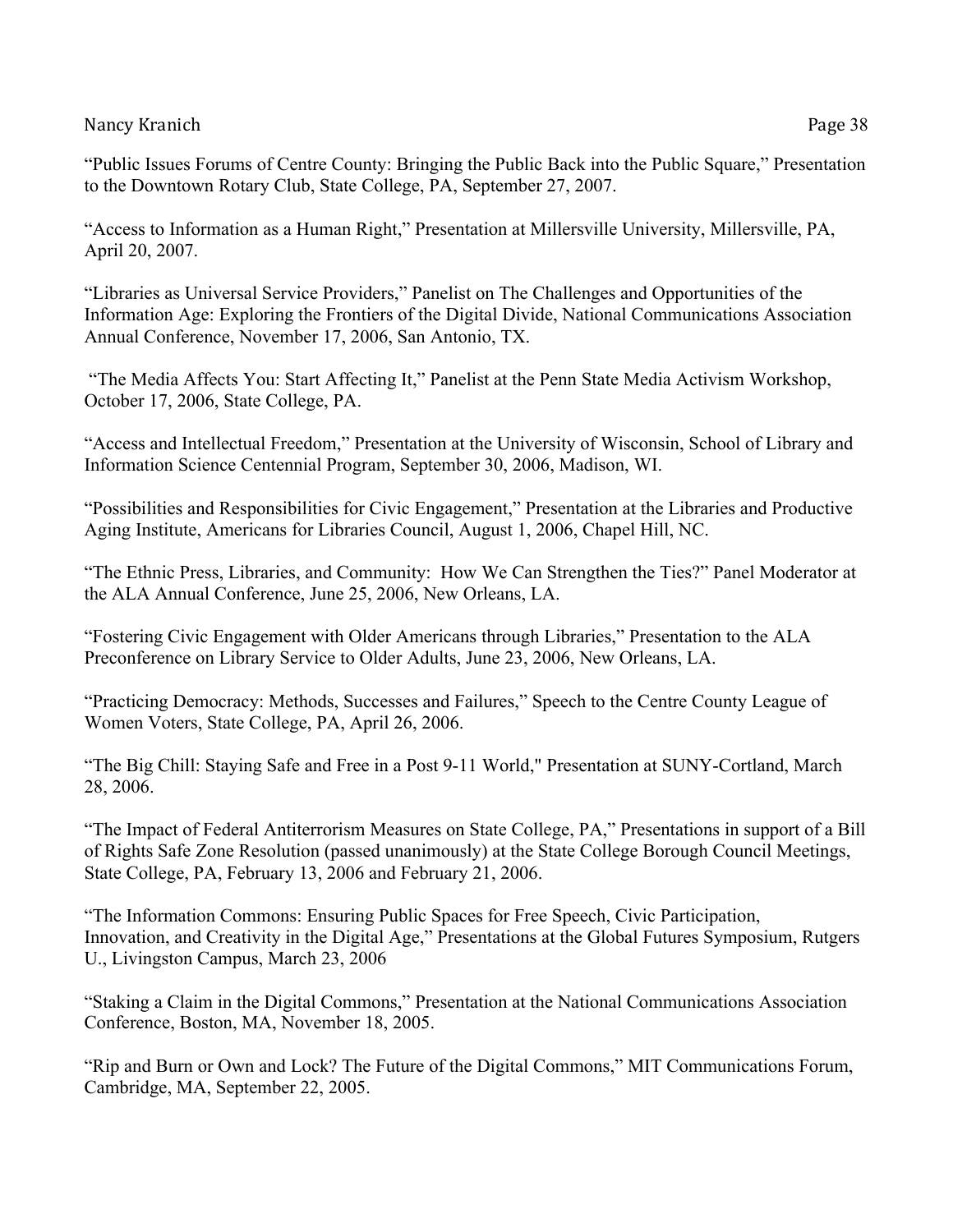"Public Issues Forums of Centre County: Bringing the Public Back into the Public Square," Presentation to the Downtown Rotary Club, State College, PA, September 27, 2007.

"Access to Information as a Human Right," Presentation at Millersville University, Millersville, PA, April 20, 2007.

"Libraries as Universal Service Providers," Panelist on The Challenges and Opportunities of the Information Age: Exploring the Frontiers of the Digital Divide, National Communications Association Annual Conference, November 17, 2006, San Antonio, TX.

"The Media Affects You: Start Affecting It," Panelist at the Penn State Media Activism Workshop, October 17, 2006, State College, PA.

"Access and Intellectual Freedom," Presentation at the University of Wisconsin, School of Library and Information Science Centennial Program, September 30, 2006, Madison, WI.

"Possibilities and Responsibilities for Civic Engagement," Presentation at the Libraries and Productive Aging Institute, Americans for Libraries Council, August 1, 2006, Chapel Hill, NC.

"The Ethnic Press, Libraries, and Community: How We Can Strengthen the Ties?" Panel Moderator at the ALA Annual Conference, June 25, 2006, New Orleans, LA.

"Fostering Civic Engagement with Older Americans through Libraries," Presentation to the ALA Preconference on Library Service to Older Adults, June 23, 2006, New Orleans, LA.

"Practicing Democracy: Methods, Successes and Failures," Speech to the Centre County League of Women Voters, State College, PA, April 26, 2006.

"The Big Chill: Staying Safe and Free in a Post 9-11 World," Presentation at SUNY-Cortland, March 28, 2006.

"The Impact of Federal Antiterrorism Measures on State College, PA," Presentations in support of a Bill of Rights Safe Zone Resolution (passed unanimously) at the State College Borough Council Meetings, State College, PA, February 13, 2006 and February 21, 2006.

"The Information Commons: Ensuring Public Spaces for Free Speech, Civic Participation, Innovation, and Creativity in the Digital Age," Presentations at the Global Futures Symposium, Rutgers U., Livingston Campus, March 23, 2006

"Staking a Claim in the Digital Commons," Presentation at the National Communications Association Conference, Boston, MA, November 18, 2005.

"Rip and Burn or Own and Lock? The Future of the Digital Commons," MIT Communications Forum, Cambridge, MA, September 22, 2005.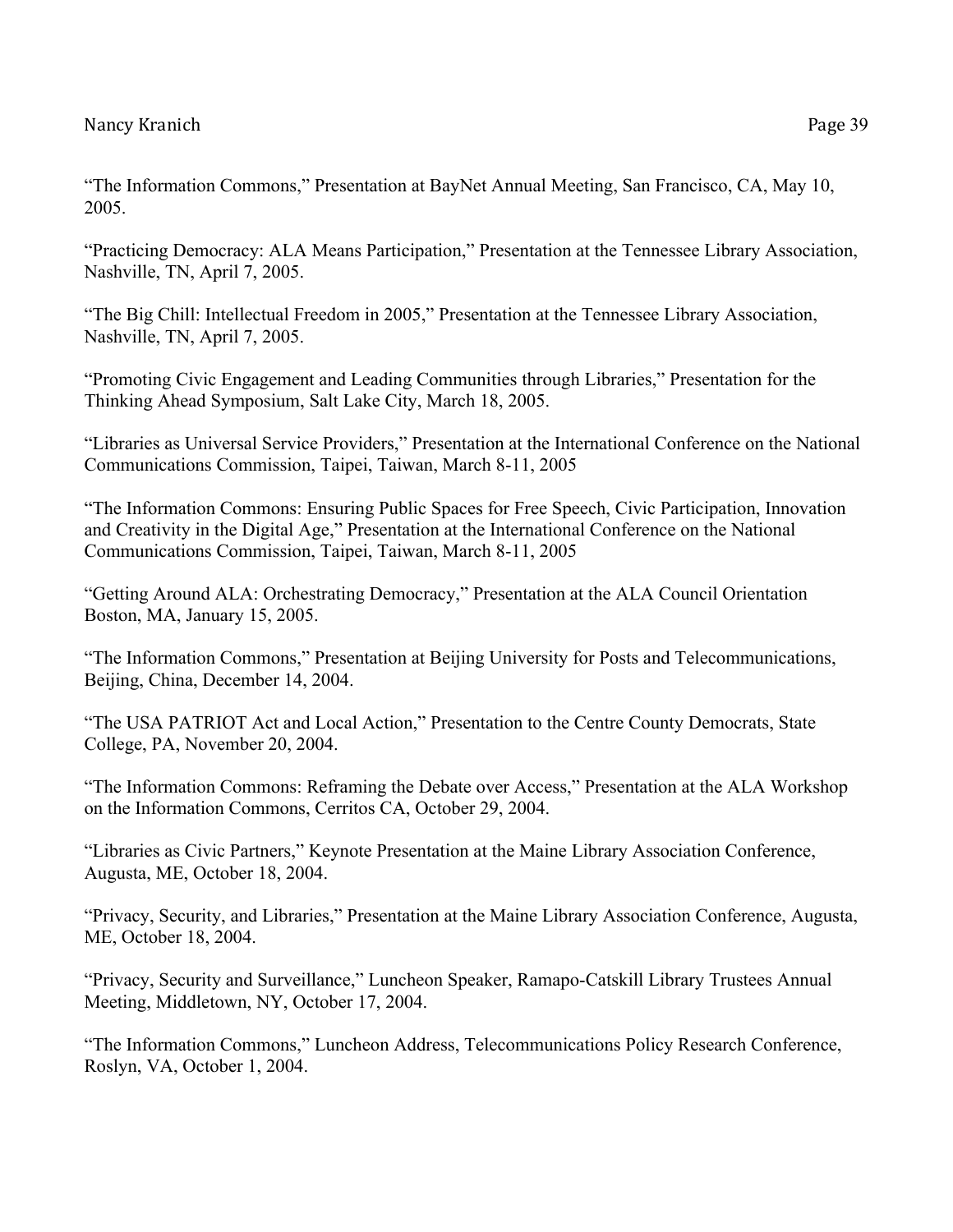"The Information Commons," Presentation at BayNet Annual Meeting, San Francisco, CA, May 10, 2005.

"Practicing Democracy: ALA Means Participation," Presentation at the Tennessee Library Association, Nashville, TN, April 7, 2005.

"The Big Chill: Intellectual Freedom in 2005," Presentation at the Tennessee Library Association, Nashville, TN, April 7, 2005.

"Promoting Civic Engagement and Leading Communities through Libraries," Presentation for the Thinking Ahead Symposium, Salt Lake City, March 18, 2005.

"Libraries as Universal Service Providers," Presentation at the International Conference on the National Communications Commission, Taipei, Taiwan, March 8-11, 2005

"The Information Commons: Ensuring Public Spaces for Free Speech, Civic Participation, Innovation and Creativity in the Digital Age," Presentation at the International Conference on the National Communications Commission, Taipei, Taiwan, March 8-11, 2005

"Getting Around ALA: Orchestrating Democracy," Presentation at the ALA Council Orientation Boston, MA, January 15, 2005.

"The Information Commons," Presentation at Beijing University for Posts and Telecommunications, Beijing, China, December 14, 2004.

"The USA PATRIOT Act and Local Action," Presentation to the Centre County Democrats, State College, PA, November 20, 2004.

"The Information Commons: Reframing the Debate over Access," Presentation at the ALA Workshop on the Information Commons, Cerritos CA, October 29, 2004.

"Libraries as Civic Partners," Keynote Presentation at the Maine Library Association Conference, Augusta, ME, October 18, 2004.

"Privacy, Security, and Libraries," Presentation at the Maine Library Association Conference, Augusta, ME, October 18, 2004.

"Privacy, Security and Surveillance," Luncheon Speaker, Ramapo-Catskill Library Trustees Annual Meeting, Middletown, NY, October 17, 2004.

"The Information Commons," Luncheon Address, Telecommunications Policy Research Conference, Roslyn, VA, October 1, 2004.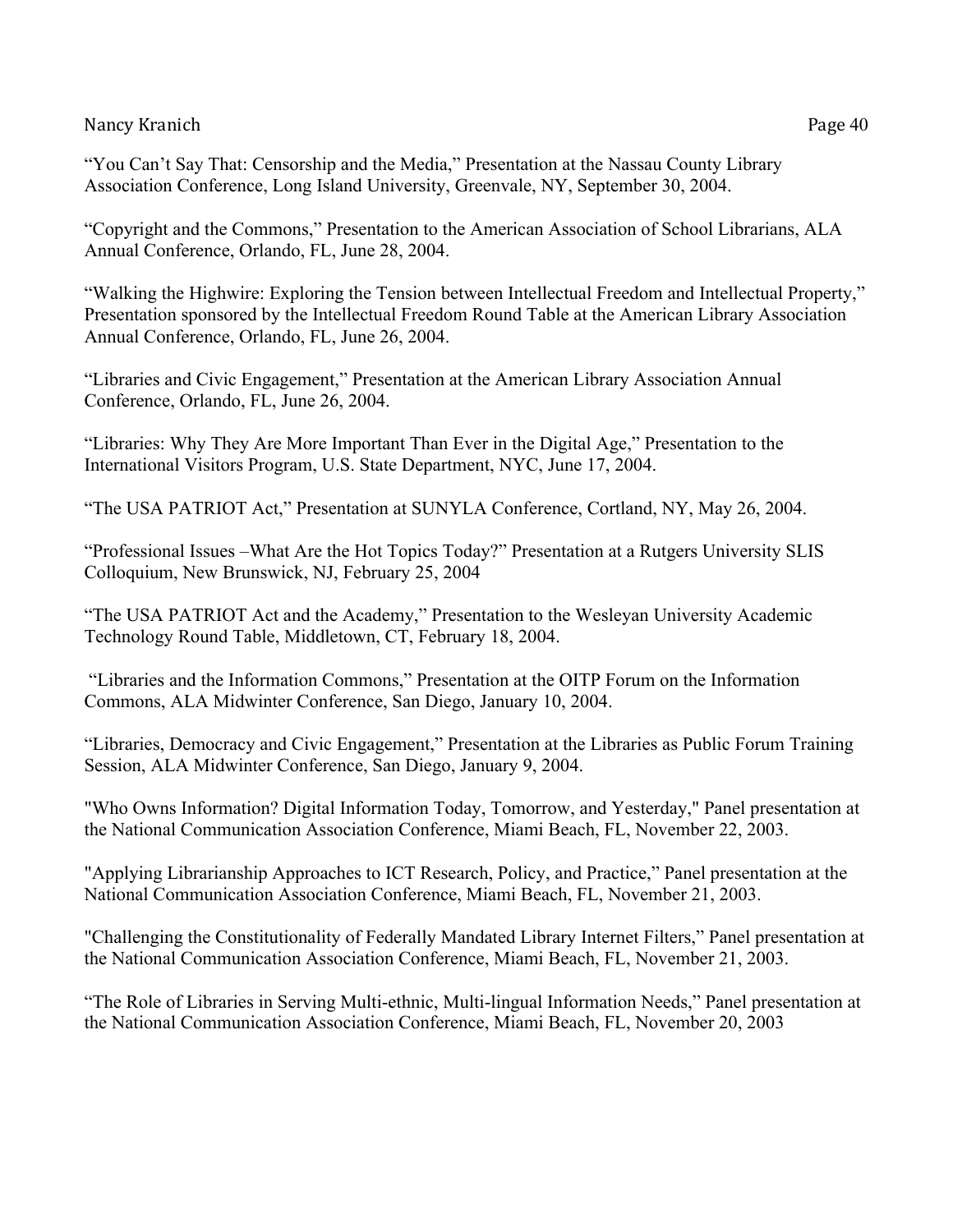"You Can't Say That: Censorship and the Media," Presentation at the Nassau County Library Association Conference, Long Island University, Greenvale, NY, September 30, 2004.

"Copyright and the Commons," Presentation to the American Association of School Librarians, ALA Annual Conference, Orlando, FL, June 28, 2004.

"Walking the Highwire: Exploring the Tension between Intellectual Freedom and Intellectual Property," Presentation sponsored by the Intellectual Freedom Round Table at the American Library Association Annual Conference, Orlando, FL, June 26, 2004.

"Libraries and Civic Engagement," Presentation at the American Library Association Annual Conference, Orlando, FL, June 26, 2004.

"Libraries: Why They Are More Important Than Ever in the Digital Age," Presentation to the International Visitors Program, U.S. State Department, NYC, June 17, 2004.

"The USA PATRIOT Act," Presentation at SUNYLA Conference, Cortland, NY, May 26, 2004.

"Professional Issues –What Are the Hot Topics Today?" Presentation at a Rutgers University SLIS Colloquium, New Brunswick, NJ, February 25, 2004

"The USA PATRIOT Act and the Academy," Presentation to the Wesleyan University Academic Technology Round Table, Middletown, CT, February 18, 2004.

"Libraries and the Information Commons," Presentation at the OITP Forum on the Information Commons, ALA Midwinter Conference, San Diego, January 10, 2004.

"Libraries, Democracy and Civic Engagement," Presentation at the Libraries as Public Forum Training Session, ALA Midwinter Conference, San Diego, January 9, 2004.

"Who Owns Information? Digital Information Today, Tomorrow, and Yesterday," Panel presentation at the National Communication Association Conference, Miami Beach, FL, November 22, 2003.

"Applying Librarianship Approaches to ICT Research, Policy, and Practice," Panel presentation at the National Communication Association Conference, Miami Beach, FL, November 21, 2003.

"Challenging the Constitutionality of Federally Mandated Library Internet Filters," Panel presentation at the National Communication Association Conference, Miami Beach, FL, November 21, 2003.

"The Role of Libraries in Serving Multi-ethnic, Multi-lingual Information Needs," Panel presentation at the National Communication Association Conference, Miami Beach, FL, November 20, 2003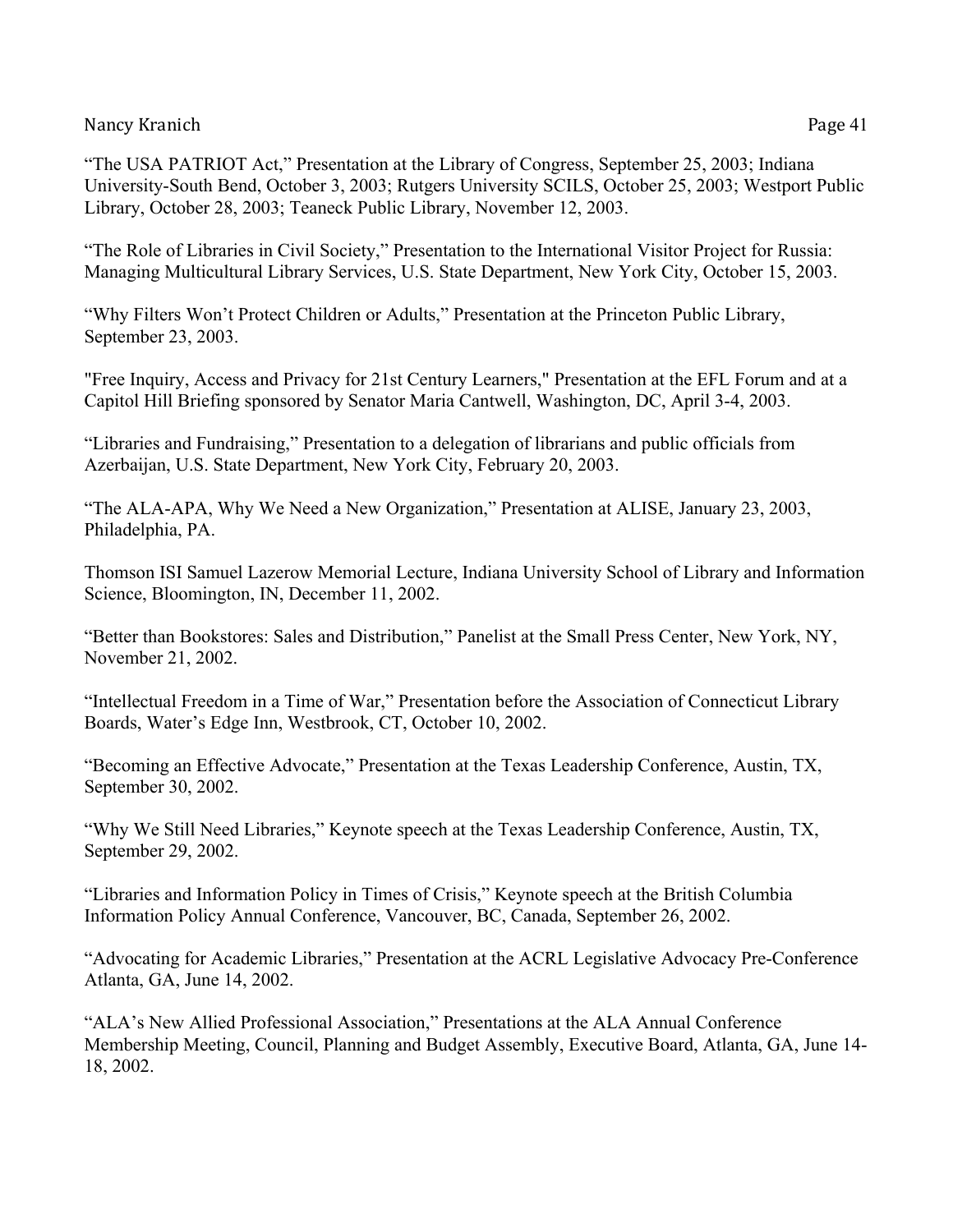"The USA PATRIOT Act," Presentation at the Library of Congress, September 25, 2003; Indiana University-South Bend, October 3, 2003; Rutgers University SCILS, October 25, 2003; Westport Public Library, October 28, 2003; Teaneck Public Library, November 12, 2003.

"The Role of Libraries in Civil Society," Presentation to the International Visitor Project for Russia: Managing Multicultural Library Services, U.S. State Department, New York City, October 15, 2003.

"Why Filters Won't Protect Children or Adults," Presentation at the Princeton Public Library, September 23, 2003.

"Free Inquiry, Access and Privacy for 21st Century Learners," Presentation at the EFL Forum and at a Capitol Hill Briefing sponsored by Senator Maria Cantwell, Washington, DC, April 3-4, 2003.

"Libraries and Fundraising," Presentation to a delegation of librarians and public officials from Azerbaijan, U.S. State Department, New York City, February 20, 2003.

"The ALA-APA, Why We Need a New Organization," Presentation at ALISE, January 23, 2003, Philadelphia, PA.

Thomson ISI Samuel Lazerow Memorial Lecture, Indiana University School of Library and Information Science, Bloomington, IN, December 11, 2002.

"Better than Bookstores: Sales and Distribution," Panelist at the Small Press Center, New York, NY, November 21, 2002.

"Intellectual Freedom in a Time of War," Presentation before the Association of Connecticut Library Boards, Water's Edge Inn, Westbrook, CT, October 10, 2002.

"Becoming an Effective Advocate," Presentation at the Texas Leadership Conference, Austin, TX, September 30, 2002.

"Why We Still Need Libraries," Keynote speech at the Texas Leadership Conference, Austin, TX, September 29, 2002.

"Libraries and Information Policy in Times of Crisis," Keynote speech at the British Columbia Information Policy Annual Conference, Vancouver, BC, Canada, September 26, 2002.

"Advocating for Academic Libraries," Presentation at the ACRL Legislative Advocacy Pre-Conference Atlanta, GA, June 14, 2002.

"ALA's New Allied Professional Association," Presentations at the ALA Annual Conference Membership Meeting, Council, Planning and Budget Assembly, Executive Board, Atlanta, GA, June 14- 18, 2002.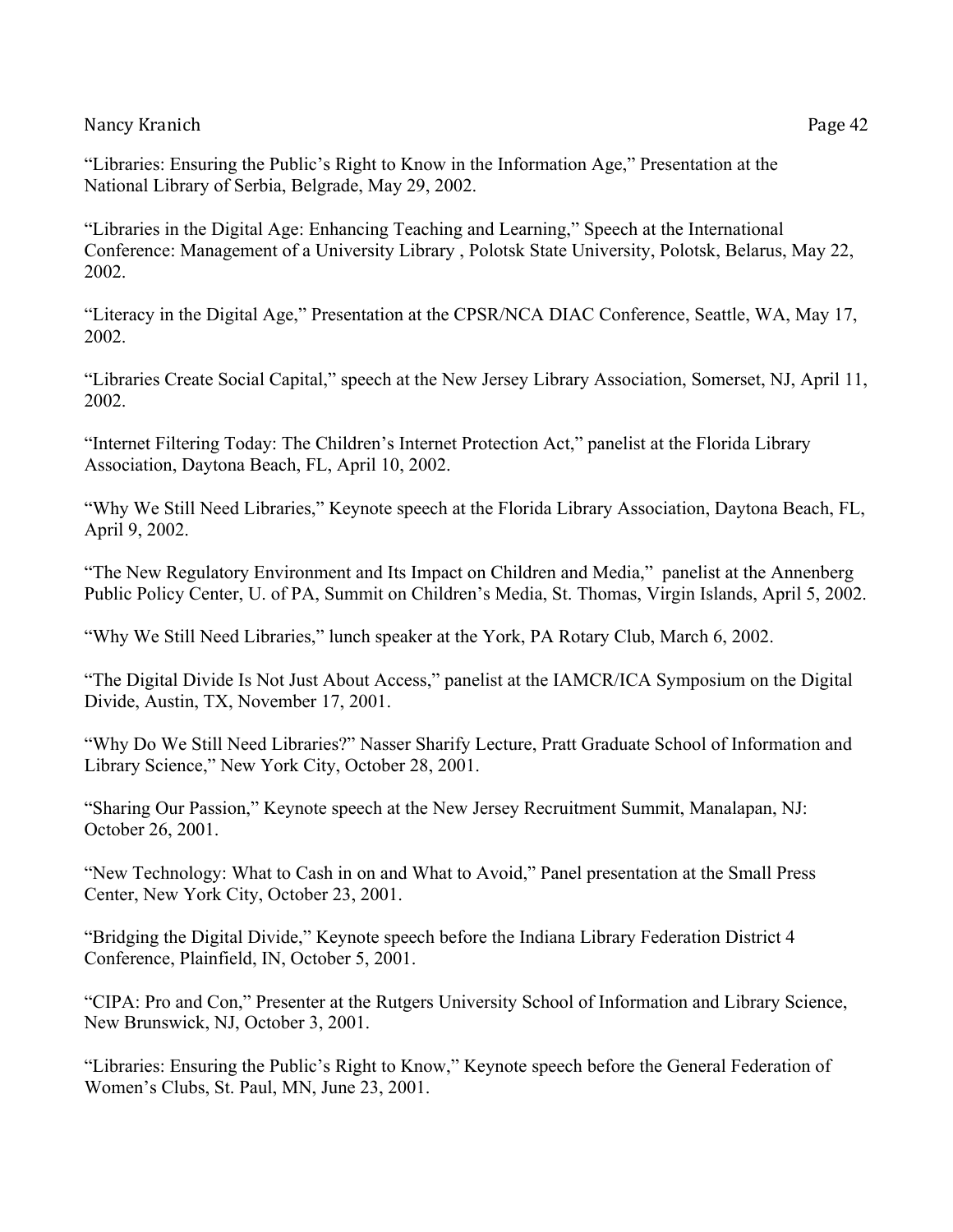"Libraries: Ensuring the Public's Right to Know in the Information Age," Presentation at the National Library of Serbia, Belgrade, May 29, 2002.

"Libraries in the Digital Age: Enhancing Teaching and Learning," Speech at the International Conference: Management of a University Library , Polotsk State University, Polotsk, Belarus, May 22, 2002.

"Literacy in the Digital Age," Presentation at the CPSR/NCA DIAC Conference, Seattle, WA, May 17, 2002.

"Libraries Create Social Capital," speech at the New Jersey Library Association, Somerset, NJ, April 11, 2002.

"Internet Filtering Today: The Children's Internet Protection Act," panelist at the Florida Library Association, Daytona Beach, FL, April 10, 2002.

"Why We Still Need Libraries," Keynote speech at the Florida Library Association, Daytona Beach, FL, April 9, 2002.

"The New Regulatory Environment and Its Impact on Children and Media," panelist at the Annenberg Public Policy Center, U. of PA, Summit on Children's Media, St. Thomas, Virgin Islands, April 5, 2002.

"Why We Still Need Libraries," lunch speaker at the York, PA Rotary Club, March 6, 2002.

"The Digital Divide Is Not Just About Access," panelist at the IAMCR/ICA Symposium on the Digital Divide, Austin, TX, November 17, 2001.

"Why Do We Still Need Libraries?" Nasser Sharify Lecture, Pratt Graduate School of Information and Library Science," New York City, October 28, 2001.

"Sharing Our Passion," Keynote speech at the New Jersey Recruitment Summit, Manalapan, NJ: October 26, 2001.

"New Technology: What to Cash in on and What to Avoid," Panel presentation at the Small Press Center, New York City, October 23, 2001.

"Bridging the Digital Divide," Keynote speech before the Indiana Library Federation District 4 Conference, Plainfield, IN, October 5, 2001.

"CIPA: Pro and Con," Presenter at the Rutgers University School of Information and Library Science, New Brunswick, NJ, October 3, 2001.

"Libraries: Ensuring the Public's Right to Know," Keynote speech before the General Federation of Women's Clubs, St. Paul, MN, June 23, 2001.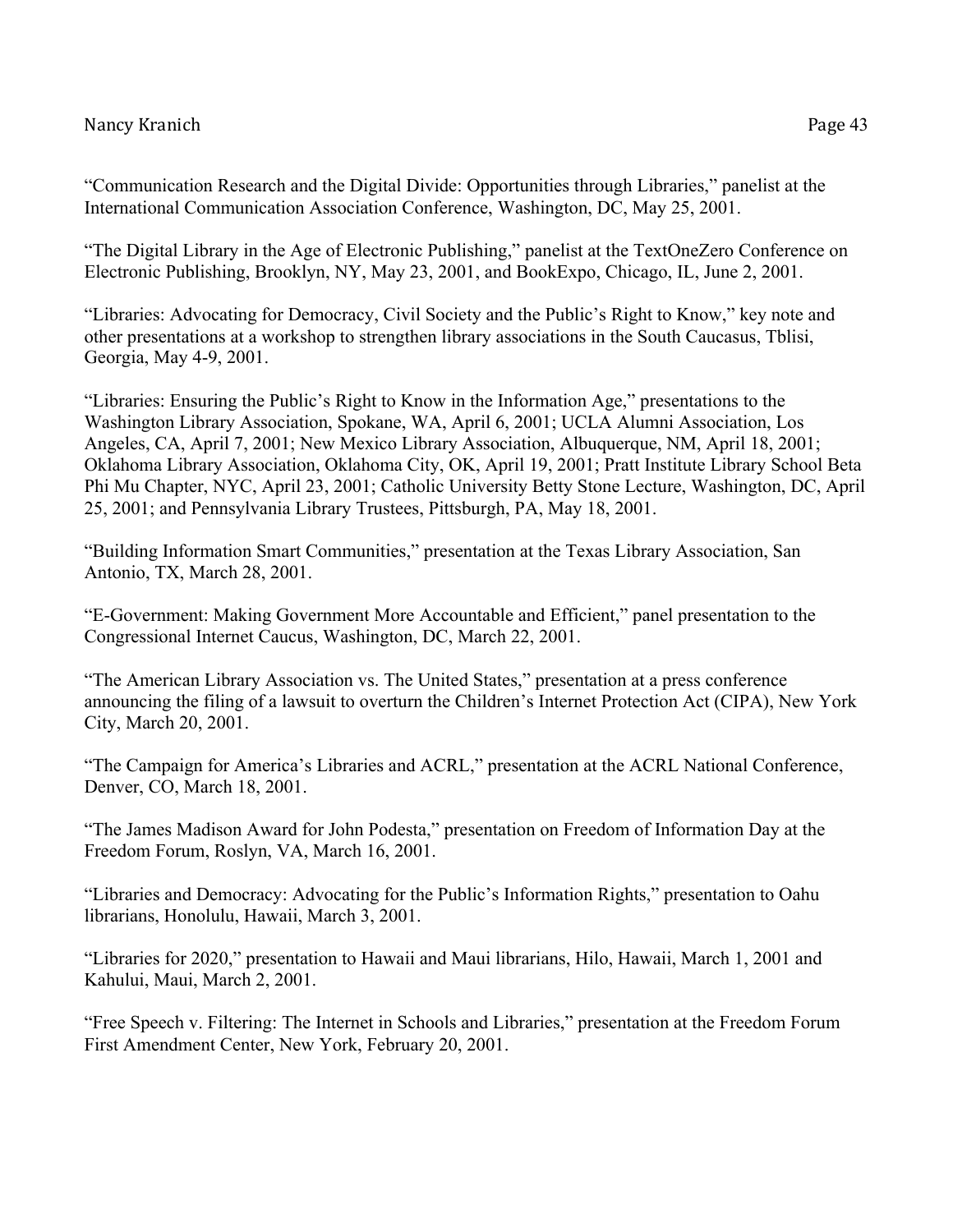"Communication Research and the Digital Divide: Opportunities through Libraries," panelist at the International Communication Association Conference, Washington, DC, May 25, 2001.

"The Digital Library in the Age of Electronic Publishing," panelist at the TextOneZero Conference on Electronic Publishing, Brooklyn, NY, May 23, 2001, and BookExpo, Chicago, IL, June 2, 2001.

"Libraries: Advocating for Democracy, Civil Society and the Public's Right to Know," key note and other presentations at a workshop to strengthen library associations in the South Caucasus, Tblisi, Georgia, May 4-9, 2001.

"Libraries: Ensuring the Public's Right to Know in the Information Age," presentations to the Washington Library Association, Spokane, WA, April 6, 2001; UCLA Alumni Association, Los Angeles, CA, April 7, 2001; New Mexico Library Association, Albuquerque, NM, April 18, 2001; Oklahoma Library Association, Oklahoma City, OK, April 19, 2001; Pratt Institute Library School Beta Phi Mu Chapter, NYC, April 23, 2001; Catholic University Betty Stone Lecture, Washington, DC, April 25, 2001; and Pennsylvania Library Trustees, Pittsburgh, PA, May 18, 2001.

"Building Information Smart Communities," presentation at the Texas Library Association, San Antonio, TX, March 28, 2001.

"E-Government: Making Government More Accountable and Efficient," panel presentation to the Congressional Internet Caucus, Washington, DC, March 22, 2001.

"The American Library Association vs. The United States," presentation at a press conference announcing the filing of a lawsuit to overturn the Children's Internet Protection Act (CIPA), New York City, March 20, 2001.

"The Campaign for America's Libraries and ACRL," presentation at the ACRL National Conference, Denver, CO, March 18, 2001.

"The James Madison Award for John Podesta," presentation on Freedom of Information Day at the Freedom Forum, Roslyn, VA, March 16, 2001.

"Libraries and Democracy: Advocating for the Public's Information Rights," presentation to Oahu librarians, Honolulu, Hawaii, March 3, 2001.

"Libraries for 2020," presentation to Hawaii and Maui librarians, Hilo, Hawaii, March 1, 2001 and Kahului, Maui, March 2, 2001.

"Free Speech v. Filtering: The Internet in Schools and Libraries," presentation at the Freedom Forum First Amendment Center, New York, February 20, 2001.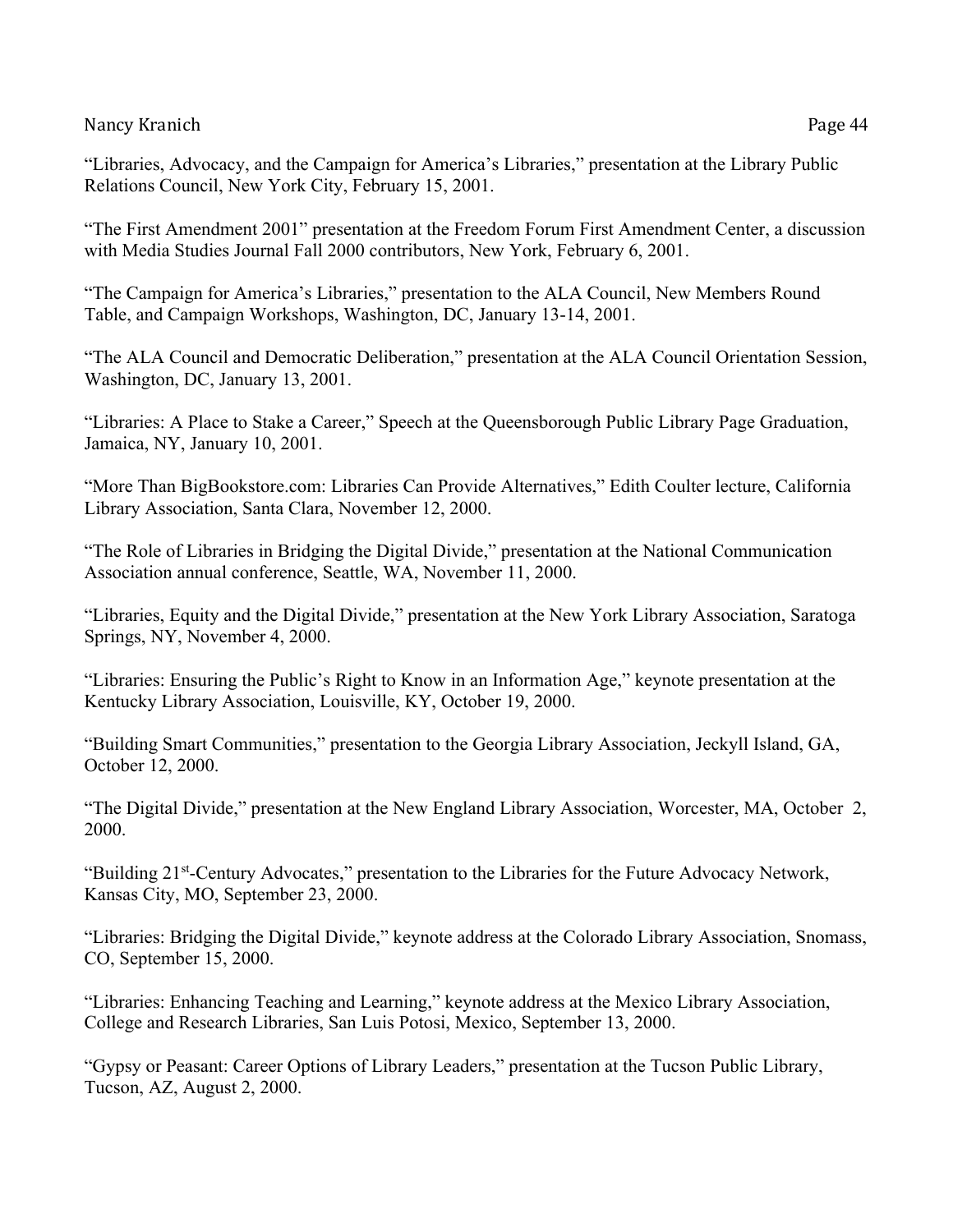"Libraries, Advocacy, and the Campaign for America's Libraries," presentation at the Library Public Relations Council, New York City, February 15, 2001.

"The First Amendment 2001" presentation at the Freedom Forum First Amendment Center, a discussion with Media Studies Journal Fall 2000 contributors, New York, February 6, 2001.

"The Campaign for America's Libraries," presentation to the ALA Council, New Members Round Table, and Campaign Workshops, Washington, DC, January 13-14, 2001.

"The ALA Council and Democratic Deliberation," presentation at the ALA Council Orientation Session, Washington, DC, January 13, 2001.

"Libraries: A Place to Stake a Career," Speech at the Queensborough Public Library Page Graduation, Jamaica, NY, January 10, 2001.

"More Than BigBookstore.com: Libraries Can Provide Alternatives," Edith Coulter lecture, California Library Association, Santa Clara, November 12, 2000.

"The Role of Libraries in Bridging the Digital Divide," presentation at the National Communication Association annual conference, Seattle, WA, November 11, 2000.

"Libraries, Equity and the Digital Divide," presentation at the New York Library Association, Saratoga Springs, NY, November 4, 2000.

"Libraries: Ensuring the Public's Right to Know in an Information Age," keynote presentation at the Kentucky Library Association, Louisville, KY, October 19, 2000.

"Building Smart Communities," presentation to the Georgia Library Association, Jeckyll Island, GA, October 12, 2000.

"The Digital Divide," presentation at the New England Library Association, Worcester, MA, October 2, 2000.

"Building 21st-Century Advocates," presentation to the Libraries for the Future Advocacy Network, Kansas City, MO, September 23, 2000.

"Libraries: Bridging the Digital Divide," keynote address at the Colorado Library Association, Snomass, CO, September 15, 2000.

"Libraries: Enhancing Teaching and Learning," keynote address at the Mexico Library Association, College and Research Libraries, San Luis Potosi, Mexico, September 13, 2000.

"Gypsy or Peasant: Career Options of Library Leaders," presentation at the Tucson Public Library, Tucson, AZ, August 2, 2000.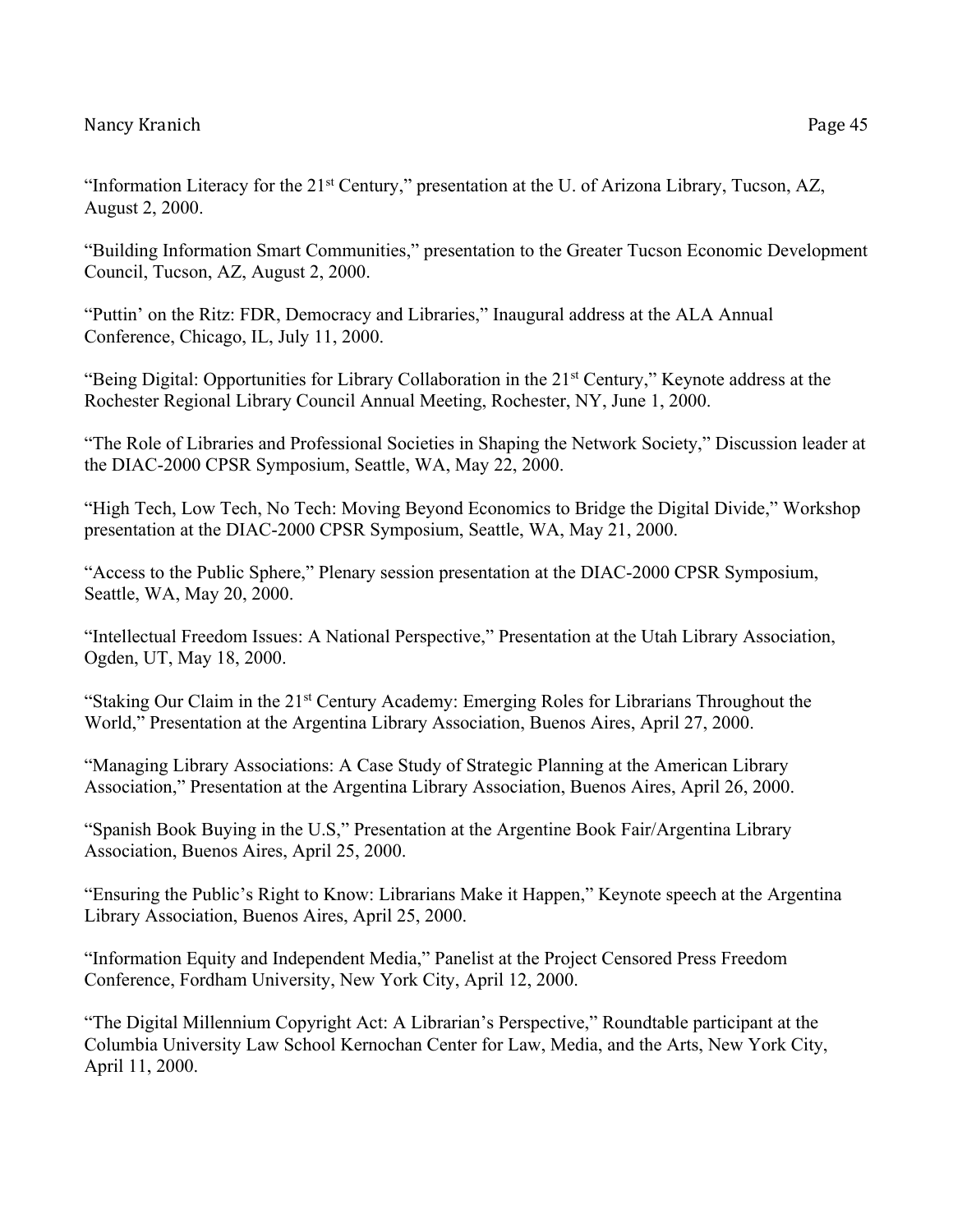"Information Literacy for the 21st Century," presentation at the U. of Arizona Library, Tucson, AZ, August 2, 2000.

"Building Information Smart Communities," presentation to the Greater Tucson Economic Development Council, Tucson, AZ, August 2, 2000.

"Puttin' on the Ritz: FDR, Democracy and Libraries," Inaugural address at the ALA Annual Conference, Chicago, IL, July 11, 2000.

"Being Digital: Opportunities for Library Collaboration in the 21st Century," Keynote address at the Rochester Regional Library Council Annual Meeting, Rochester, NY, June 1, 2000.

"The Role of Libraries and Professional Societies in Shaping the Network Society," Discussion leader at the DIAC-2000 CPSR Symposium, Seattle, WA, May 22, 2000.

"High Tech, Low Tech, No Tech: Moving Beyond Economics to Bridge the Digital Divide," Workshop presentation at the DIAC-2000 CPSR Symposium, Seattle, WA, May 21, 2000.

"Access to the Public Sphere," Plenary session presentation at the DIAC-2000 CPSR Symposium, Seattle, WA, May 20, 2000.

"Intellectual Freedom Issues: A National Perspective," Presentation at the Utah Library Association, Ogden, UT, May 18, 2000.

"Staking Our Claim in the 21st Century Academy: Emerging Roles for Librarians Throughout the World," Presentation at the Argentina Library Association, Buenos Aires, April 27, 2000.

"Managing Library Associations: A Case Study of Strategic Planning at the American Library Association," Presentation at the Argentina Library Association, Buenos Aires, April 26, 2000.

"Spanish Book Buying in the U.S," Presentation at the Argentine Book Fair/Argentina Library Association, Buenos Aires, April 25, 2000.

"Ensuring the Public's Right to Know: Librarians Make it Happen," Keynote speech at the Argentina Library Association, Buenos Aires, April 25, 2000.

"Information Equity and Independent Media," Panelist at the Project Censored Press Freedom Conference, Fordham University, New York City, April 12, 2000.

"The Digital Millennium Copyright Act: A Librarian's Perspective," Roundtable participant at the Columbia University Law School Kernochan Center for Law, Media, and the Arts, New York City, April 11, 2000.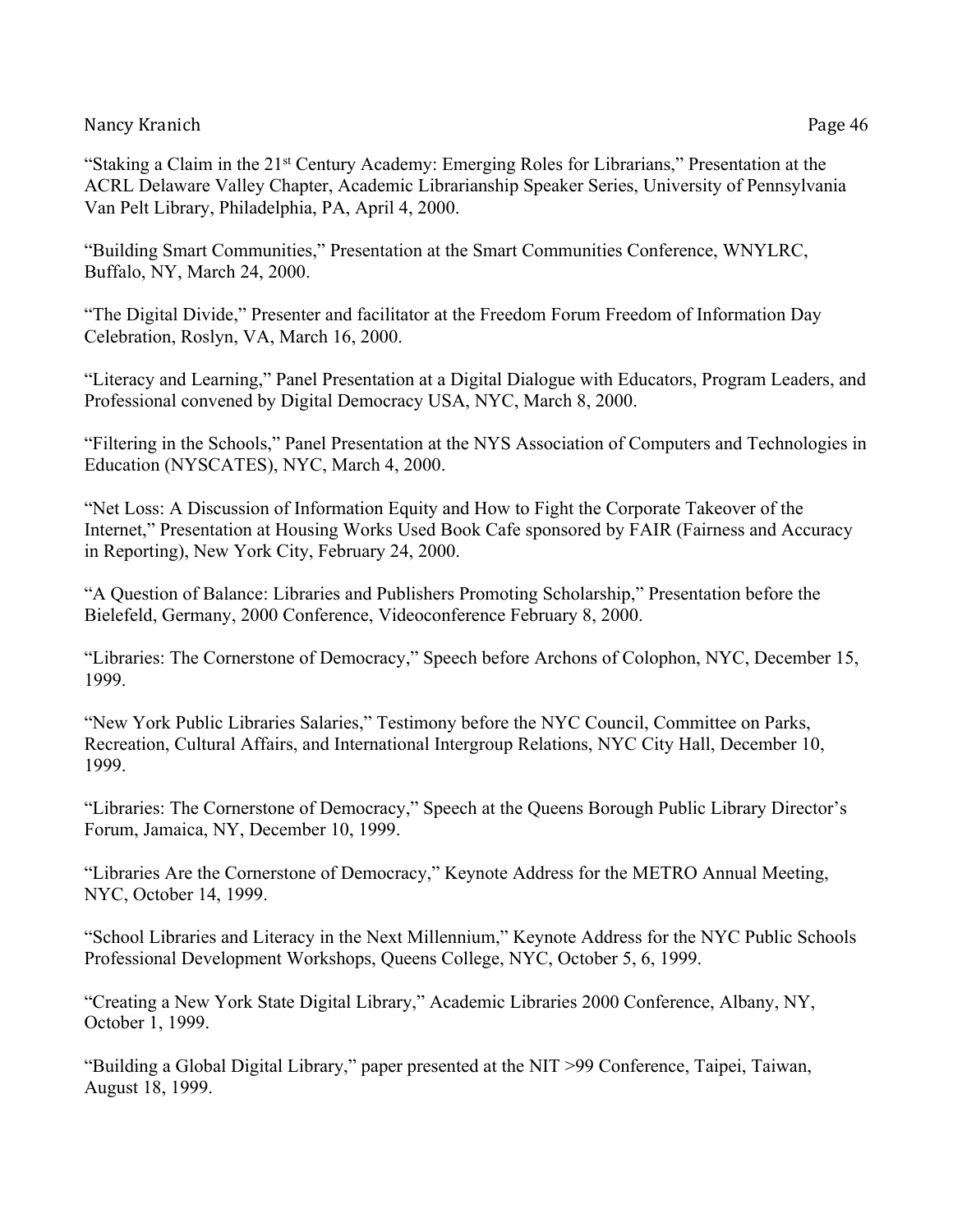"Staking a Claim in the 21st Century Academy: Emerging Roles for Librarians," Presentation at the ACRL Delaware Valley Chapter, Academic Librarianship Speaker Series, University of Pennsylvania Van Pelt Library, Philadelphia, PA, April 4, 2000.

"Building Smart Communities," Presentation at the Smart Communities Conference, WNYLRC, Buffalo, NY, March 24, 2000.

"The Digital Divide," Presenter and facilitator at the Freedom Forum Freedom of Information Day Celebration, Roslyn, VA, March 16, 2000.

"Literacy and Learning," Panel Presentation at a Digital Dialogue with Educators, Program Leaders, and Professional convened by Digital Democracy USA, NYC, March 8, 2000.

"Filtering in the Schools," Panel Presentation at the NYS Association of Computers and Technologies in Education (NYSCATES), NYC, March 4, 2000.

"Net Loss: A Discussion of Information Equity and How to Fight the Corporate Takeover of the Internet," Presentation at Housing Works Used Book Cafe sponsored by FAIR (Fairness and Accuracy in Reporting), New York City, February 24, 2000.

"A Question of Balance: Libraries and Publishers Promoting Scholarship," Presentation before the Bielefeld, Germany, 2000 Conference, Videoconference February 8, 2000.

"Libraries: The Cornerstone of Democracy," Speech before Archons of Colophon, NYC, December 15, 1999.

"New York Public Libraries Salaries," Testimony before the NYC Council, Committee on Parks, Recreation, Cultural Affairs, and International Intergroup Relations, NYC City Hall, December 10, 1999.

"Libraries: The Cornerstone of Democracy," Speech at the Queens Borough Public Library Director's Forum, Jamaica, NY, December 10, 1999.

"Libraries Are the Cornerstone of Democracy," Keynote Address for the METRO Annual Meeting, NYC, October 14, 1999.

"School Libraries and Literacy in the Next Millennium," Keynote Address for the NYC Public Schools Professional Development Workshops, Queens College, NYC, October 5, 6, 1999.

"Creating a New York State Digital Library," Academic Libraries 2000 Conference, Albany, NY, October 1, 1999.

"Building a Global Digital Library," paper presented at the NIT >99 Conference, Taipei, Taiwan, August 18, 1999.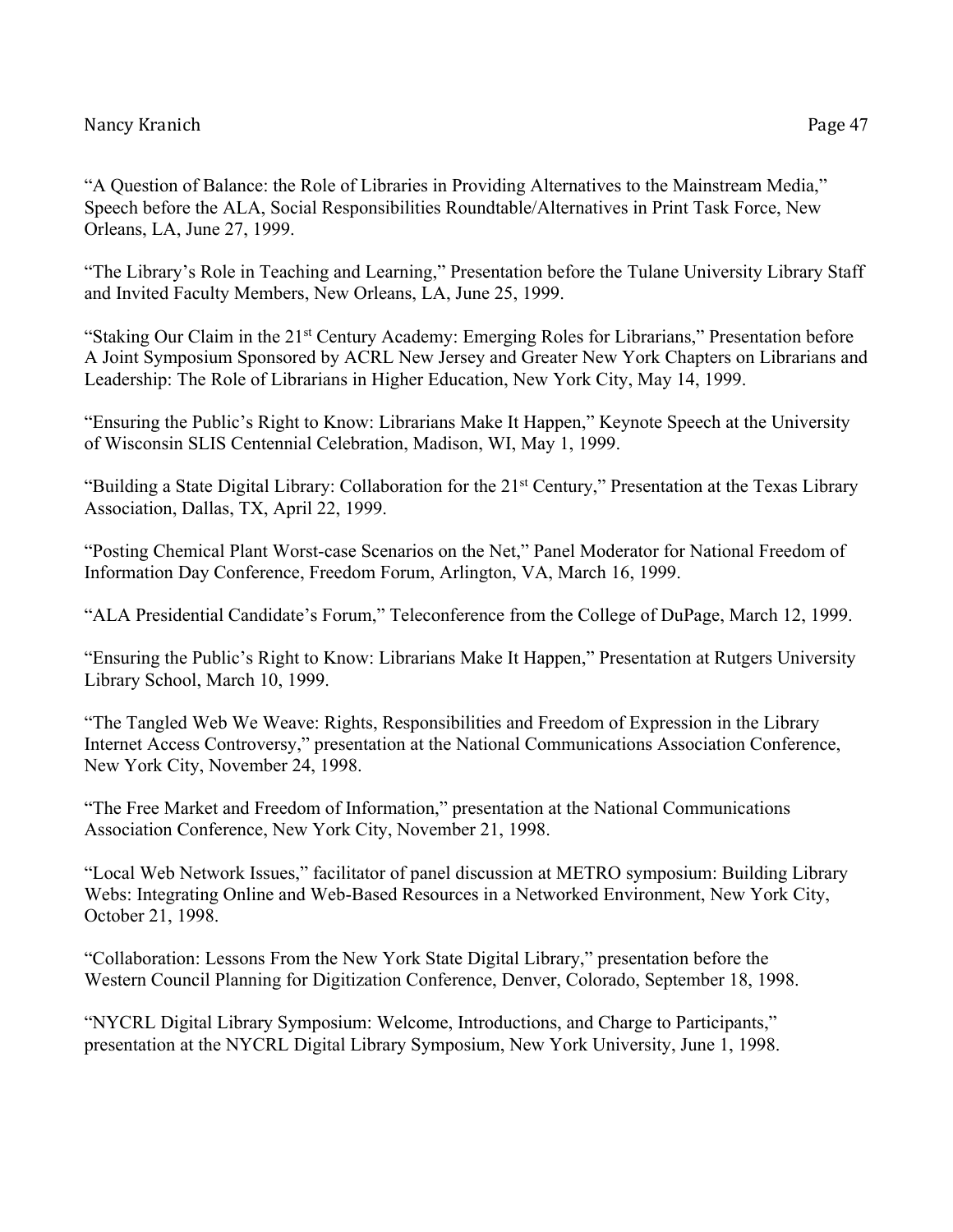"A Question of Balance: the Role of Libraries in Providing Alternatives to the Mainstream Media," Speech before the ALA, Social Responsibilities Roundtable/Alternatives in Print Task Force, New Orleans, LA, June 27, 1999.

"The Library's Role in Teaching and Learning," Presentation before the Tulane University Library Staff and Invited Faculty Members, New Orleans, LA, June 25, 1999.

"Staking Our Claim in the 21st Century Academy: Emerging Roles for Librarians," Presentation before A Joint Symposium Sponsored by ACRL New Jersey and Greater New York Chapters on Librarians and Leadership: The Role of Librarians in Higher Education, New York City, May 14, 1999.

"Ensuring the Public's Right to Know: Librarians Make It Happen," Keynote Speech at the University of Wisconsin SLIS Centennial Celebration, Madison, WI, May 1, 1999.

"Building a State Digital Library: Collaboration for the 21st Century," Presentation at the Texas Library Association, Dallas, TX, April 22, 1999.

"Posting Chemical Plant Worst-case Scenarios on the Net," Panel Moderator for National Freedom of Information Day Conference, Freedom Forum, Arlington, VA, March 16, 1999.

"ALA Presidential Candidate's Forum," Teleconference from the College of DuPage, March 12, 1999.

"Ensuring the Public's Right to Know: Librarians Make It Happen," Presentation at Rutgers University Library School, March 10, 1999.

"The Tangled Web We Weave: Rights, Responsibilities and Freedom of Expression in the Library Internet Access Controversy," presentation at the National Communications Association Conference, New York City, November 24, 1998.

"The Free Market and Freedom of Information," presentation at the National Communications Association Conference, New York City, November 21, 1998.

"Local Web Network Issues," facilitator of panel discussion at METRO symposium: Building Library Webs: Integrating Online and Web-Based Resources in a Networked Environment, New York City, October 21, 1998.

"Collaboration: Lessons From the New York State Digital Library," presentation before the Western Council Planning for Digitization Conference, Denver, Colorado, September 18, 1998.

"NYCRL Digital Library Symposium: Welcome, Introductions, and Charge to Participants," presentation at the NYCRL Digital Library Symposium, New York University, June 1, 1998.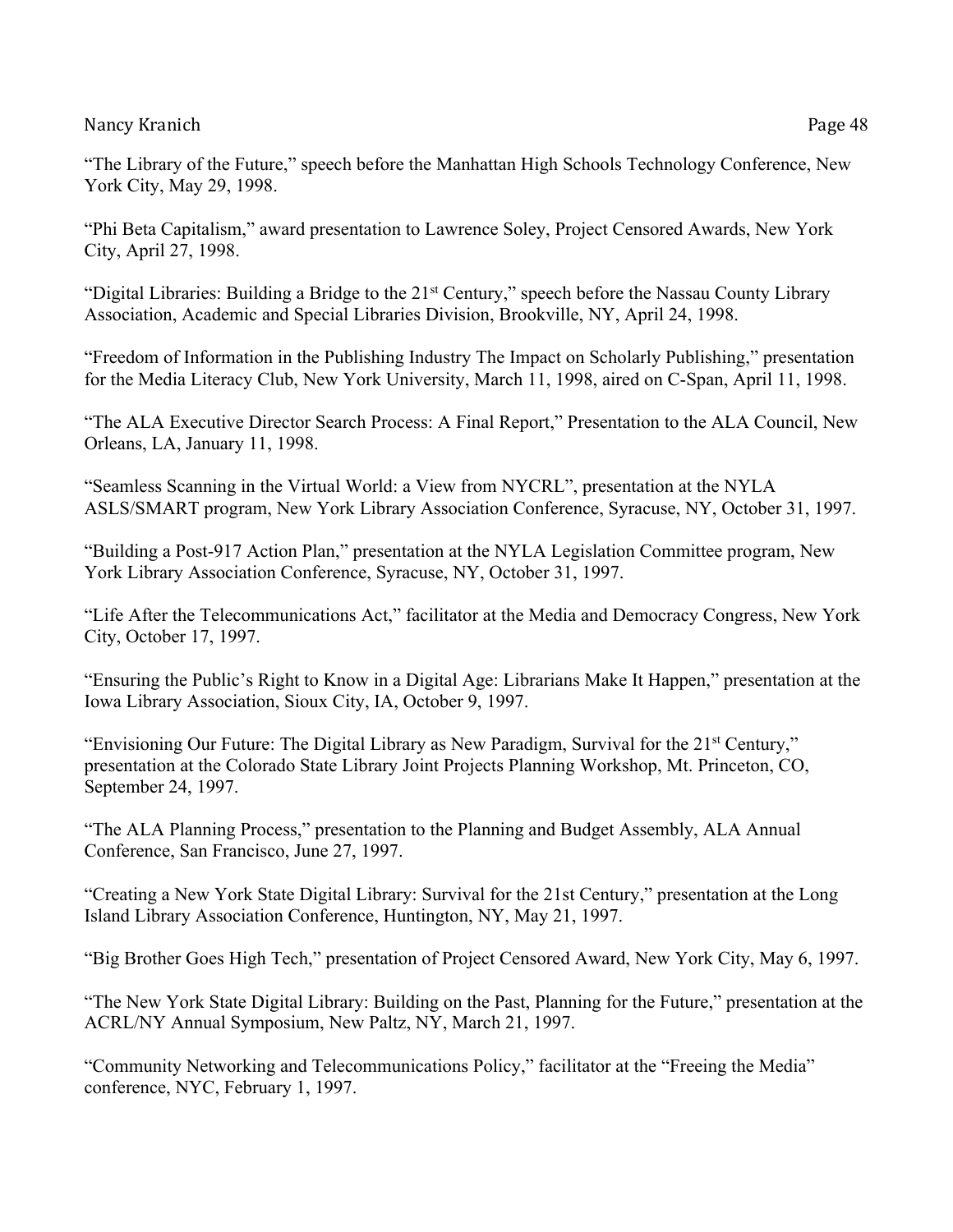"Phi Beta Capitalism," award presentation to Lawrence Soley, Project Censored Awards, New York City, April 27, 1998.

"Digital Libraries: Building a Bridge to the 21<sup>st</sup> Century," speech before the Nassau County Library Association, Academic and Special Libraries Division, Brookville, NY, April 24, 1998.

"Freedom of Information in the Publishing Industry The Impact on Scholarly Publishing," presentation for the Media Literacy Club, New York University, March 11, 1998, aired on C-Span, April 11, 1998.

"The ALA Executive Director Search Process: A Final Report," Presentation to the ALA Council, New Orleans, LA, January 11, 1998.

"Seamless Scanning in the Virtual World: a View from NYCRL", presentation at the NYLA ASLS/SMART program, New York Library Association Conference, Syracuse, NY, October 31, 1997.

"Building a Post-917 Action Plan," presentation at the NYLA Legislation Committee program, New York Library Association Conference, Syracuse, NY, October 31, 1997.

"Life After the Telecommunications Act," facilitator at the Media and Democracy Congress, New York City, October 17, 1997.

"Ensuring the Public's Right to Know in a Digital Age: Librarians Make It Happen," presentation at the Iowa Library Association, Sioux City, IA, October 9, 1997.

"Envisioning Our Future: The Digital Library as New Paradigm, Survival for the 21<sup>st</sup> Century," presentation at the Colorado State Library Joint Projects Planning Workshop, Mt. Princeton, CO, September 24, 1997.

"The ALA Planning Process," presentation to the Planning and Budget Assembly, ALA Annual Conference, San Francisco, June 27, 1997.

"Creating a New York State Digital Library: Survival for the 21st Century," presentation at the Long Island Library Association Conference, Huntington, NY, May 21, 1997.

"Big Brother Goes High Tech," presentation of Project Censored Award, New York City, May 6, 1997.

"The New York State Digital Library: Building on the Past, Planning for the Future," presentation at the ACRL/NY Annual Symposium, New Paltz, NY, March 21, 1997.

"Community Networking and Telecommunications Policy," facilitator at the "Freeing the Media" conference, NYC, February 1, 1997.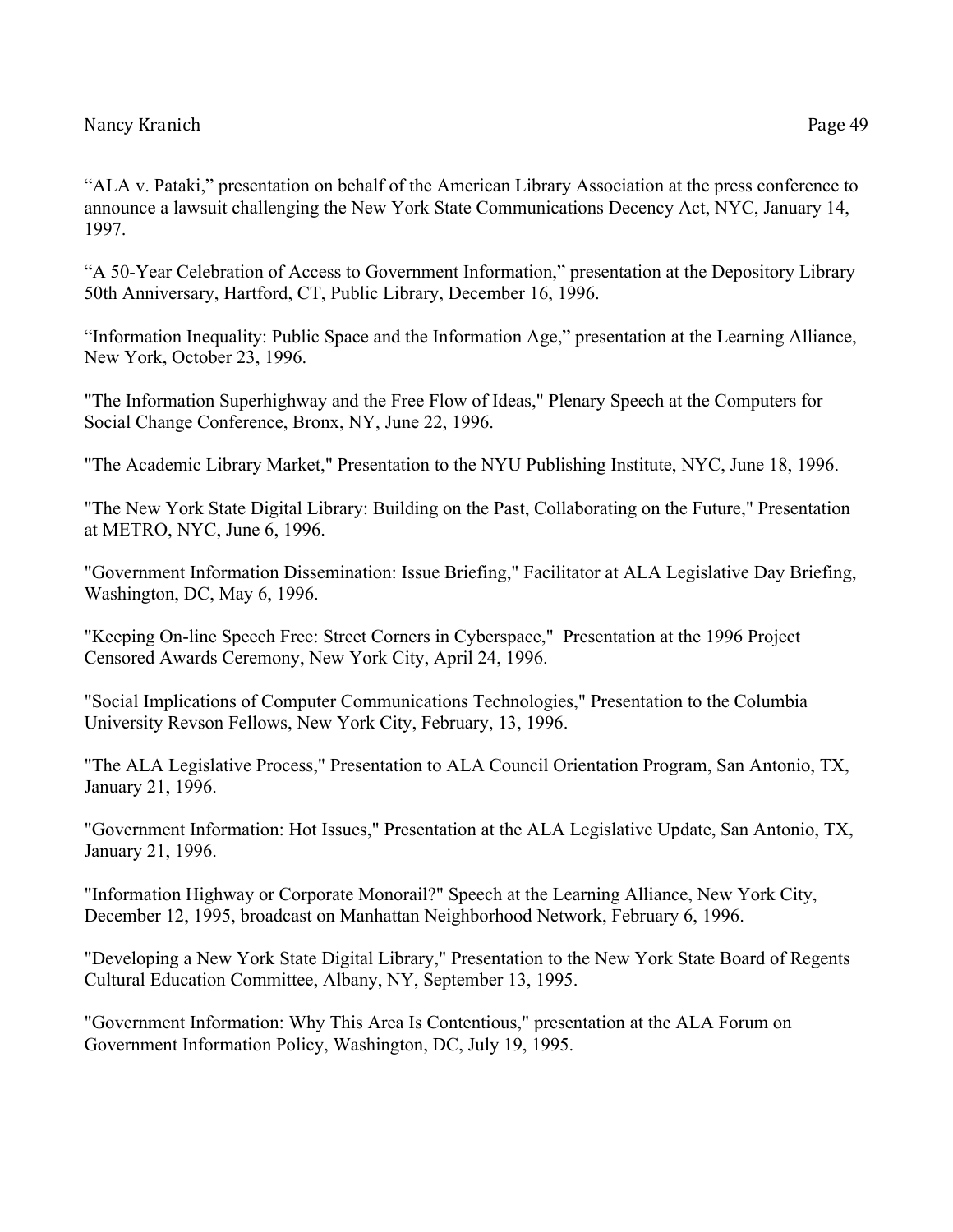"ALA v. Pataki," presentation on behalf of the American Library Association at the press conference to announce a lawsuit challenging the New York State Communications Decency Act, NYC, January 14, 1997.

"A 50-Year Celebration of Access to Government Information," presentation at the Depository Library 50th Anniversary, Hartford, CT, Public Library, December 16, 1996.

"Information Inequality: Public Space and the Information Age," presentation at the Learning Alliance, New York, October 23, 1996.

"The Information Superhighway and the Free Flow of Ideas," Plenary Speech at the Computers for Social Change Conference, Bronx, NY, June 22, 1996.

"The Academic Library Market," Presentation to the NYU Publishing Institute, NYC, June 18, 1996.

"The New York State Digital Library: Building on the Past, Collaborating on the Future," Presentation at METRO, NYC, June 6, 1996.

"Government Information Dissemination: Issue Briefing," Facilitator at ALA Legislative Day Briefing, Washington, DC, May 6, 1996.

"Keeping On-line Speech Free: Street Corners in Cyberspace," Presentation at the 1996 Project Censored Awards Ceremony, New York City, April 24, 1996.

"Social Implications of Computer Communications Technologies," Presentation to the Columbia University Revson Fellows, New York City, February, 13, 1996.

"The ALA Legislative Process," Presentation to ALA Council Orientation Program, San Antonio, TX, January 21, 1996.

"Government Information: Hot Issues," Presentation at the ALA Legislative Update, San Antonio, TX, January 21, 1996.

"Information Highway or Corporate Monorail?" Speech at the Learning Alliance, New York City, December 12, 1995, broadcast on Manhattan Neighborhood Network, February 6, 1996.

"Developing a New York State Digital Library," Presentation to the New York State Board of Regents Cultural Education Committee, Albany, NY, September 13, 1995.

"Government Information: Why This Area Is Contentious," presentation at the ALA Forum on Government Information Policy, Washington, DC, July 19, 1995.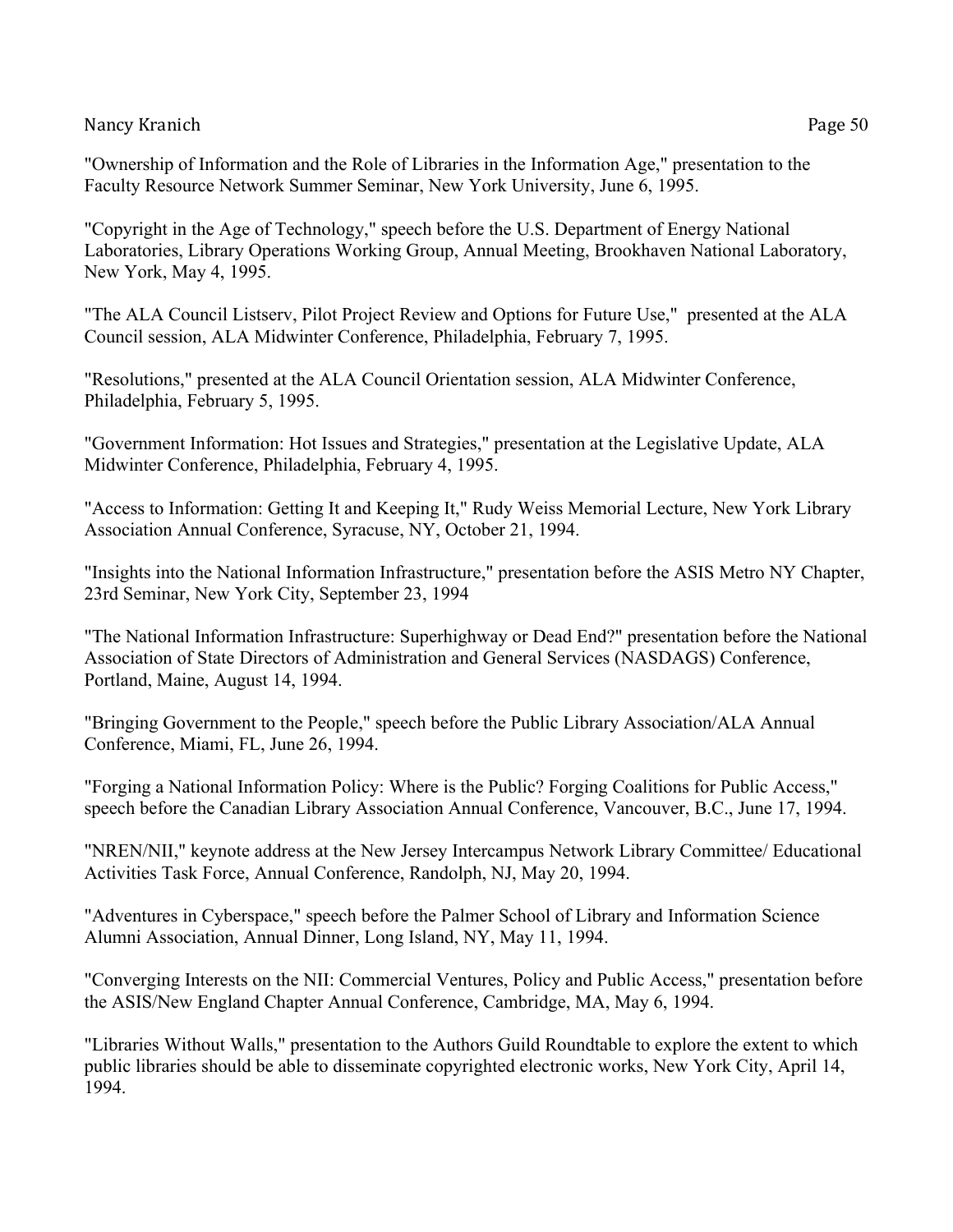"Ownership of Information and the Role of Libraries in the Information Age," presentation to the Faculty Resource Network Summer Seminar, New York University, June 6, 1995.

"Copyright in the Age of Technology," speech before the U.S. Department of Energy National Laboratories, Library Operations Working Group, Annual Meeting, Brookhaven National Laboratory, New York, May 4, 1995.

"The ALA Council Listserv, Pilot Project Review and Options for Future Use," presented at the ALA Council session, ALA Midwinter Conference, Philadelphia, February 7, 1995.

"Resolutions," presented at the ALA Council Orientation session, ALA Midwinter Conference, Philadelphia, February 5, 1995.

"Government Information: Hot Issues and Strategies," presentation at the Legislative Update, ALA Midwinter Conference, Philadelphia, February 4, 1995.

"Access to Information: Getting It and Keeping It," Rudy Weiss Memorial Lecture, New York Library Association Annual Conference, Syracuse, NY, October 21, 1994.

"Insights into the National Information Infrastructure," presentation before the ASIS Metro NY Chapter, 23rd Seminar, New York City, September 23, 1994

"The National Information Infrastructure: Superhighway or Dead End?" presentation before the National Association of State Directors of Administration and General Services (NASDAGS) Conference, Portland, Maine, August 14, 1994.

"Bringing Government to the People," speech before the Public Library Association/ALA Annual Conference, Miami, FL, June 26, 1994.

"Forging a National Information Policy: Where is the Public? Forging Coalitions for Public Access," speech before the Canadian Library Association Annual Conference, Vancouver, B.C., June 17, 1994.

"NREN/NII," keynote address at the New Jersey Intercampus Network Library Committee/ Educational Activities Task Force, Annual Conference, Randolph, NJ, May 20, 1994.

"Adventures in Cyberspace," speech before the Palmer School of Library and Information Science Alumni Association, Annual Dinner, Long Island, NY, May 11, 1994.

"Converging Interests on the NII: Commercial Ventures, Policy and Public Access," presentation before the ASIS/New England Chapter Annual Conference, Cambridge, MA, May 6, 1994.

"Libraries Without Walls," presentation to the Authors Guild Roundtable to explore the extent to which public libraries should be able to disseminate copyrighted electronic works, New York City, April 14, 1994.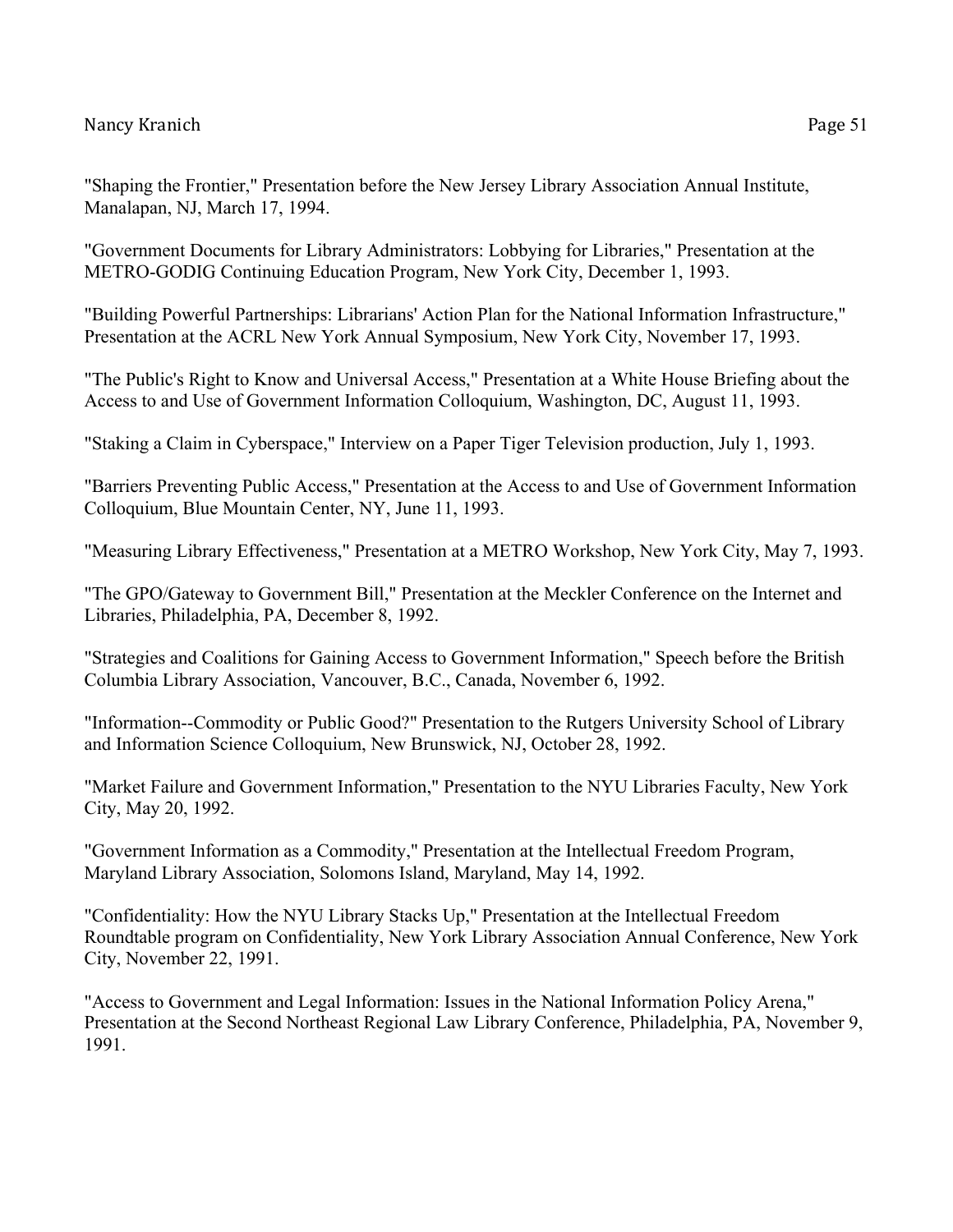"Government Documents for Library Administrators: Lobbying for Libraries," Presentation at the METRO-GODIG Continuing Education Program, New York City, December 1, 1993.

"Building Powerful Partnerships: Librarians' Action Plan for the National Information Infrastructure," Presentation at the ACRL New York Annual Symposium, New York City, November 17, 1993.

"The Public's Right to Know and Universal Access," Presentation at a White House Briefing about the Access to and Use of Government Information Colloquium, Washington, DC, August 11, 1993.

"Staking a Claim in Cyberspace," Interview on a Paper Tiger Television production, July 1, 1993.

"Barriers Preventing Public Access," Presentation at the Access to and Use of Government Information Colloquium, Blue Mountain Center, NY, June 11, 1993.

"Measuring Library Effectiveness," Presentation at a METRO Workshop, New York City, May 7, 1993.

"The GPO/Gateway to Government Bill," Presentation at the Meckler Conference on the Internet and Libraries, Philadelphia, PA, December 8, 1992.

"Strategies and Coalitions for Gaining Access to Government Information," Speech before the British Columbia Library Association, Vancouver, B.C., Canada, November 6, 1992.

"Information--Commodity or Public Good?" Presentation to the Rutgers University School of Library and Information Science Colloquium, New Brunswick, NJ, October 28, 1992.

"Market Failure and Government Information," Presentation to the NYU Libraries Faculty, New York City, May 20, 1992.

"Government Information as a Commodity," Presentation at the Intellectual Freedom Program, Maryland Library Association, Solomons Island, Maryland, May 14, 1992.

"Confidentiality: How the NYU Library Stacks Up," Presentation at the Intellectual Freedom Roundtable program on Confidentiality, New York Library Association Annual Conference, New York City, November 22, 1991.

"Access to Government and Legal Information: Issues in the National Information Policy Arena," Presentation at the Second Northeast Regional Law Library Conference, Philadelphia, PA, November 9, 1991.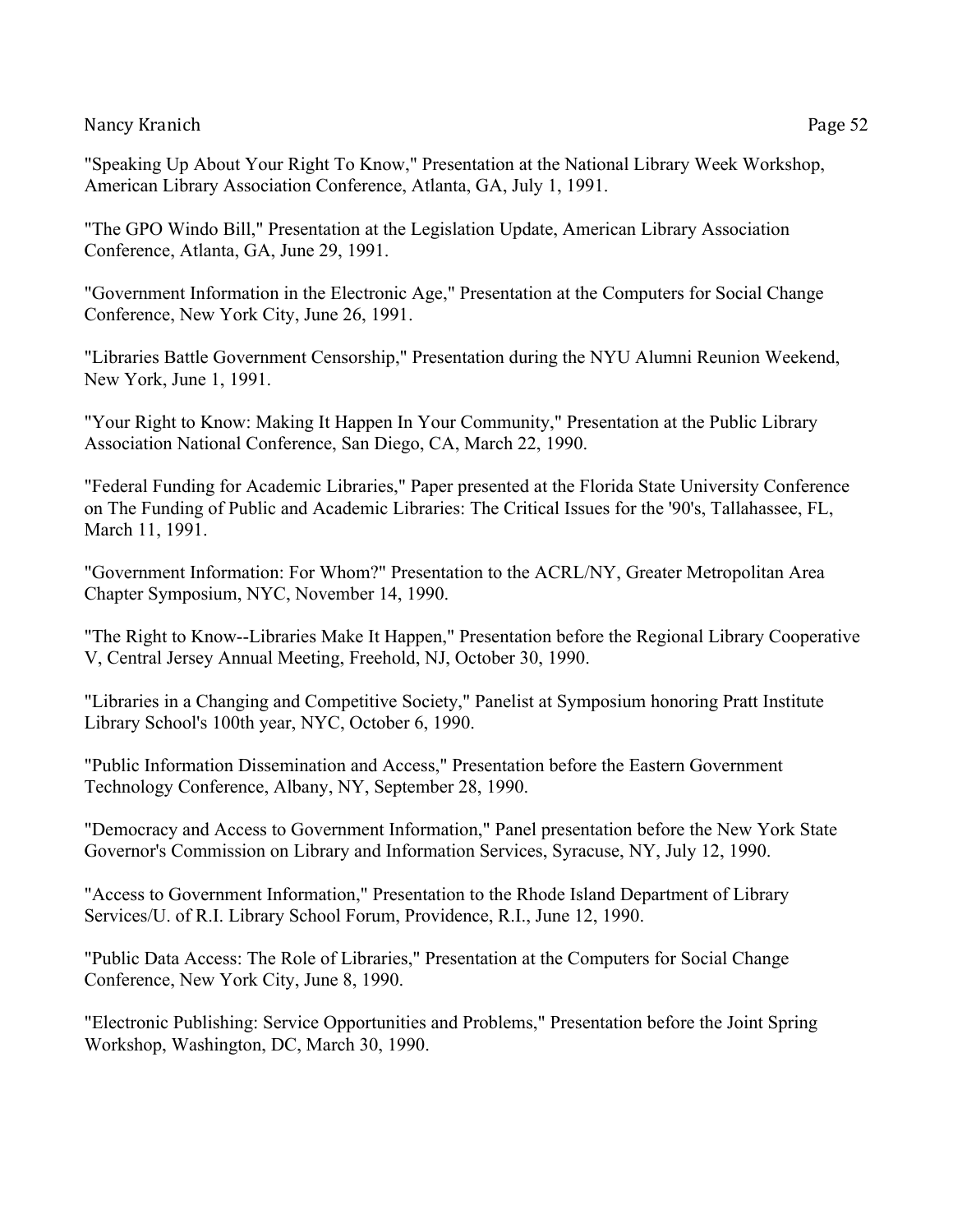"Speaking Up About Your Right To Know," Presentation at the National Library Week Workshop, American Library Association Conference, Atlanta, GA, July 1, 1991.

"The GPO Windo Bill," Presentation at the Legislation Update, American Library Association Conference, Atlanta, GA, June 29, 1991.

"Government Information in the Electronic Age," Presentation at the Computers for Social Change Conference, New York City, June 26, 1991.

"Libraries Battle Government Censorship," Presentation during the NYU Alumni Reunion Weekend, New York, June 1, 1991.

"Your Right to Know: Making It Happen In Your Community," Presentation at the Public Library Association National Conference, San Diego, CA, March 22, 1990.

"Federal Funding for Academic Libraries," Paper presented at the Florida State University Conference on The Funding of Public and Academic Libraries: The Critical Issues for the '90's, Tallahassee, FL, March 11, 1991.

"Government Information: For Whom?" Presentation to the ACRL/NY, Greater Metropolitan Area Chapter Symposium, NYC, November 14, 1990.

"The Right to Know--Libraries Make It Happen," Presentation before the Regional Library Cooperative V, Central Jersey Annual Meeting, Freehold, NJ, October 30, 1990.

"Libraries in a Changing and Competitive Society," Panelist at Symposium honoring Pratt Institute Library School's 100th year, NYC, October 6, 1990.

"Public Information Dissemination and Access," Presentation before the Eastern Government Technology Conference, Albany, NY, September 28, 1990.

"Democracy and Access to Government Information," Panel presentation before the New York State Governor's Commission on Library and Information Services, Syracuse, NY, July 12, 1990.

"Access to Government Information," Presentation to the Rhode Island Department of Library Services/U. of R.I. Library School Forum, Providence, R.I., June 12, 1990.

"Public Data Access: The Role of Libraries," Presentation at the Computers for Social Change Conference, New York City, June 8, 1990.

"Electronic Publishing: Service Opportunities and Problems," Presentation before the Joint Spring Workshop, Washington, DC, March 30, 1990.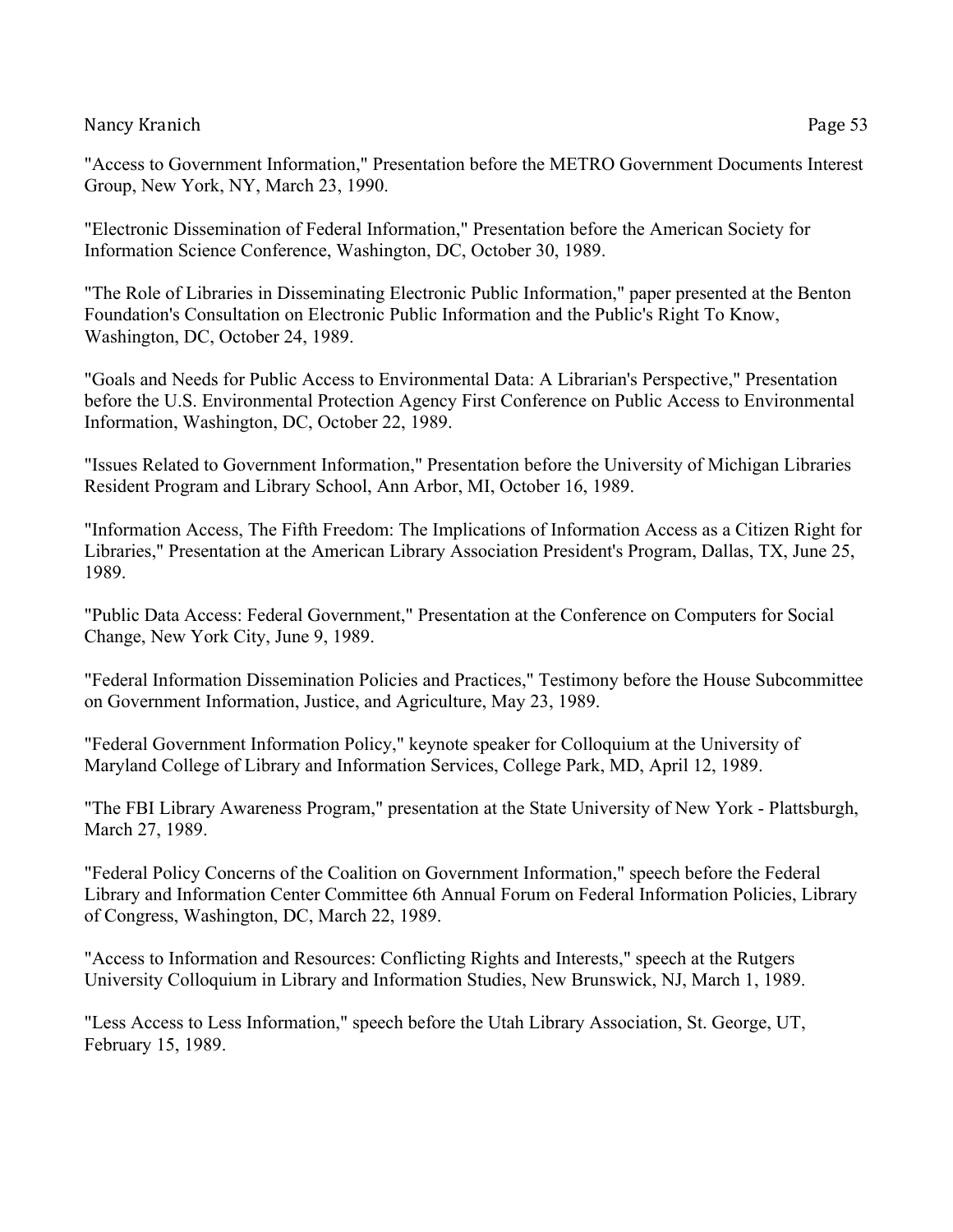"Access to Government Information," Presentation before the METRO Government Documents Interest Group, New York, NY, March 23, 1990.

"Electronic Dissemination of Federal Information," Presentation before the American Society for Information Science Conference, Washington, DC, October 30, 1989.

"The Role of Libraries in Disseminating Electronic Public Information," paper presented at the Benton Foundation's Consultation on Electronic Public Information and the Public's Right To Know, Washington, DC, October 24, 1989.

"Goals and Needs for Public Access to Environmental Data: A Librarian's Perspective," Presentation before the U.S. Environmental Protection Agency First Conference on Public Access to Environmental Information, Washington, DC, October 22, 1989.

"Issues Related to Government Information," Presentation before the University of Michigan Libraries Resident Program and Library School, Ann Arbor, MI, October 16, 1989.

"Information Access, The Fifth Freedom: The Implications of Information Access as a Citizen Right for Libraries," Presentation at the American Library Association President's Program, Dallas, TX, June 25, 1989.

"Public Data Access: Federal Government," Presentation at the Conference on Computers for Social Change, New York City, June 9, 1989.

"Federal Information Dissemination Policies and Practices," Testimony before the House Subcommittee on Government Information, Justice, and Agriculture, May 23, 1989.

"Federal Government Information Policy," keynote speaker for Colloquium at the University of Maryland College of Library and Information Services, College Park, MD, April 12, 1989.

"The FBI Library Awareness Program," presentation at the State University of New York - Plattsburgh, March 27, 1989.

"Federal Policy Concerns of the Coalition on Government Information," speech before the Federal Library and Information Center Committee 6th Annual Forum on Federal Information Policies, Library of Congress, Washington, DC, March 22, 1989.

"Access to Information and Resources: Conflicting Rights and Interests," speech at the Rutgers University Colloquium in Library and Information Studies, New Brunswick, NJ, March 1, 1989.

"Less Access to Less Information," speech before the Utah Library Association, St. George, UT, February 15, 1989.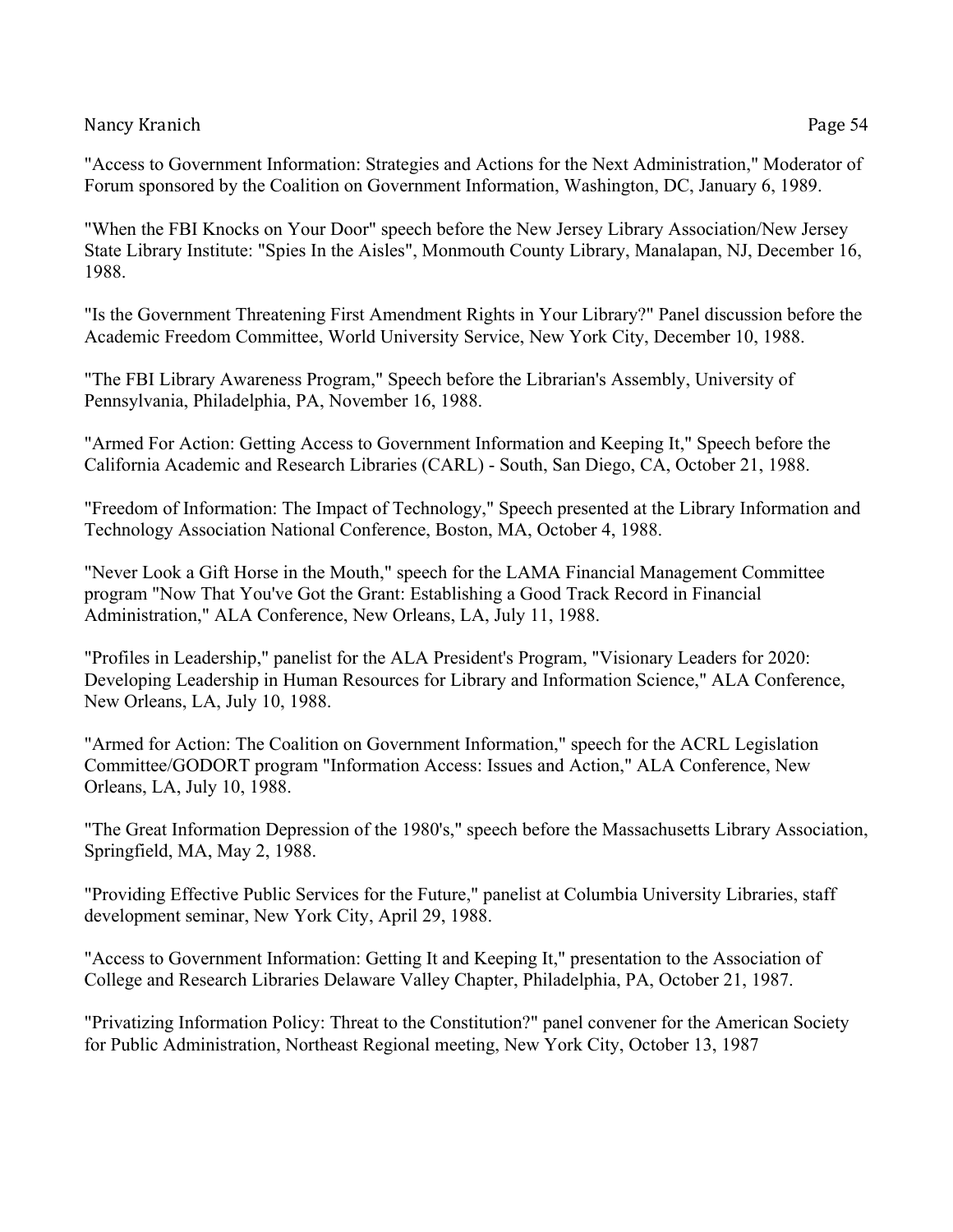"Access to Government Information: Strategies and Actions for the Next Administration," Moderator of Forum sponsored by the Coalition on Government Information, Washington, DC, January 6, 1989.

"When the FBI Knocks on Your Door" speech before the New Jersey Library Association/New Jersey State Library Institute: "Spies In the Aisles", Monmouth County Library, Manalapan, NJ, December 16, 1988.

"Is the Government Threatening First Amendment Rights in Your Library?" Panel discussion before the Academic Freedom Committee, World University Service, New York City, December 10, 1988.

"The FBI Library Awareness Program," Speech before the Librarian's Assembly, University of Pennsylvania, Philadelphia, PA, November 16, 1988.

"Armed For Action: Getting Access to Government Information and Keeping It," Speech before the California Academic and Research Libraries (CARL) - South, San Diego, CA, October 21, 1988.

"Freedom of Information: The Impact of Technology," Speech presented at the Library Information and Technology Association National Conference, Boston, MA, October 4, 1988.

"Never Look a Gift Horse in the Mouth," speech for the LAMA Financial Management Committee program "Now That You've Got the Grant: Establishing a Good Track Record in Financial Administration," ALA Conference, New Orleans, LA, July 11, 1988.

"Profiles in Leadership," panelist for the ALA President's Program, "Visionary Leaders for 2020: Developing Leadership in Human Resources for Library and Information Science," ALA Conference, New Orleans, LA, July 10, 1988.

"Armed for Action: The Coalition on Government Information," speech for the ACRL Legislation Committee/GODORT program "Information Access: Issues and Action," ALA Conference, New Orleans, LA, July 10, 1988.

"The Great Information Depression of the 1980's," speech before the Massachusetts Library Association, Springfield, MA, May 2, 1988.

"Providing Effective Public Services for the Future," panelist at Columbia University Libraries, staff development seminar, New York City, April 29, 1988.

"Access to Government Information: Getting It and Keeping It," presentation to the Association of College and Research Libraries Delaware Valley Chapter, Philadelphia, PA, October 21, 1987.

"Privatizing Information Policy: Threat to the Constitution?" panel convener for the American Society for Public Administration, Northeast Regional meeting, New York City, October 13, 1987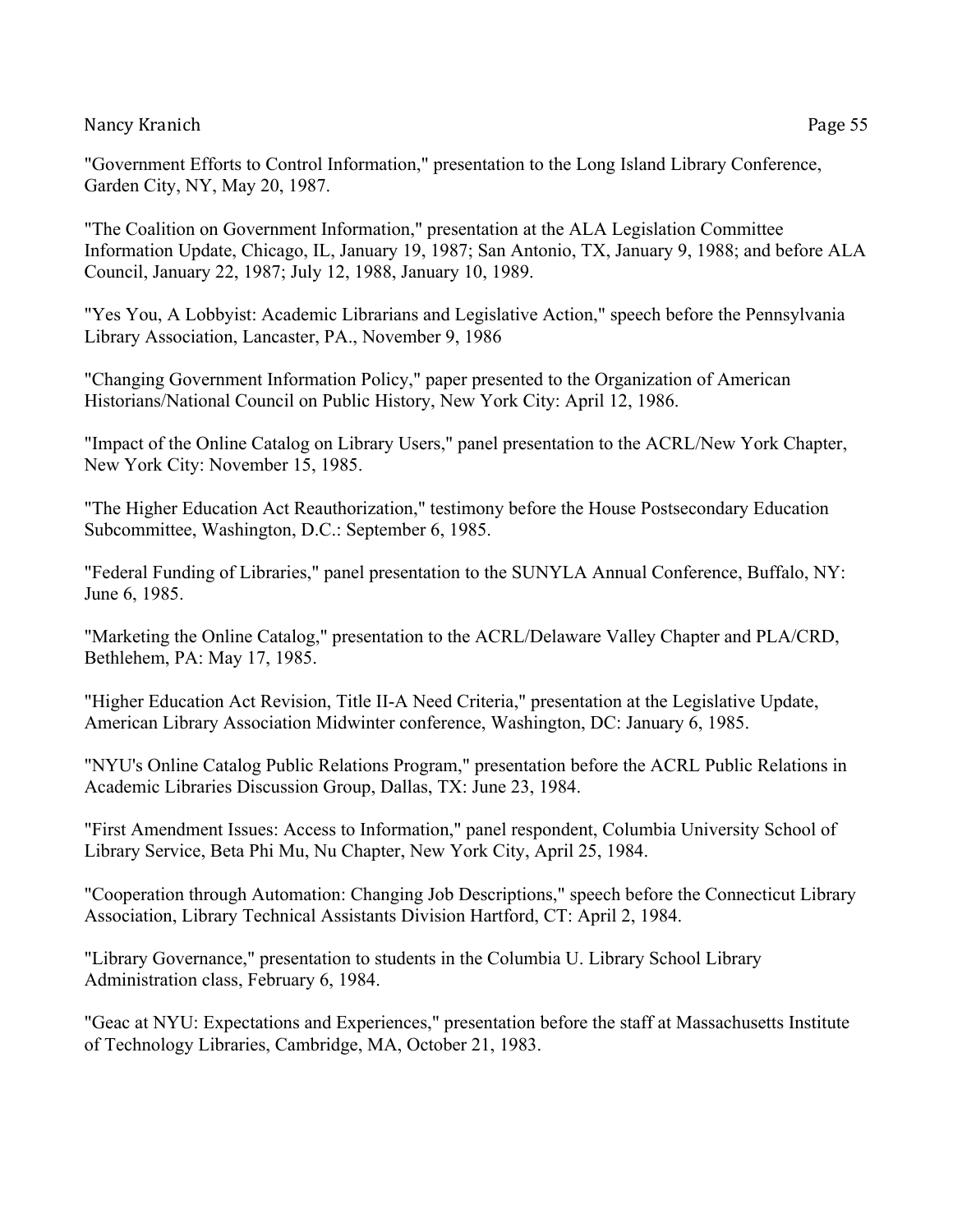"Government Efforts to Control Information," presentation to the Long Island Library Conference, Garden City, NY, May 20, 1987.

"The Coalition on Government Information," presentation at the ALA Legislation Committee Information Update, Chicago, IL, January 19, 1987; San Antonio, TX, January 9, 1988; and before ALA Council, January 22, 1987; July 12, 1988, January 10, 1989.

"Yes You, A Lobbyist: Academic Librarians and Legislative Action," speech before the Pennsylvania Library Association, Lancaster, PA., November 9, 1986

"Changing Government Information Policy," paper presented to the Organization of American Historians/National Council on Public History, New York City: April 12, 1986.

"Impact of the Online Catalog on Library Users," panel presentation to the ACRL/New York Chapter, New York City: November 15, 1985.

"The Higher Education Act Reauthorization," testimony before the House Postsecondary Education Subcommittee, Washington, D.C.: September 6, 1985.

"Federal Funding of Libraries," panel presentation to the SUNYLA Annual Conference, Buffalo, NY: June 6, 1985.

"Marketing the Online Catalog," presentation to the ACRL/Delaware Valley Chapter and PLA/CRD, Bethlehem, PA: May 17, 1985.

"Higher Education Act Revision, Title II-A Need Criteria," presentation at the Legislative Update, American Library Association Midwinter conference, Washington, DC: January 6, 1985.

"NYU's Online Catalog Public Relations Program," presentation before the ACRL Public Relations in Academic Libraries Discussion Group, Dallas, TX: June 23, 1984.

"First Amendment Issues: Access to Information," panel respondent, Columbia University School of Library Service, Beta Phi Mu, Nu Chapter, New York City, April 25, 1984.

"Cooperation through Automation: Changing Job Descriptions," speech before the Connecticut Library Association, Library Technical Assistants Division Hartford, CT: April 2, 1984.

"Library Governance," presentation to students in the Columbia U. Library School Library Administration class, February 6, 1984.

"Geac at NYU: Expectations and Experiences," presentation before the staff at Massachusetts Institute of Technology Libraries, Cambridge, MA, October 21, 1983.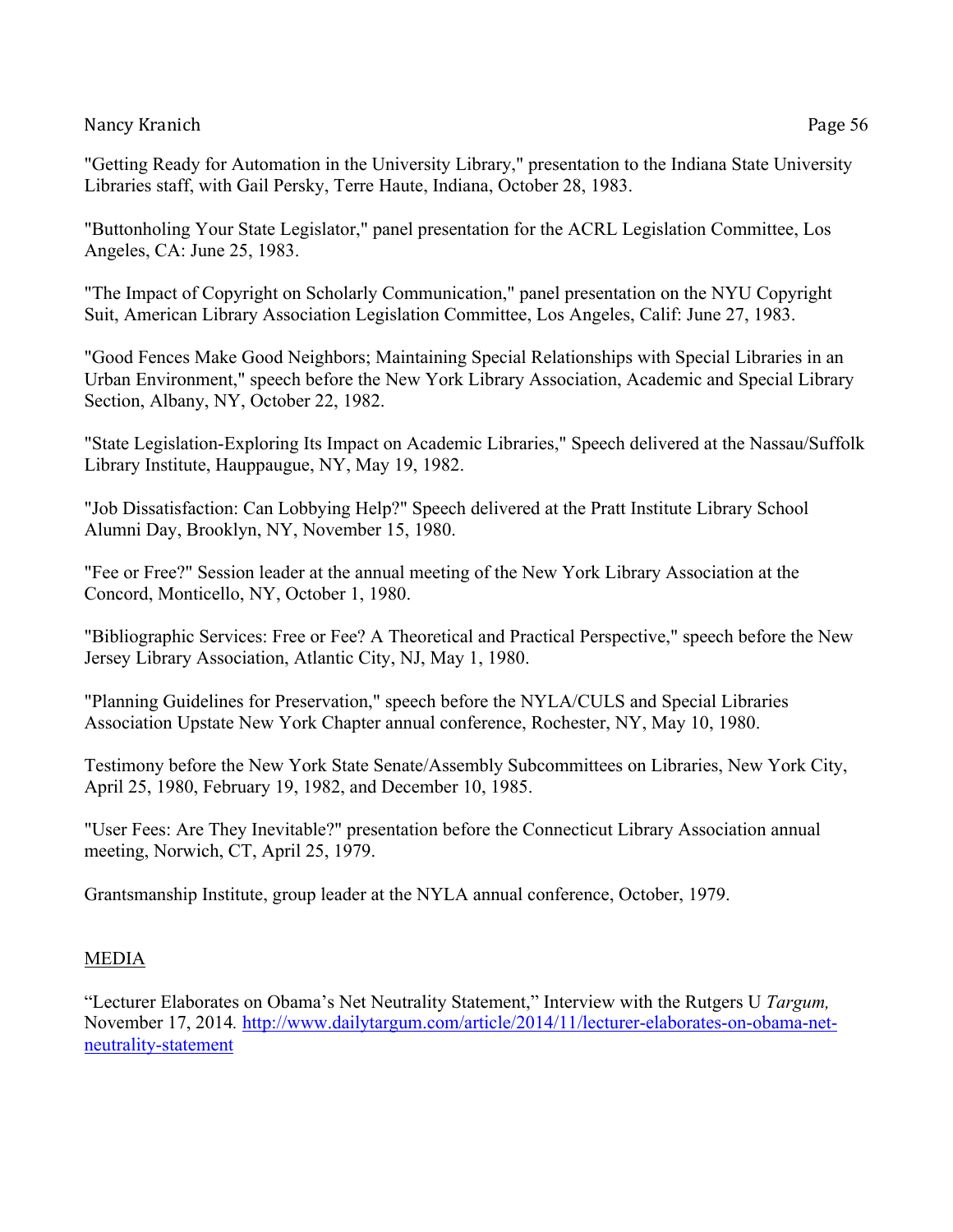"Getting Ready for Automation in the University Library," presentation to the Indiana State University Libraries staff, with Gail Persky, Terre Haute, Indiana, October 28, 1983.

"Buttonholing Your State Legislator," panel presentation for the ACRL Legislation Committee, Los Angeles, CA: June 25, 1983.

"The Impact of Copyright on Scholarly Communication," panel presentation on the NYU Copyright Suit, American Library Association Legislation Committee, Los Angeles, Calif: June 27, 1983.

"Good Fences Make Good Neighbors; Maintaining Special Relationships with Special Libraries in an Urban Environment," speech before the New York Library Association, Academic and Special Library Section, Albany, NY, October 22, 1982.

"State Legislation-Exploring Its Impact on Academic Libraries," Speech delivered at the Nassau/Suffolk Library Institute, Hauppaugue, NY, May 19, 1982.

"Job Dissatisfaction: Can Lobbying Help?" Speech delivered at the Pratt Institute Library School Alumni Day, Brooklyn, NY, November 15, 1980.

"Fee or Free?" Session leader at the annual meeting of the New York Library Association at the Concord, Monticello, NY, October 1, 1980.

"Bibliographic Services: Free or Fee? A Theoretical and Practical Perspective," speech before the New Jersey Library Association, Atlantic City, NJ, May 1, 1980.

"Planning Guidelines for Preservation," speech before the NYLA/CULS and Special Libraries Association Upstate New York Chapter annual conference, Rochester, NY, May 10, 1980.

Testimony before the New York State Senate/Assembly Subcommittees on Libraries, New York City, April 25, 1980, February 19, 1982, and December 10, 1985.

"User Fees: Are They Inevitable?" presentation before the Connecticut Library Association annual meeting, Norwich, CT, April 25, 1979.

Grantsmanship Institute, group leader at the NYLA annual conference, October, 1979.

# MEDIA

"Lecturer Elaborates on Obama's Net Neutrality Statement," Interview with the Rutgers U *Targum,*  November 17, 2014*.* http://www.dailytargum.com/article/2014/11/lecturer-elaborates-on-obama-netneutrality-statement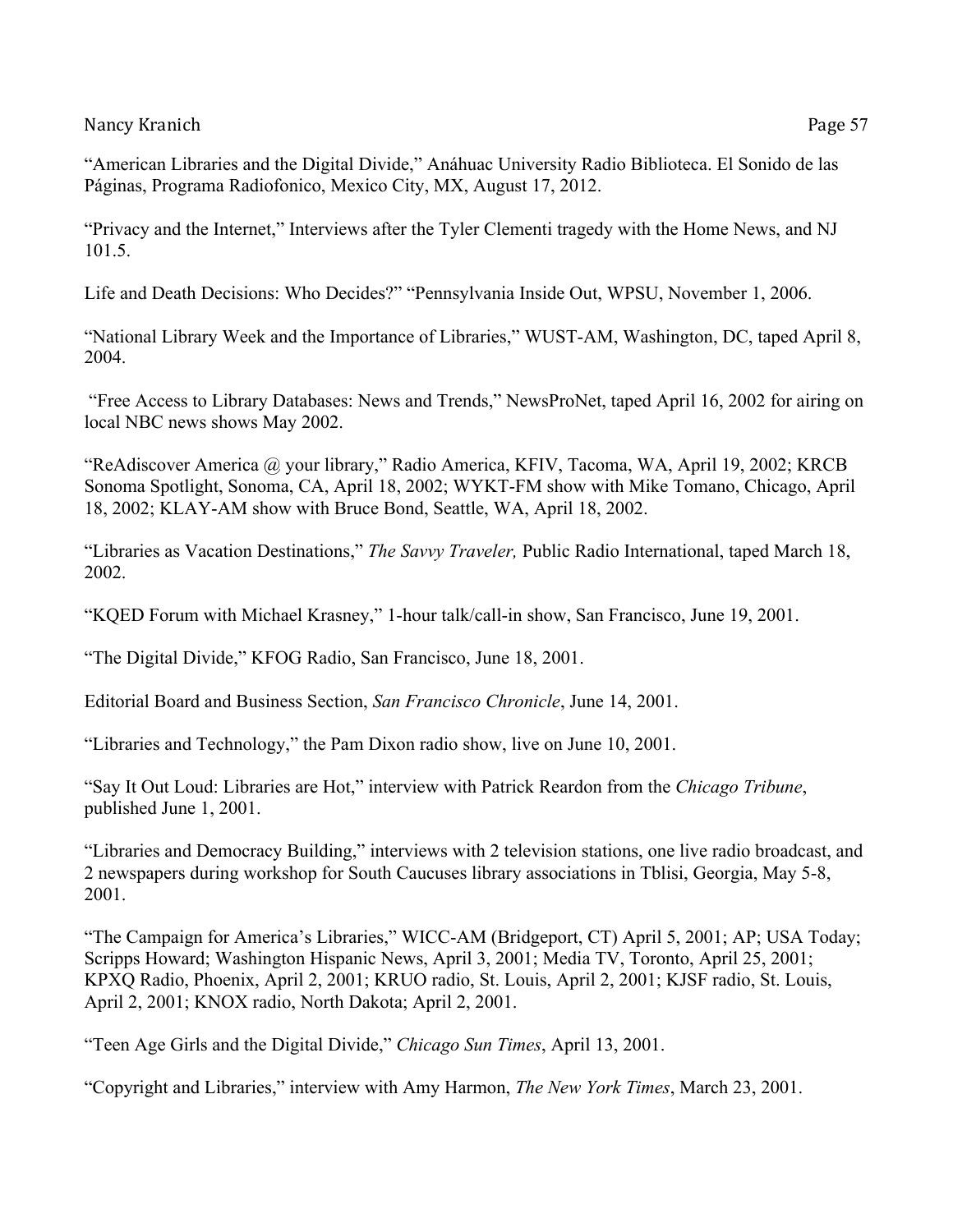"American Libraries and the Digital Divide," Anáhuac University Radio Biblioteca. El Sonido de las Páginas, Programa Radiofonico, Mexico City, MX, August 17, 2012.

"Privacy and the Internet," Interviews after the Tyler Clementi tragedy with the Home News, and NJ 101.5.

Life and Death Decisions: Who Decides?" "Pennsylvania Inside Out, WPSU, November 1, 2006.

"National Library Week and the Importance of Libraries," WUST-AM, Washington, DC, taped April 8, 2004.

"Free Access to Library Databases: News and Trends," NewsProNet, taped April 16, 2002 for airing on local NBC news shows May 2002.

"ReAdiscover America @ your library," Radio America, KFIV, Tacoma, WA, April 19, 2002; KRCB Sonoma Spotlight, Sonoma, CA, April 18, 2002; WYKT-FM show with Mike Tomano, Chicago, April 18, 2002; KLAY-AM show with Bruce Bond, Seattle, WA, April 18, 2002.

"Libraries as Vacation Destinations," *The Savvy Traveler,* Public Radio International, taped March 18, 2002.

"KQED Forum with Michael Krasney," 1-hour talk/call-in show, San Francisco, June 19, 2001.

"The Digital Divide," KFOG Radio, San Francisco, June 18, 2001.

Editorial Board and Business Section, *San Francisco Chronicle*, June 14, 2001.

"Libraries and Technology," the Pam Dixon radio show, live on June 10, 2001.

"Say It Out Loud: Libraries are Hot," interview with Patrick Reardon from the *Chicago Tribune*, published June 1, 2001.

"Libraries and Democracy Building," interviews with 2 television stations, one live radio broadcast, and 2 newspapers during workshop for South Caucuses library associations in Tblisi, Georgia, May 5-8, 2001.

"The Campaign for America's Libraries," WICC-AM (Bridgeport, CT) April 5, 2001; AP; USA Today; Scripps Howard; Washington Hispanic News, April 3, 2001; Media TV, Toronto, April 25, 2001; KPXQ Radio, Phoenix, April 2, 2001; KRUO radio, St. Louis, April 2, 2001; KJSF radio, St. Louis, April 2, 2001; KNOX radio, North Dakota; April 2, 2001.

"Teen Age Girls and the Digital Divide," *Chicago Sun Times*, April 13, 2001.

"Copyright and Libraries," interview with Amy Harmon, *The New York Times*, March 23, 2001.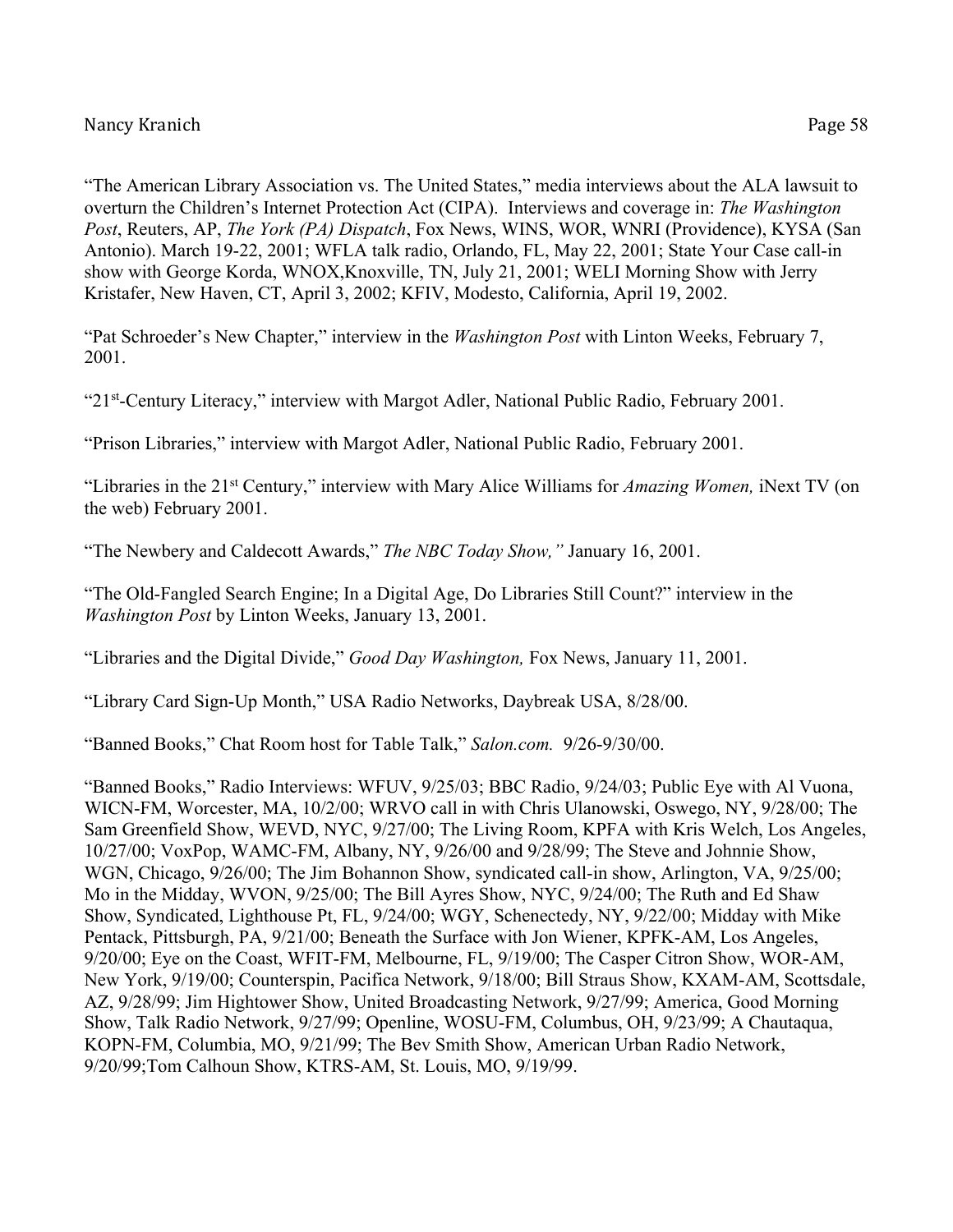"The American Library Association vs. The United States," media interviews about the ALA lawsuit to overturn the Children's Internet Protection Act (CIPA). Interviews and coverage in: *The Washington Post*, Reuters, AP, *The York (PA) Dispatch*, Fox News, WINS, WOR, WNRI (Providence), KYSA (San Antonio). March 19-22, 2001; WFLA talk radio, Orlando, FL, May 22, 2001; State Your Case call-in show with George Korda, WNOX,Knoxville, TN, July 21, 2001; WELI Morning Show with Jerry Kristafer, New Haven, CT, April 3, 2002; KFIV, Modesto, California, April 19, 2002.

"Pat Schroeder's New Chapter," interview in the *Washington Post* with Linton Weeks, February 7, 2001.

"21st-Century Literacy," interview with Margot Adler, National Public Radio, February 2001.

"Prison Libraries," interview with Margot Adler, National Public Radio, February 2001.

"Libraries in the 21st Century," interview with Mary Alice Williams for *Amazing Women,* iNext TV (on the web) February 2001.

"The Newbery and Caldecott Awards," *The NBC Today Show,"* January 16, 2001.

"The Old-Fangled Search Engine; In a Digital Age, Do Libraries Still Count?" interview in the *Washington Post* by Linton Weeks, January 13, 2001.

"Libraries and the Digital Divide," *Good Day Washington,* Fox News, January 11, 2001.

"Library Card Sign-Up Month," USA Radio Networks, Daybreak USA, 8/28/00.

"Banned Books," Chat Room host for Table Talk," *Salon.com.* 9/26-9/30/00.

"Banned Books," Radio Interviews: WFUV, 9/25/03; BBC Radio, 9/24/03; Public Eye with Al Vuona, WICN-FM, Worcester, MA, 10/2/00; WRVO call in with Chris Ulanowski, Oswego, NY, 9/28/00; The Sam Greenfield Show, WEVD, NYC, 9/27/00; The Living Room, KPFA with Kris Welch, Los Angeles, 10/27/00; VoxPop, WAMC-FM, Albany, NY, 9/26/00 and 9/28/99; The Steve and Johnnie Show, WGN, Chicago, 9/26/00; The Jim Bohannon Show, syndicated call-in show, Arlington, VA, 9/25/00; Mo in the Midday, WVON, 9/25/00; The Bill Ayres Show, NYC, 9/24/00; The Ruth and Ed Shaw Show, Syndicated, Lighthouse Pt, FL, 9/24/00; WGY, Schenectedy, NY, 9/22/00; Midday with Mike Pentack, Pittsburgh, PA, 9/21/00; Beneath the Surface with Jon Wiener, KPFK-AM, Los Angeles, 9/20/00; Eye on the Coast, WFIT-FM, Melbourne, FL, 9/19/00; The Casper Citron Show, WOR-AM, New York, 9/19/00; Counterspin, Pacifica Network, 9/18/00; Bill Straus Show, KXAM-AM, Scottsdale, AZ, 9/28/99; Jim Hightower Show, United Broadcasting Network, 9/27/99; America, Good Morning Show, Talk Radio Network, 9/27/99; Openline, WOSU-FM, Columbus, OH, 9/23/99; A Chautaqua, KOPN-FM, Columbia, MO, 9/21/99; The Bev Smith Show, American Urban Radio Network, 9/20/99;Tom Calhoun Show, KTRS-AM, St. Louis, MO, 9/19/99.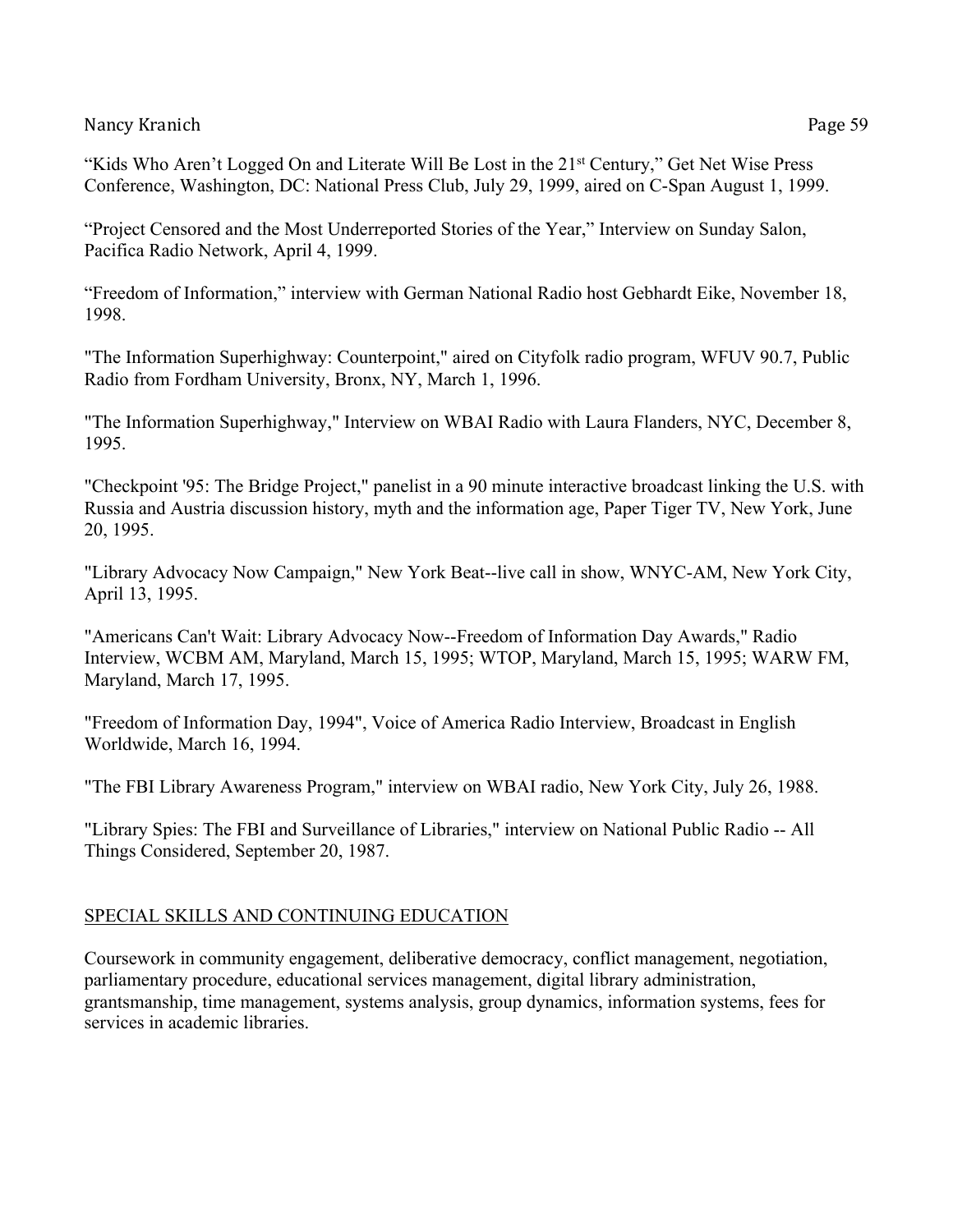"Kids Who Aren't Logged On and Literate Will Be Lost in the 21<sup>st</sup> Century," Get Net Wise Press Conference, Washington, DC: National Press Club, July 29, 1999, aired on C-Span August 1, 1999.

"Project Censored and the Most Underreported Stories of the Year," Interview on Sunday Salon, Pacifica Radio Network, April 4, 1999.

"Freedom of Information," interview with German National Radio host Gebhardt Eike, November 18, 1998.

"The Information Superhighway: Counterpoint," aired on Cityfolk radio program, WFUV 90.7, Public Radio from Fordham University, Bronx, NY, March 1, 1996.

"The Information Superhighway," Interview on WBAI Radio with Laura Flanders, NYC, December 8, 1995.

"Checkpoint '95: The Bridge Project," panelist in a 90 minute interactive broadcast linking the U.S. with Russia and Austria discussion history, myth and the information age, Paper Tiger TV, New York, June 20, 1995.

"Library Advocacy Now Campaign," New York Beat--live call in show, WNYC-AM, New York City, April 13, 1995.

"Americans Can't Wait: Library Advocacy Now--Freedom of Information Day Awards," Radio Interview, WCBM AM, Maryland, March 15, 1995; WTOP, Maryland, March 15, 1995; WARW FM, Maryland, March 17, 1995.

"Freedom of Information Day, 1994", Voice of America Radio Interview, Broadcast in English Worldwide, March 16, 1994.

"The FBI Library Awareness Program," interview on WBAI radio, New York City, July 26, 1988.

"Library Spies: The FBI and Surveillance of Libraries," interview on National Public Radio -- All Things Considered, September 20, 1987.

### SPECIAL SKILLS AND CONTINUING EDUCATION

Coursework in community engagement, deliberative democracy, conflict management, negotiation, parliamentary procedure, educational services management, digital library administration, grantsmanship, time management, systems analysis, group dynamics, information systems, fees for services in academic libraries.